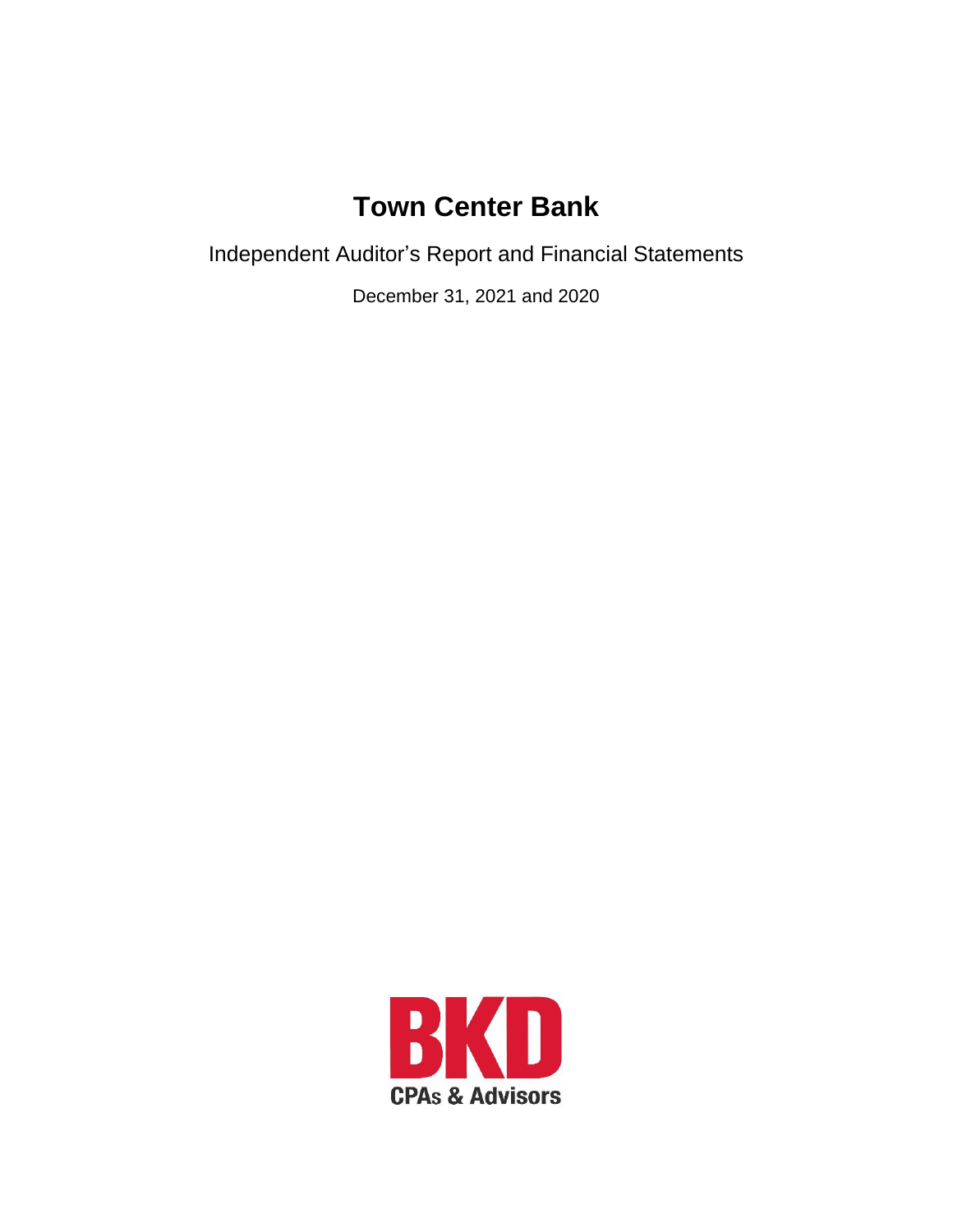Independent Auditor's Report and Financial Statements

December 31, 2021 and 2020

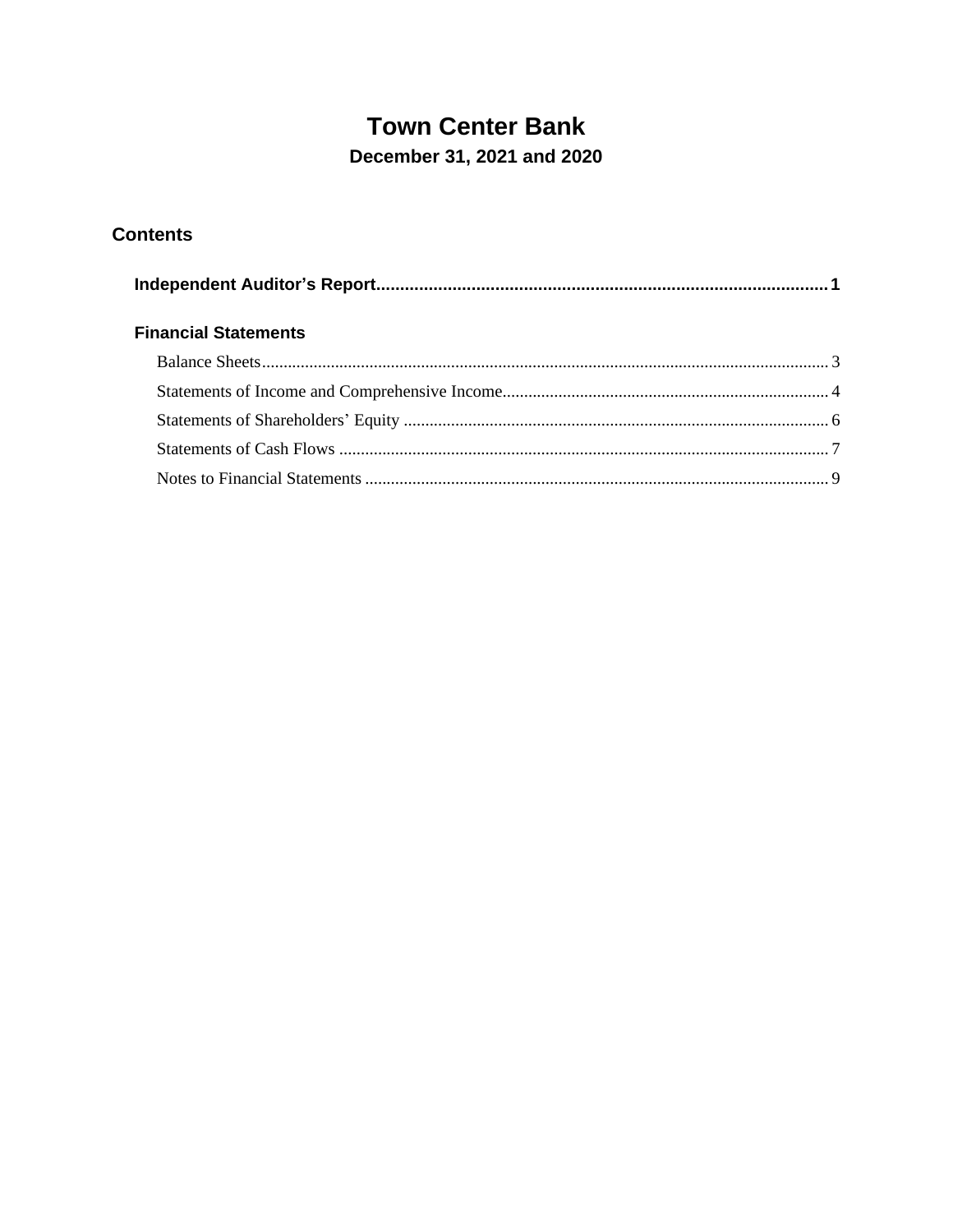# **Town Center Bank** December 31, 2021 and 2020

## **Contents**

| <b>Financial Statements</b> |  |
|-----------------------------|--|
|                             |  |
|                             |  |
|                             |  |
|                             |  |
|                             |  |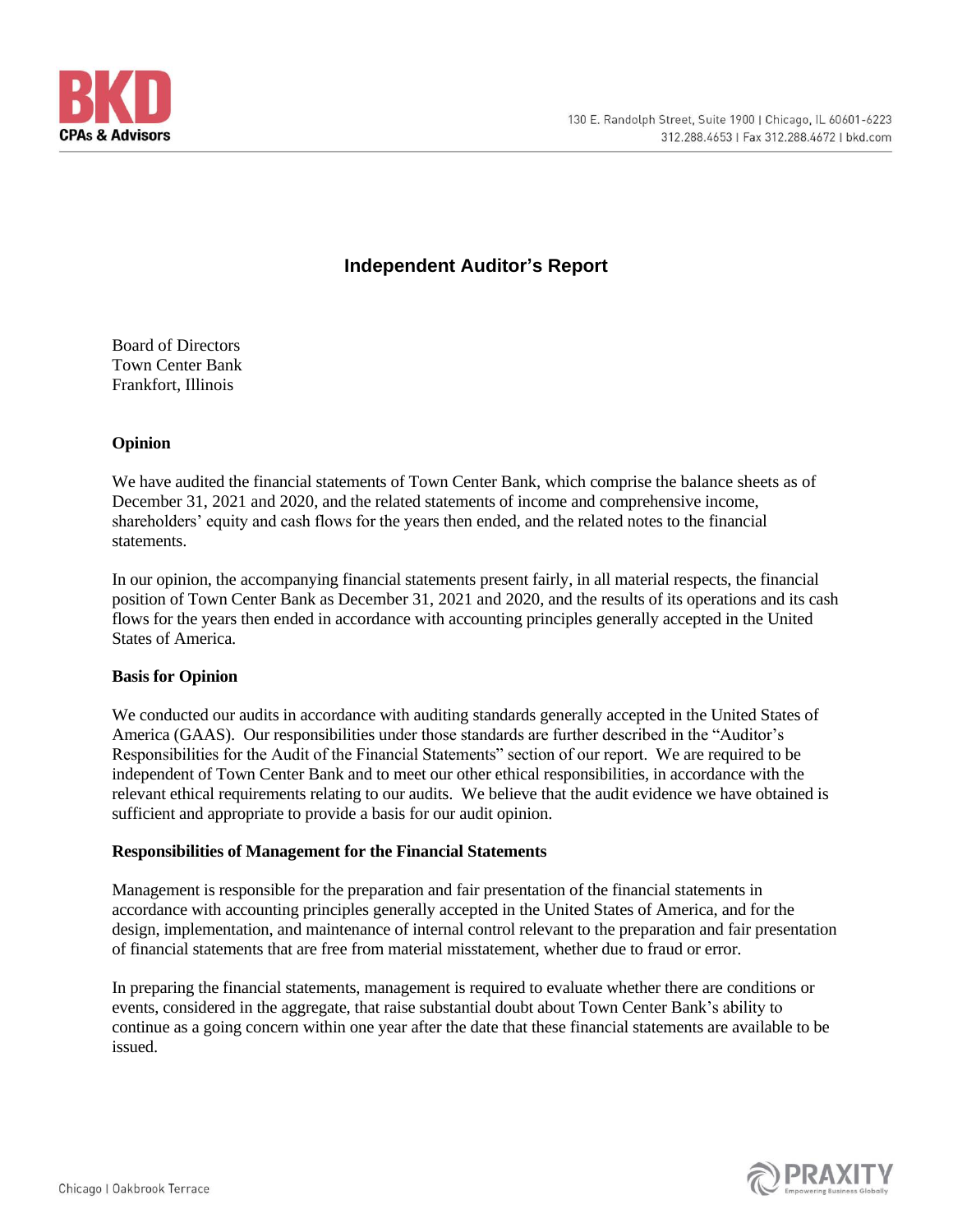

### **Independent Auditor's Report**

Board of Directors Town Center Bank Frankfort, Illinois

### **Opinion**

We have audited the financial statements of Town Center Bank, which comprise the balance sheets as of December 31, 2021 and 2020, and the related statements of income and comprehensive income, shareholders' equity and cash flows for the years then ended, and the related notes to the financial statements.

In our opinion, the accompanying financial statements present fairly, in all material respects, the financial position of Town Center Bank as December 31, 2021 and 2020, and the results of its operations and its cash flows for the years then ended in accordance with accounting principles generally accepted in the United States of America.

### **Basis for Opinion**

We conducted our audits in accordance with auditing standards generally accepted in the United States of America (GAAS). Our responsibilities under those standards are further described in the "Auditor's Responsibilities for the Audit of the Financial Statements" section of our report. We are required to be independent of Town Center Bank and to meet our other ethical responsibilities, in accordance with the relevant ethical requirements relating to our audits. We believe that the audit evidence we have obtained is sufficient and appropriate to provide a basis for our audit opinion.

### **Responsibilities of Management for the Financial Statements**

Management is responsible for the preparation and fair presentation of the financial statements in accordance with accounting principles generally accepted in the United States of America, and for the design, implementation, and maintenance of internal control relevant to the preparation and fair presentation of financial statements that are free from material misstatement, whether due to fraud or error.

In preparing the financial statements, management is required to evaluate whether there are conditions or events, considered in the aggregate, that raise substantial doubt about Town Center Bank's ability to continue as a going concern within one year after the date that these financial statements are available to be issued.

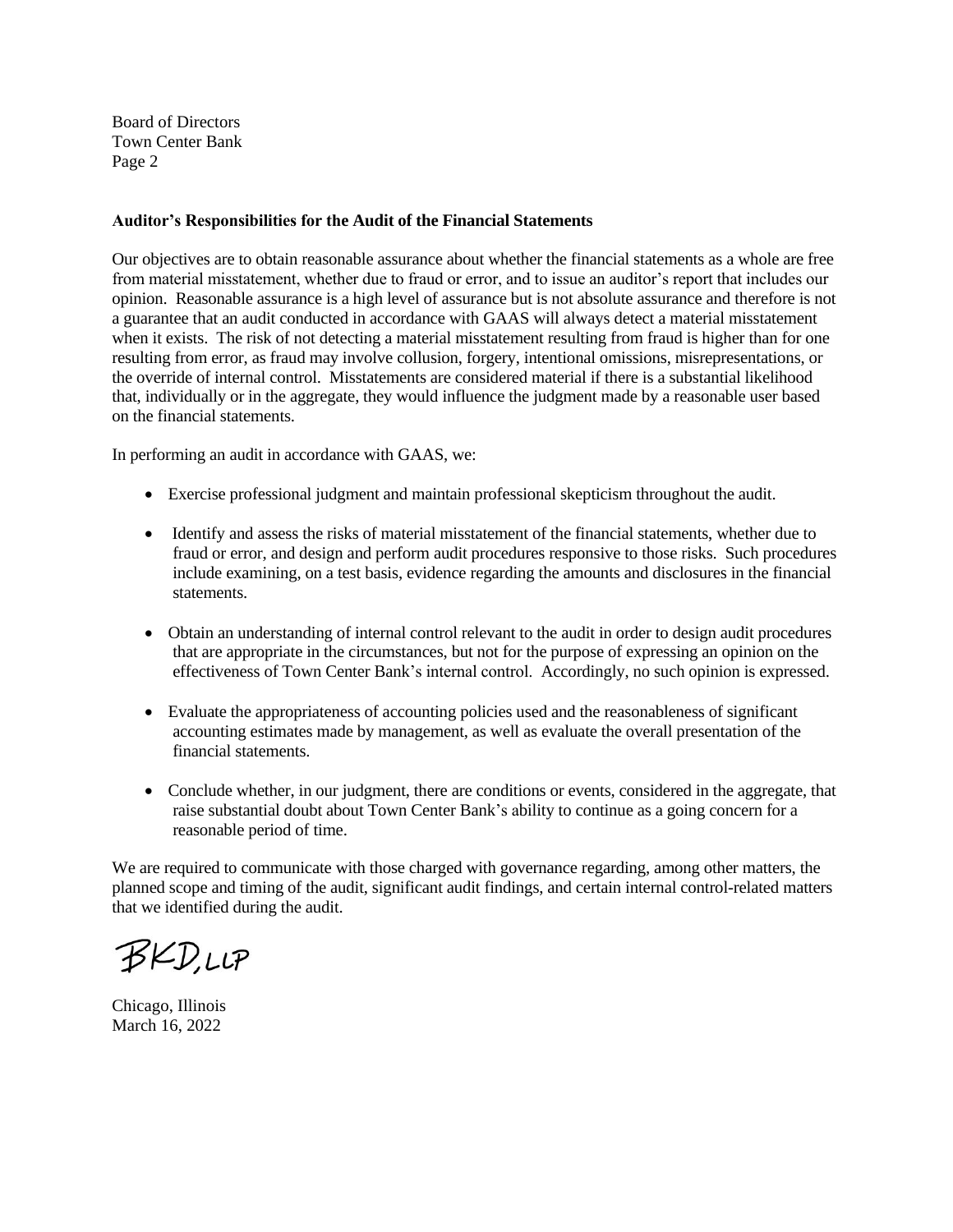Board of Directors Town Center Bank Page 2

#### **Auditor's Responsibilities for the Audit of the Financial Statements**

Our objectives are to obtain reasonable assurance about whether the financial statements as a whole are free from material misstatement, whether due to fraud or error, and to issue an auditor's report that includes our opinion. Reasonable assurance is a high level of assurance but is not absolute assurance and therefore is not a guarantee that an audit conducted in accordance with GAAS will always detect a material misstatement when it exists. The risk of not detecting a material misstatement resulting from fraud is higher than for one resulting from error, as fraud may involve collusion, forgery, intentional omissions, misrepresentations, or the override of internal control. Misstatements are considered material if there is a substantial likelihood that, individually or in the aggregate, they would influence the judgment made by a reasonable user based on the financial statements.

In performing an audit in accordance with GAAS, we:

- Exercise professional judgment and maintain professional skepticism throughout the audit.
- Identify and assess the risks of material misstatement of the financial statements, whether due to fraud or error, and design and perform audit procedures responsive to those risks. Such procedures include examining, on a test basis, evidence regarding the amounts and disclosures in the financial statements.
- Obtain an understanding of internal control relevant to the audit in order to design audit procedures that are appropriate in the circumstances, but not for the purpose of expressing an opinion on the effectiveness of Town Center Bank's internal control. Accordingly, no such opinion is expressed.
- Evaluate the appropriateness of accounting policies used and the reasonableness of significant accounting estimates made by management, as well as evaluate the overall presentation of the financial statements.
- Conclude whether, in our judgment, there are conditions or events, considered in the aggregate, that raise substantial doubt about Town Center Bank's ability to continue as a going concern for a reasonable period of time.

We are required to communicate with those charged with governance regarding, among other matters, the planned scope and timing of the audit, significant audit findings, and certain internal control-related matters that we identified during the audit.

**BKD,LLP** 

Chicago, Illinois March 16, 2022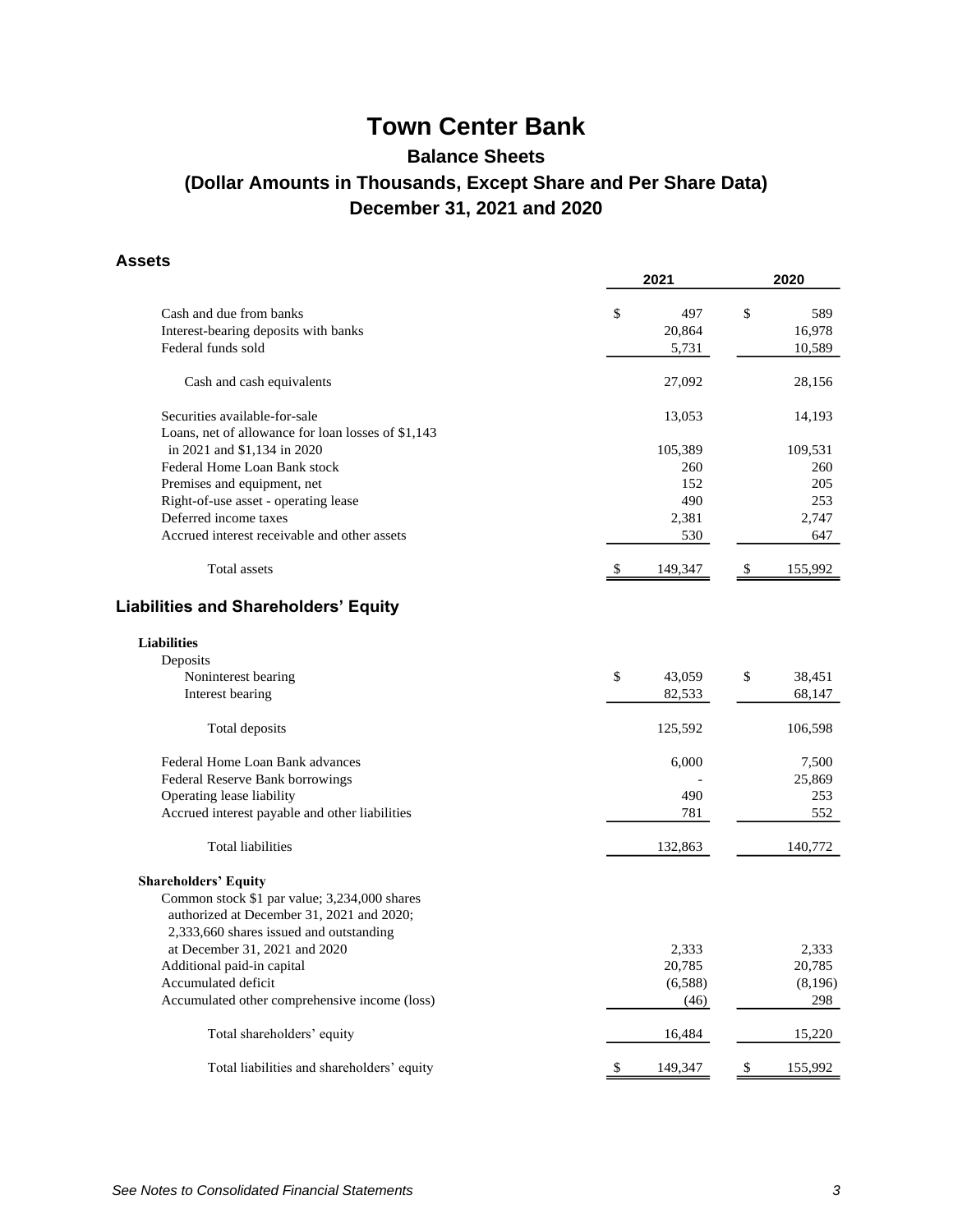### **Balance Sheets (Dollar Amounts in Thousands, Except Share and Per Share Data) December 31, 2021 and 2020**

### **Assets**

|                                                    | 2021          | 2020          |
|----------------------------------------------------|---------------|---------------|
| Cash and due from banks                            | \$<br>497     | \$<br>589     |
| Interest-bearing deposits with banks               | 20,864        | 16,978        |
| Federal funds sold                                 | 5,731         | 10,589        |
|                                                    |               |               |
| Cash and cash equivalents                          | 27,092        | 28,156        |
| Securities available-for-sale                      | 13,053        | 14,193        |
| Loans, net of allowance for loan losses of \$1,143 |               |               |
| in 2021 and \$1,134 in 2020                        | 105,389       | 109,531       |
| Federal Home Loan Bank stock                       | 260           | 260           |
| Premises and equipment, net                        | 152           | 205           |
| Right-of-use asset - operating lease               | 490           | 253           |
| Deferred income taxes                              | 2,381         | 2,747         |
| Accrued interest receivable and other assets       | 530           | 647           |
| Total assets                                       | \$<br>149,347 | 155,992<br>\$ |
| <b>Liabilities and Shareholders' Equity</b>        |               |               |
| <b>Liabilities</b>                                 |               |               |
| Deposits                                           |               |               |
| Noninterest bearing                                | \$<br>43,059  | \$<br>38,451  |
| Interest bearing                                   | 82,533        | 68,147        |
| Total deposits                                     | 125,592       | 106,598       |
| Federal Home Loan Bank advances                    | 6,000         | 7,500         |
| Federal Reserve Bank borrowings                    |               | 25,869        |
| Operating lease liability                          | 490           | 253           |
| Accrued interest payable and other liabilities     | 781           | 552           |
| <b>Total liabilities</b>                           | 132,863       | 140,772       |
| <b>Shareholders' Equity</b>                        |               |               |
| Common stock \$1 par value; 3,234,000 shares       |               |               |
| authorized at December 31, 2021 and 2020;          |               |               |
| 2,333,660 shares issued and outstanding            |               |               |
| at December 31, 2021 and 2020                      | 2,333         | 2,333         |
| Additional paid-in capital                         | 20,785        | 20,785        |
| Accumulated deficit                                | (6,588)       | (8,196)       |
| Accumulated other comprehensive income (loss)      | (46)          | 298           |
| Total shareholders' equity                         | 16,484        | 15,220        |
| Total liabilities and shareholders' equity         | \$<br>149,347 | \$<br>155,992 |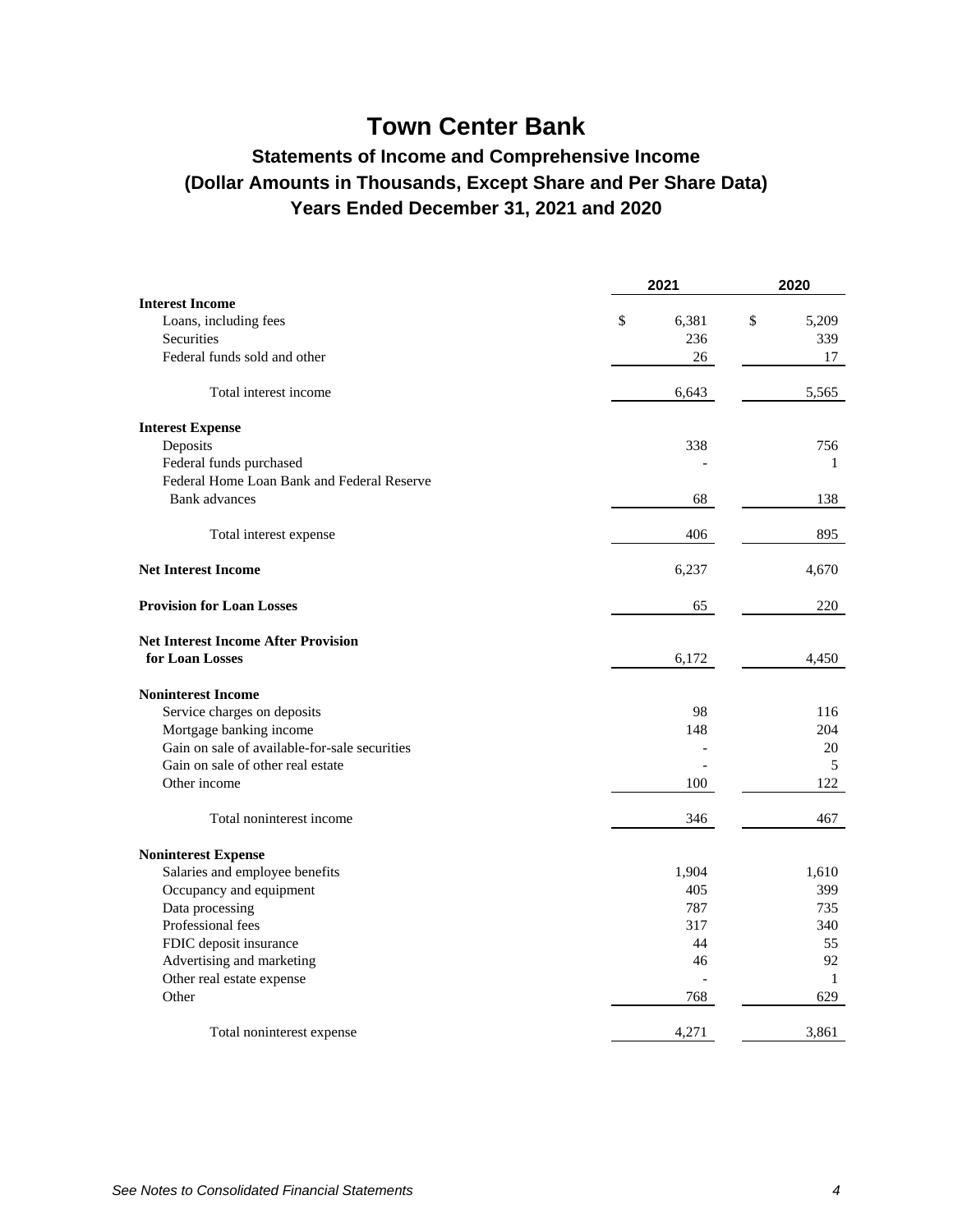### **Statements of Income and Comprehensive Income (Dollar Amounts in Thousands, Except Share and Per Share Data) Years Ended December 31, 2021 and 2020**

|                                               | 2021 | 2020  |    |              |
|-----------------------------------------------|------|-------|----|--------------|
| <b>Interest Income</b>                        |      |       |    |              |
| Loans, including fees                         | \$   | 6,381 | \$ | 5,209        |
| Securities                                    |      | 236   |    | 339          |
| Federal funds sold and other                  |      | 26    |    | 17           |
| Total interest income                         |      | 6,643 |    | 5,565        |
| <b>Interest Expense</b>                       |      |       |    |              |
| Deposits                                      |      | 338   |    | 756          |
| Federal funds purchased                       |      |       |    | $\mathbf{1}$ |
| Federal Home Loan Bank and Federal Reserve    |      |       |    |              |
| <b>Bank</b> advances                          |      | 68    |    | 138          |
| Total interest expense                        |      | 406   |    | 895          |
| <b>Net Interest Income</b>                    |      | 6,237 |    | 4,670        |
| <b>Provision for Loan Losses</b>              |      | 65    |    | 220          |
| <b>Net Interest Income After Provision</b>    |      |       |    |              |
| for Loan Losses                               |      | 6,172 |    | 4,450        |
| <b>Noninterest Income</b>                     |      |       |    |              |
| Service charges on deposits                   |      | 98    |    | 116          |
| Mortgage banking income                       |      | 148   |    | 204          |
| Gain on sale of available-for-sale securities |      |       |    | 20           |
| Gain on sale of other real estate             |      |       |    | 5            |
| Other income                                  |      | 100   |    | 122          |
| Total noninterest income                      |      | 346   |    | 467          |
| <b>Noninterest Expense</b>                    |      |       |    |              |
| Salaries and employee benefits                |      | 1,904 |    | 1,610        |
| Occupancy and equipment                       |      | 405   |    | 399          |
| Data processing                               |      | 787   |    | 735          |
| Professional fees                             |      | 317   |    | 340          |
| FDIC deposit insurance                        |      | 44    |    | 55           |
| Advertising and marketing                     |      | 46    |    | 92           |
| Other real estate expense                     |      |       |    | $\mathbf{1}$ |
| Other                                         |      | 768   |    | 629          |
| Total noninterest expense                     |      | 4,271 |    | 3,861        |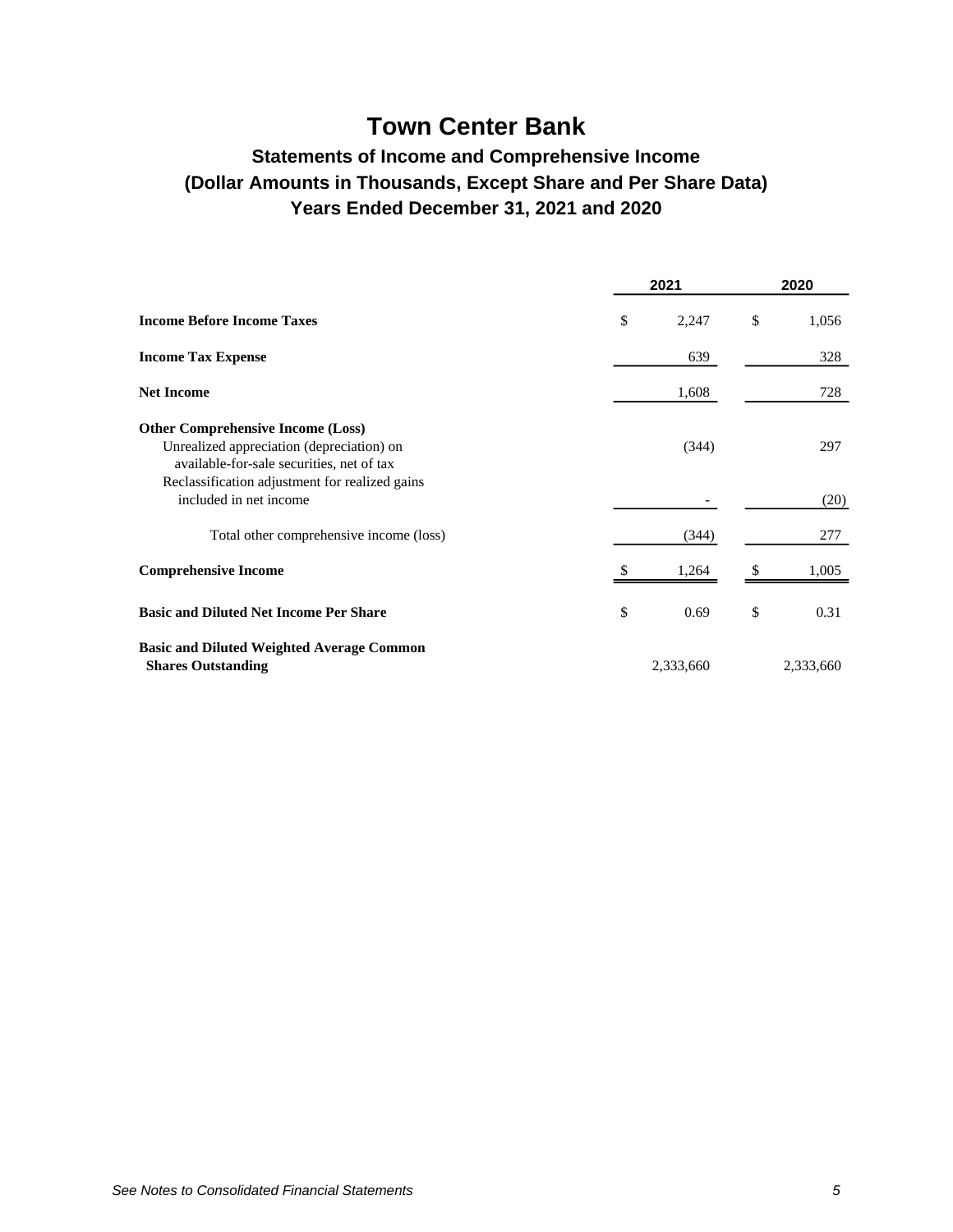### **Statements of Income and Comprehensive Income (Dollar Amounts in Thousands, Except Share and Per Share Data) Years Ended December 31, 2021 and 2020**

|                                                                                                                                    | 2021        |    |           |  |
|------------------------------------------------------------------------------------------------------------------------------------|-------------|----|-----------|--|
| <b>Income Before Income Taxes</b>                                                                                                  | \$<br>2,247 | \$ | 1,056     |  |
| <b>Income Tax Expense</b>                                                                                                          | 639         |    | 328       |  |
| <b>Net Income</b>                                                                                                                  | 1,608       |    | 728       |  |
| <b>Other Comprehensive Income (Loss)</b><br>Unrealized appreciation (depreciation) on<br>available-for-sale securities, net of tax | (344)       |    | 297       |  |
| Reclassification adjustment for realized gains<br>included in net income                                                           |             |    | (20)      |  |
| Total other comprehensive income (loss)                                                                                            | (344)       |    | 277       |  |
| <b>Comprehensive Income</b>                                                                                                        | 1,264       |    | 1,005     |  |
| <b>Basic and Diluted Net Income Per Share</b>                                                                                      | \$<br>0.69  | \$ | 0.31      |  |
| <b>Basic and Diluted Weighted Average Common</b><br><b>Shares Outstanding</b>                                                      | 2,333,660   |    | 2,333,660 |  |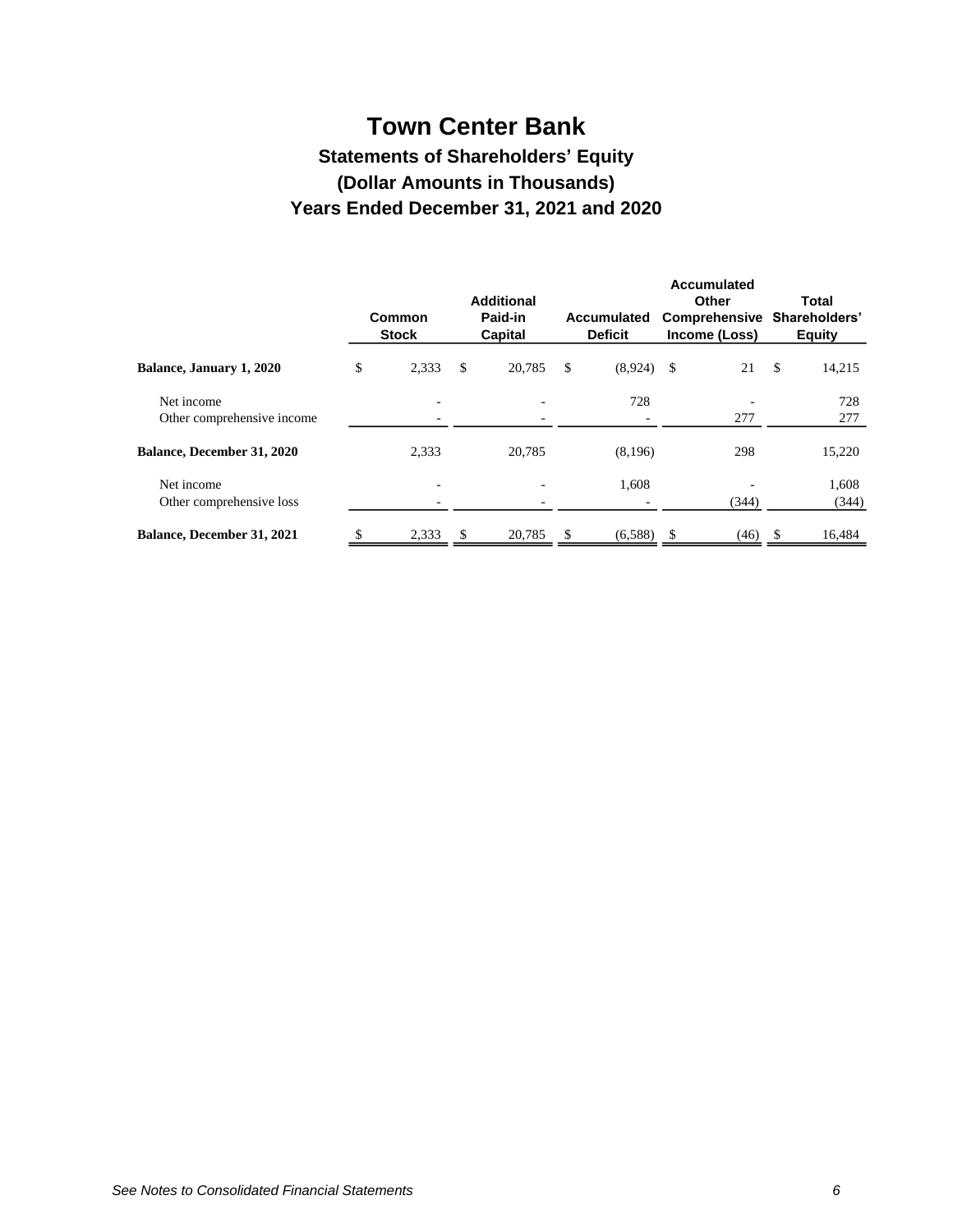# **Town Center Bank Statements of Shareholders' Equity (Dollar Amounts in Thousands) Years Ended December 31, 2021 and 2020**

|                                          | Common<br><b>Stock</b> |       |    | <b>Additional</b><br>Paid-in<br>Capital | <b>Accumulated</b><br><b>Deficit</b> | <b>Accumulated</b><br>Other<br>Comprehensive Shareholders'<br>Income (Loss) |       |               | Total<br><b>Equity</b> |  |
|------------------------------------------|------------------------|-------|----|-----------------------------------------|--------------------------------------|-----------------------------------------------------------------------------|-------|---------------|------------------------|--|
| Balance, January 1, 2020                 | \$                     | 2,333 | \$ | 20.785                                  | \$<br>(8,924)                        | - \$                                                                        | 21    | <sup>\$</sup> | 14,215                 |  |
| Net income<br>Other comprehensive income |                        |       |    |                                         | 728                                  |                                                                             | 277   |               | 728<br>277             |  |
| <b>Balance, December 31, 2020</b>        |                        | 2.333 |    | 20.785                                  | (8,196)                              |                                                                             | 298   |               | 15,220                 |  |
| Net income<br>Other comprehensive loss   |                        |       |    |                                         | 1,608                                |                                                                             | (344) |               | 1,608<br>(344)         |  |
| Balance, December 31, 2021               |                        | 2,333 | \$ | 20,785                                  | (6,588)                              | \$.                                                                         | (46)  |               | 16,484                 |  |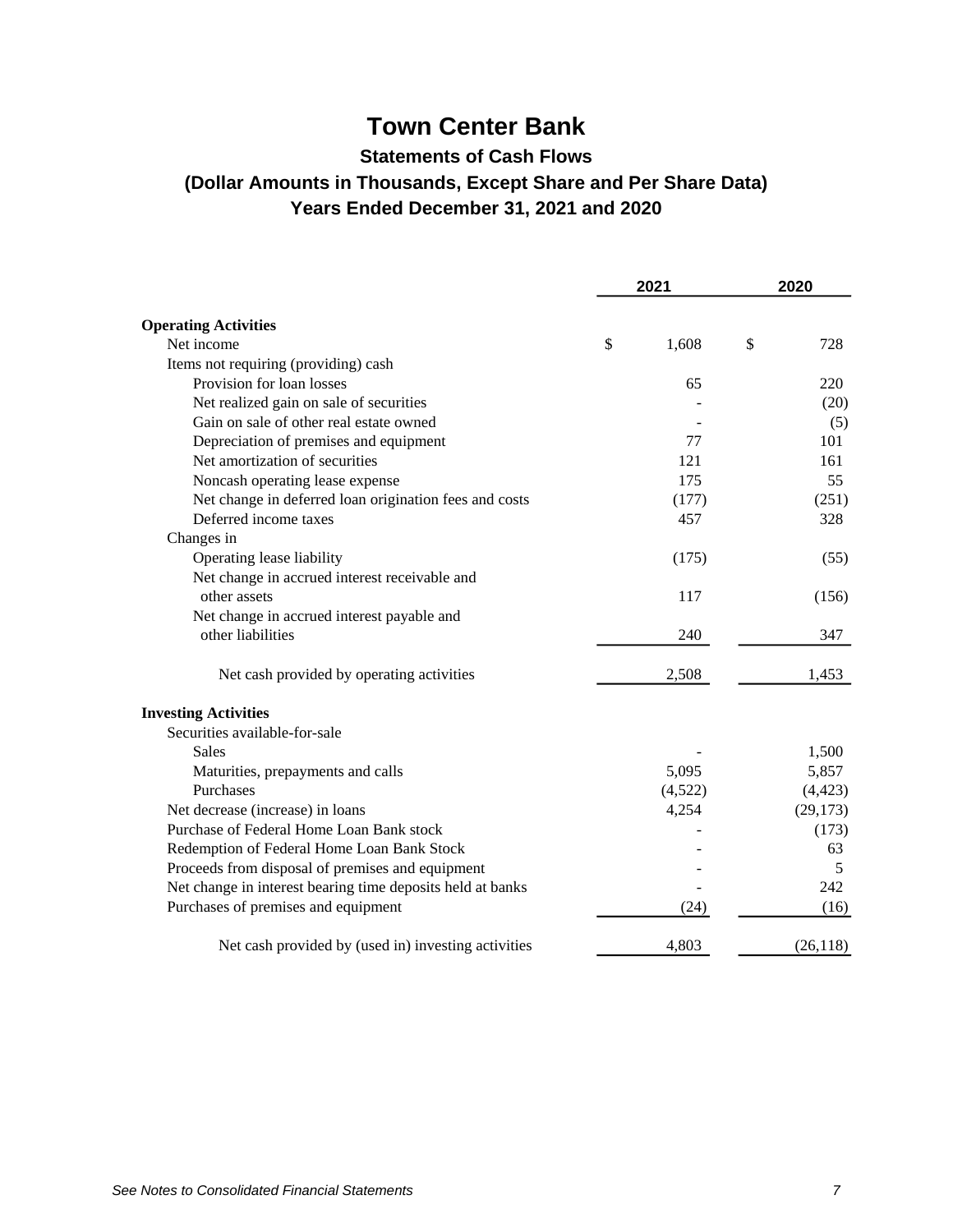### **Statements of Cash Flows**

### **(Dollar Amounts in Thousands, Except Share and Per Share Data) Years Ended December 31, 2021 and 2020**

|                                                            | 2021        | 2020      |  |  |
|------------------------------------------------------------|-------------|-----------|--|--|
| <b>Operating Activities</b>                                |             |           |  |  |
| Net income                                                 | \$<br>1,608 | \$<br>728 |  |  |
| Items not requiring (providing) cash                       |             |           |  |  |
| Provision for loan losses                                  | 65          | 220       |  |  |
| Net realized gain on sale of securities                    |             | (20)      |  |  |
| Gain on sale of other real estate owned                    |             | (5)       |  |  |
| Depreciation of premises and equipment                     | 77          | 101       |  |  |
| Net amortization of securities                             | 121         | 161       |  |  |
| Noncash operating lease expense                            | 175         | 55        |  |  |
| Net change in deferred loan origination fees and costs     | (177)       | (251)     |  |  |
| Deferred income taxes                                      | 457         | 328       |  |  |
| Changes in                                                 |             |           |  |  |
| Operating lease liability                                  | (175)       | (55)      |  |  |
| Net change in accrued interest receivable and              |             |           |  |  |
| other assets                                               | 117         | (156)     |  |  |
| Net change in accrued interest payable and                 |             |           |  |  |
| other liabilities                                          | 240         | 347       |  |  |
| Net cash provided by operating activities                  | 2,508       | 1,453     |  |  |
| <b>Investing Activities</b>                                |             |           |  |  |
| Securities available-for-sale                              |             |           |  |  |
| <b>Sales</b>                                               |             | 1,500     |  |  |
| Maturities, prepayments and calls                          | 5,095       | 5,857     |  |  |
| Purchases                                                  | (4,522)     | (4, 423)  |  |  |
| Net decrease (increase) in loans                           | 4,254       | (29, 173) |  |  |
| Purchase of Federal Home Loan Bank stock                   |             | (173)     |  |  |
| Redemption of Federal Home Loan Bank Stock                 |             | 63        |  |  |
| Proceeds from disposal of premises and equipment           |             | 5         |  |  |
| Net change in interest bearing time deposits held at banks |             | 242       |  |  |
| Purchases of premises and equipment                        | (24)        | (16)      |  |  |
| Net cash provided by (used in) investing activities        | 4,803       | (26, 118) |  |  |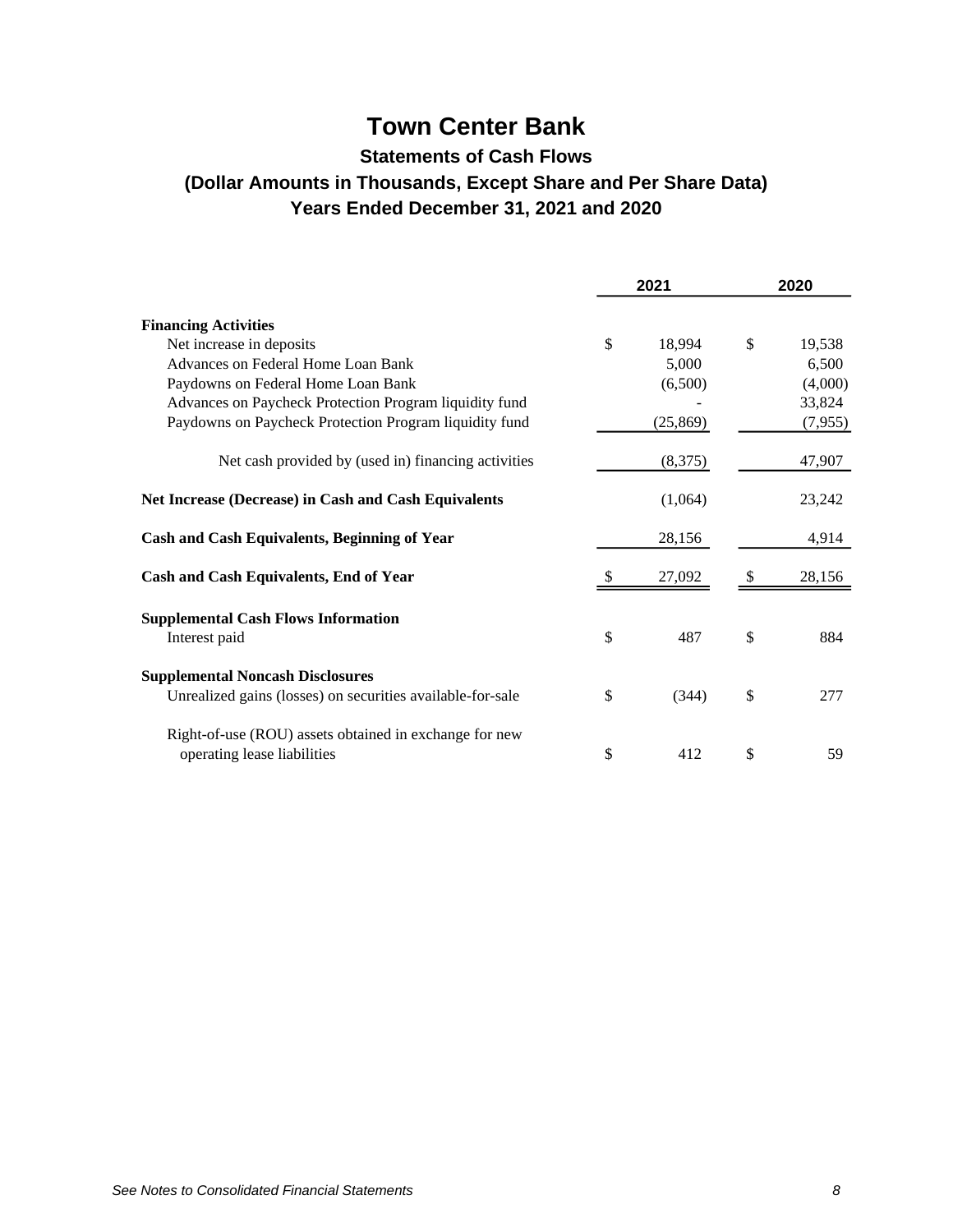# **Statements of Cash Flows**

### **(Dollar Amounts in Thousands, Except Share and Per Share Data) Years Ended December 31, 2021 and 2020**

|                                                                                       | 2021         | 2020 |         |  |
|---------------------------------------------------------------------------------------|--------------|------|---------|--|
| <b>Financing Activities</b>                                                           |              |      |         |  |
| Net increase in deposits                                                              | \$<br>18,994 | \$   | 19,538  |  |
| Advances on Federal Home Loan Bank                                                    | 5,000        |      | 6,500   |  |
| Paydowns on Federal Home Loan Bank                                                    | (6,500)      |      | (4,000) |  |
| Advances on Paycheck Protection Program liquidity fund                                |              |      | 33,824  |  |
| Paydowns on Paycheck Protection Program liquidity fund                                | (25, 869)    |      | (7,955) |  |
| Net cash provided by (used in) financing activities                                   | (8,375)      |      | 47,907  |  |
| Net Increase (Decrease) in Cash and Cash Equivalents                                  | (1,064)      |      | 23,242  |  |
| <b>Cash and Cash Equivalents, Beginning of Year</b>                                   | 28,156       |      | 4,914   |  |
| Cash and Cash Equivalents, End of Year                                                | 27,092       |      | 28,156  |  |
| <b>Supplemental Cash Flows Information</b>                                            |              |      |         |  |
| Interest paid                                                                         | \$<br>487    | \$   | 884     |  |
| <b>Supplemental Noncash Disclosures</b>                                               |              |      |         |  |
| Unrealized gains (losses) on securities available-for-sale                            | \$<br>(344)  | \$   | 277     |  |
| Right-of-use (ROU) assets obtained in exchange for new<br>operating lease liabilities | \$<br>412    | \$   | 59      |  |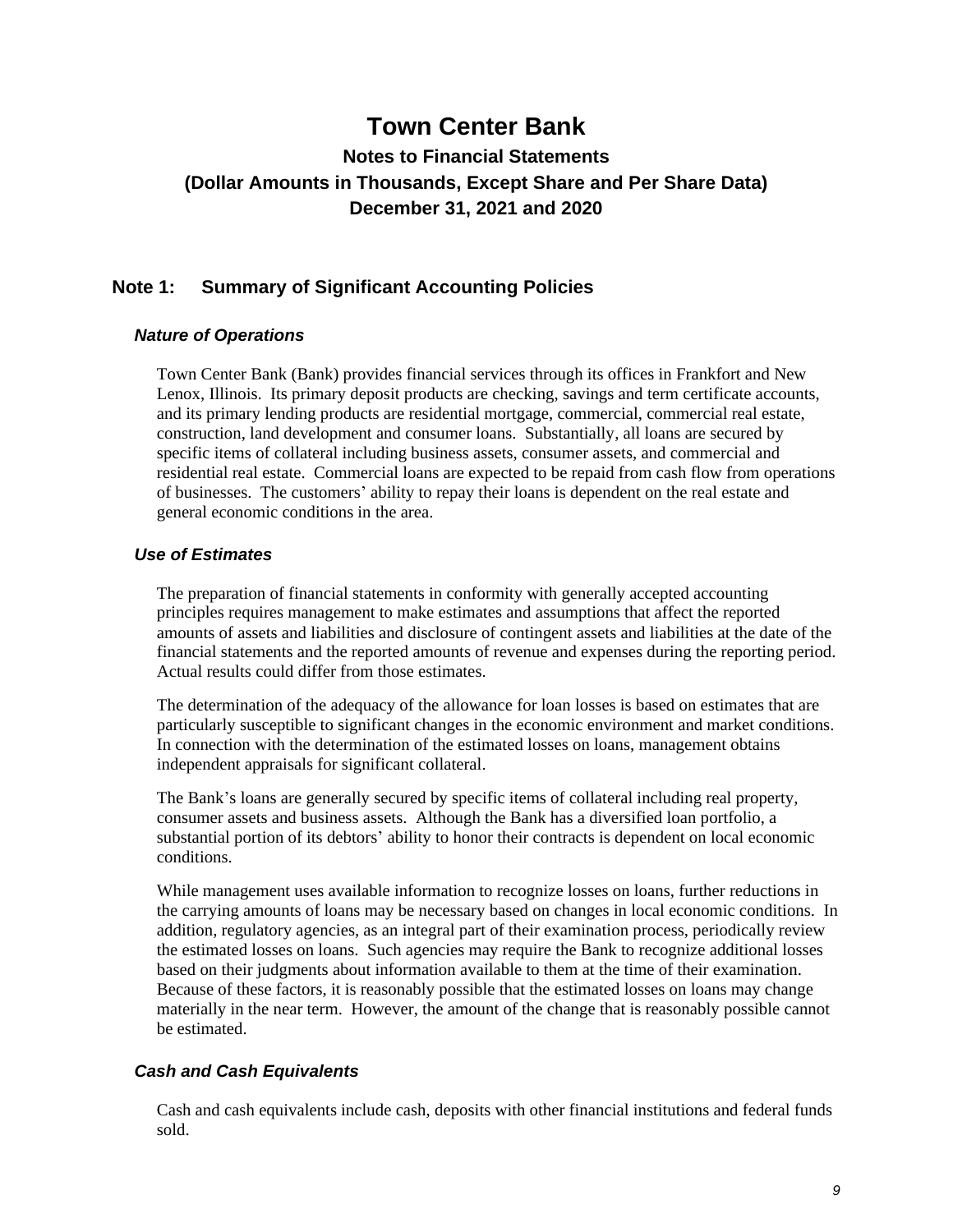### **Notes to Financial Statements (Dollar Amounts in Thousands, Except Share and Per Share Data) December 31, 2021 and 2020**

### **Note 1: Summary of Significant Accounting Policies**

### *Nature of Operations*

Town Center Bank (Bank) provides financial services through its offices in Frankfort and New Lenox, Illinois. Its primary deposit products are checking, savings and term certificate accounts, and its primary lending products are residential mortgage, commercial, commercial real estate, construction, land development and consumer loans. Substantially, all loans are secured by specific items of collateral including business assets, consumer assets, and commercial and residential real estate. Commercial loans are expected to be repaid from cash flow from operations of businesses. The customers' ability to repay their loans is dependent on the real estate and general economic conditions in the area.

### *Use of Estimates*

The preparation of financial statements in conformity with generally accepted accounting principles requires management to make estimates and assumptions that affect the reported amounts of assets and liabilities and disclosure of contingent assets and liabilities at the date of the financial statements and the reported amounts of revenue and expenses during the reporting period. Actual results could differ from those estimates.

The determination of the adequacy of the allowance for loan losses is based on estimates that are particularly susceptible to significant changes in the economic environment and market conditions. In connection with the determination of the estimated losses on loans, management obtains independent appraisals for significant collateral.

The Bank's loans are generally secured by specific items of collateral including real property, consumer assets and business assets. Although the Bank has a diversified loan portfolio, a substantial portion of its debtors' ability to honor their contracts is dependent on local economic conditions.

While management uses available information to recognize losses on loans, further reductions in the carrying amounts of loans may be necessary based on changes in local economic conditions. In addition, regulatory agencies, as an integral part of their examination process, periodically review the estimated losses on loans. Such agencies may require the Bank to recognize additional losses based on their judgments about information available to them at the time of their examination. Because of these factors, it is reasonably possible that the estimated losses on loans may change materially in the near term. However, the amount of the change that is reasonably possible cannot be estimated.

### *Cash and Cash Equivalents*

Cash and cash equivalents include cash, deposits with other financial institutions and federal funds sold.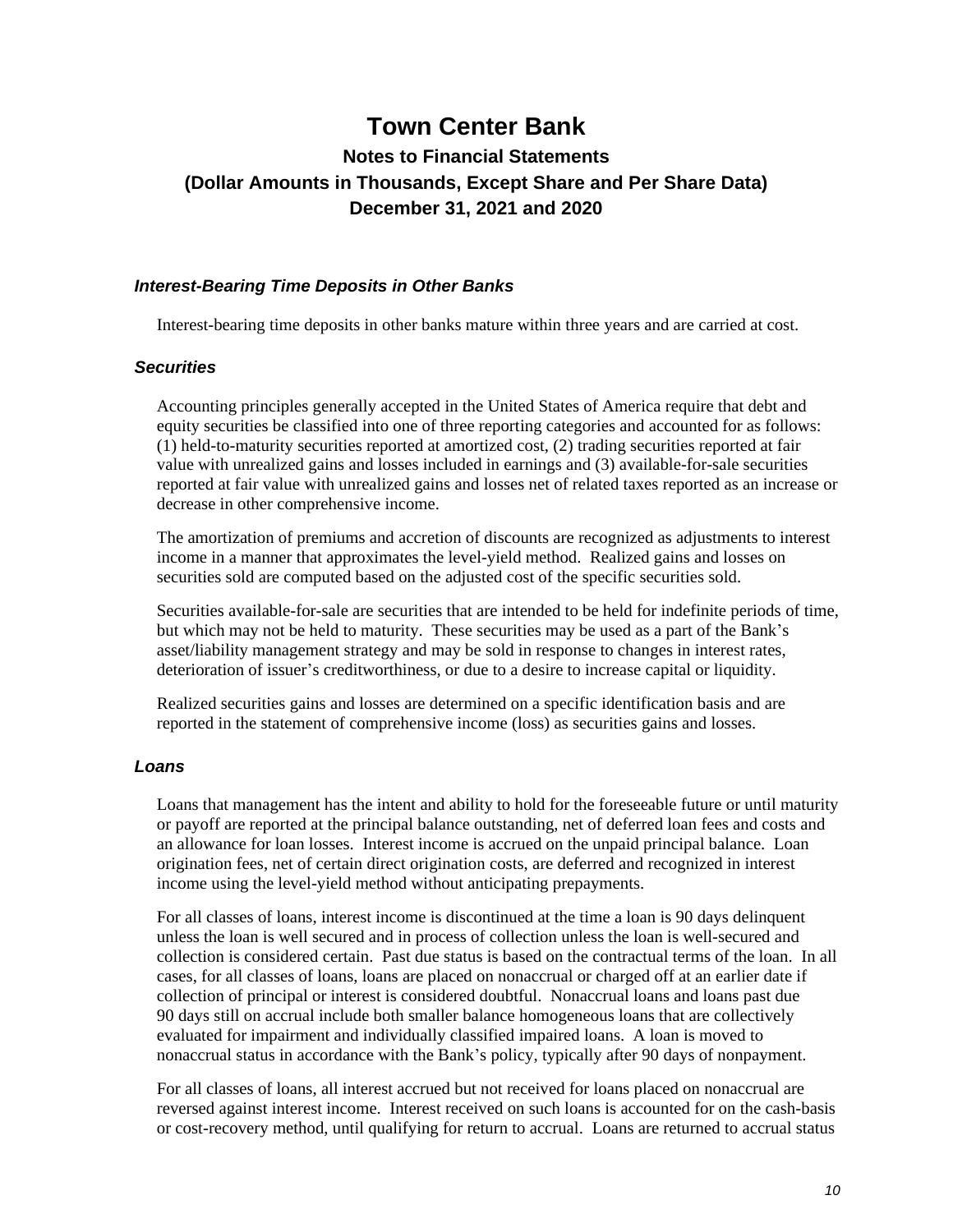### *Interest-Bearing Time Deposits in Other Banks*

Interest-bearing time deposits in other banks mature within three years and are carried at cost.

### *Securities*

Accounting principles generally accepted in the United States of America require that debt and equity securities be classified into one of three reporting categories and accounted for as follows: (1) held-to-maturity securities reported at amortized cost, (2) trading securities reported at fair value with unrealized gains and losses included in earnings and (3) available-for-sale securities reported at fair value with unrealized gains and losses net of related taxes reported as an increase or decrease in other comprehensive income.

The amortization of premiums and accretion of discounts are recognized as adjustments to interest income in a manner that approximates the level-yield method. Realized gains and losses on securities sold are computed based on the adjusted cost of the specific securities sold.

Securities available-for-sale are securities that are intended to be held for indefinite periods of time, but which may not be held to maturity. These securities may be used as a part of the Bank's asset/liability management strategy and may be sold in response to changes in interest rates, deterioration of issuer's creditworthiness, or due to a desire to increase capital or liquidity.

Realized securities gains and losses are determined on a specific identification basis and are reported in the statement of comprehensive income (loss) as securities gains and losses.

### *Loans*

Loans that management has the intent and ability to hold for the foreseeable future or until maturity or payoff are reported at the principal balance outstanding, net of deferred loan fees and costs and an allowance for loan losses. Interest income is accrued on the unpaid principal balance. Loan origination fees, net of certain direct origination costs, are deferred and recognized in interest income using the level-yield method without anticipating prepayments.

For all classes of loans, interest income is discontinued at the time a loan is 90 days delinquent unless the loan is well secured and in process of collection unless the loan is well-secured and collection is considered certain. Past due status is based on the contractual terms of the loan. In all cases, for all classes of loans, loans are placed on nonaccrual or charged off at an earlier date if collection of principal or interest is considered doubtful. Nonaccrual loans and loans past due 90 days still on accrual include both smaller balance homogeneous loans that are collectively evaluated for impairment and individually classified impaired loans. A loan is moved to nonaccrual status in accordance with the Bank's policy, typically after 90 days of nonpayment.

For all classes of loans, all interest accrued but not received for loans placed on nonaccrual are reversed against interest income. Interest received on such loans is accounted for on the cash-basis or cost-recovery method, until qualifying for return to accrual. Loans are returned to accrual status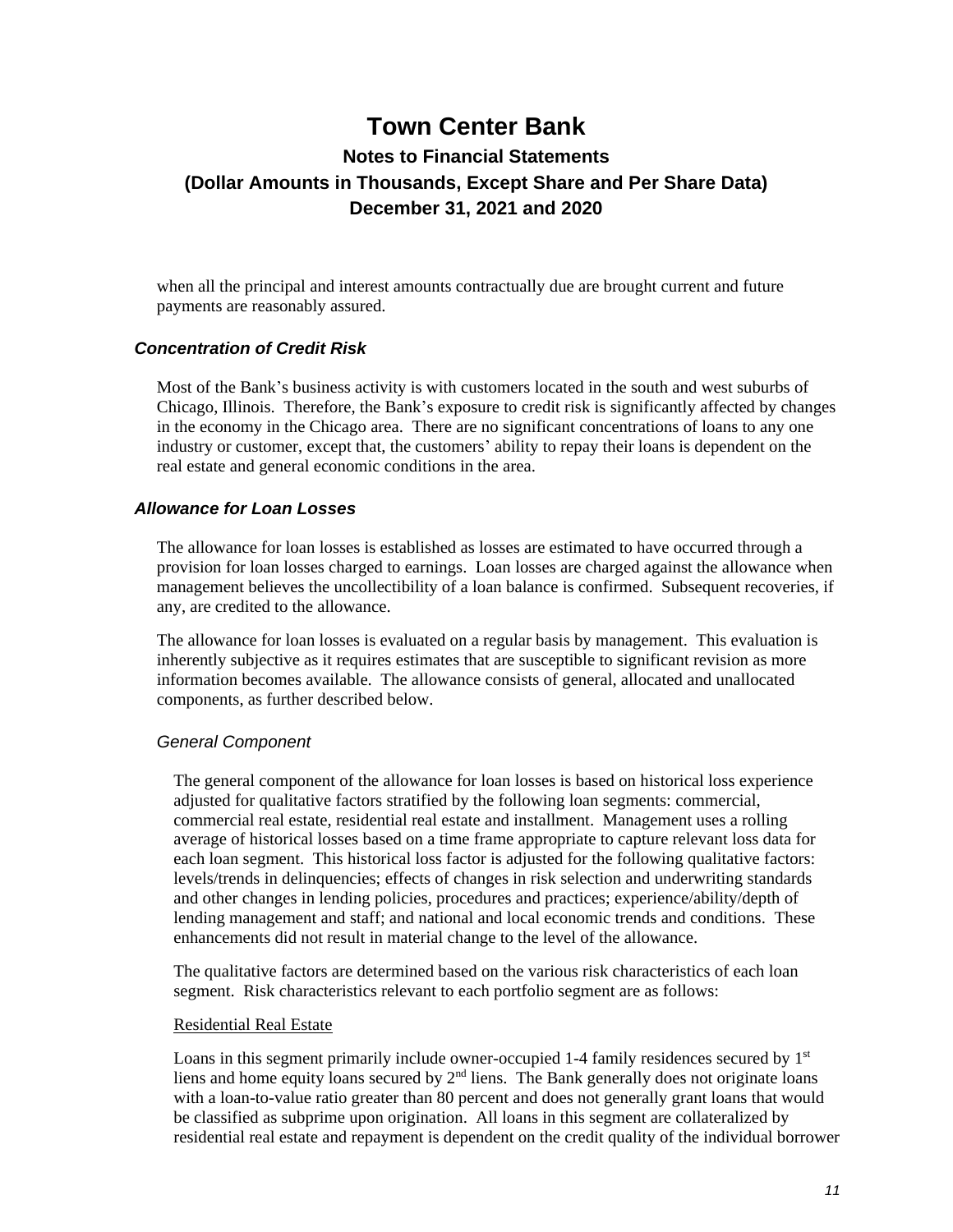when all the principal and interest amounts contractually due are brought current and future payments are reasonably assured.

### *Concentration of Credit Risk*

Most of the Bank's business activity is with customers located in the south and west suburbs of Chicago, Illinois. Therefore, the Bank's exposure to credit risk is significantly affected by changes in the economy in the Chicago area. There are no significant concentrations of loans to any one industry or customer, except that, the customers' ability to repay their loans is dependent on the real estate and general economic conditions in the area.

#### *Allowance for Loan Losses*

The allowance for loan losses is established as losses are estimated to have occurred through a provision for loan losses charged to earnings. Loan losses are charged against the allowance when management believes the uncollectibility of a loan balance is confirmed. Subsequent recoveries, if any, are credited to the allowance.

The allowance for loan losses is evaluated on a regular basis by management. This evaluation is inherently subjective as it requires estimates that are susceptible to significant revision as more information becomes available. The allowance consists of general, allocated and unallocated components, as further described below.

#### *General Component*

The general component of the allowance for loan losses is based on historical loss experience adjusted for qualitative factors stratified by the following loan segments: commercial, commercial real estate, residential real estate and installment. Management uses a rolling average of historical losses based on a time frame appropriate to capture relevant loss data for each loan segment. This historical loss factor is adjusted for the following qualitative factors: levels/trends in delinquencies; effects of changes in risk selection and underwriting standards and other changes in lending policies, procedures and practices; experience/ability/depth of lending management and staff; and national and local economic trends and conditions. These enhancements did not result in material change to the level of the allowance.

The qualitative factors are determined based on the various risk characteristics of each loan segment. Risk characteristics relevant to each portfolio segment are as follows:

#### Residential Real Estate

Loans in this segment primarily include owner-occupied 1-4 family residences secured by  $1<sup>st</sup>$ liens and home equity loans secured by  $2<sup>nd</sup>$  liens. The Bank generally does not originate loans with a loan-to-value ratio greater than 80 percent and does not generally grant loans that would be classified as subprime upon origination. All loans in this segment are collateralized by residential real estate and repayment is dependent on the credit quality of the individual borrower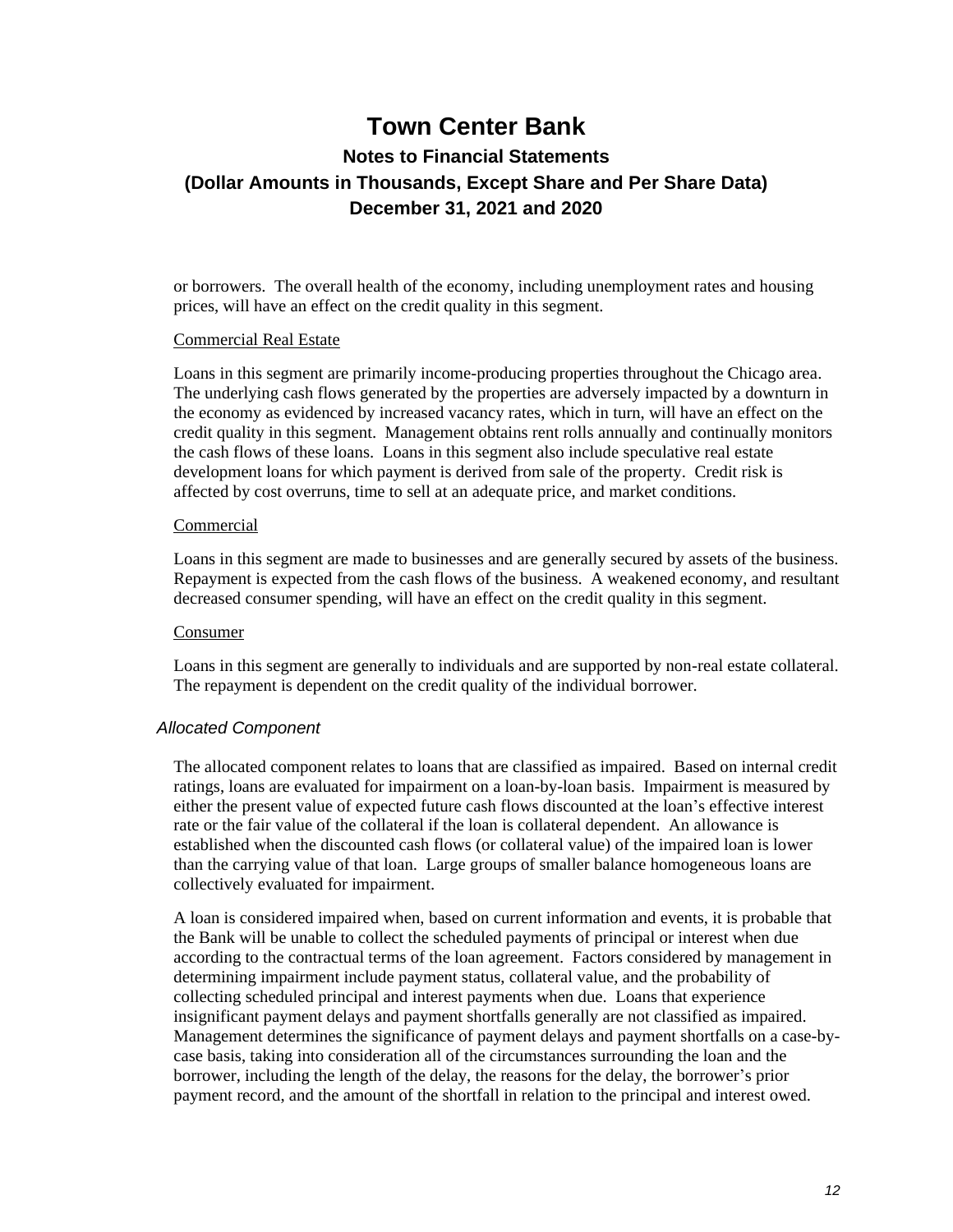or borrowers. The overall health of the economy, including unemployment rates and housing prices, will have an effect on the credit quality in this segment.

#### Commercial Real Estate

Loans in this segment are primarily income-producing properties throughout the Chicago area. The underlying cash flows generated by the properties are adversely impacted by a downturn in the economy as evidenced by increased vacancy rates, which in turn, will have an effect on the credit quality in this segment. Management obtains rent rolls annually and continually monitors the cash flows of these loans. Loans in this segment also include speculative real estate development loans for which payment is derived from sale of the property. Credit risk is affected by cost overruns, time to sell at an adequate price, and market conditions.

#### Commercial

Loans in this segment are made to businesses and are generally secured by assets of the business. Repayment is expected from the cash flows of the business. A weakened economy, and resultant decreased consumer spending, will have an effect on the credit quality in this segment.

#### Consumer

Loans in this segment are generally to individuals and are supported by non-real estate collateral. The repayment is dependent on the credit quality of the individual borrower.

#### *Allocated Component*

The allocated component relates to loans that are classified as impaired. Based on internal credit ratings, loans are evaluated for impairment on a loan-by-loan basis. Impairment is measured by either the present value of expected future cash flows discounted at the loan's effective interest rate or the fair value of the collateral if the loan is collateral dependent. An allowance is established when the discounted cash flows (or collateral value) of the impaired loan is lower than the carrying value of that loan. Large groups of smaller balance homogeneous loans are collectively evaluated for impairment.

A loan is considered impaired when, based on current information and events, it is probable that the Bank will be unable to collect the scheduled payments of principal or interest when due according to the contractual terms of the loan agreement. Factors considered by management in determining impairment include payment status, collateral value, and the probability of collecting scheduled principal and interest payments when due. Loans that experience insignificant payment delays and payment shortfalls generally are not classified as impaired. Management determines the significance of payment delays and payment shortfalls on a case-bycase basis, taking into consideration all of the circumstances surrounding the loan and the borrower, including the length of the delay, the reasons for the delay, the borrower's prior payment record, and the amount of the shortfall in relation to the principal and interest owed.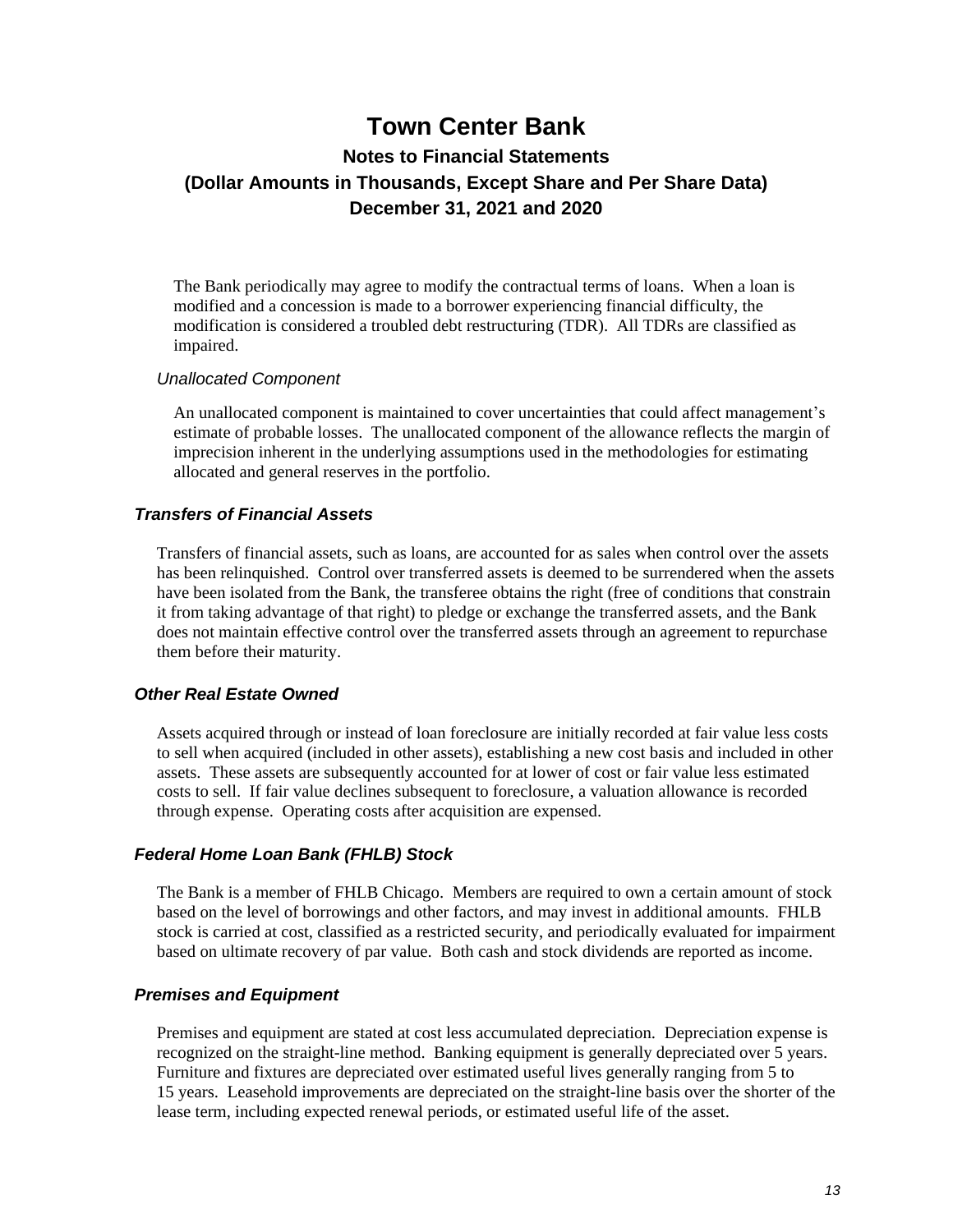The Bank periodically may agree to modify the contractual terms of loans. When a loan is modified and a concession is made to a borrower experiencing financial difficulty, the modification is considered a troubled debt restructuring (TDR). All TDRs are classified as impaired.

### *Unallocated Component*

An unallocated component is maintained to cover uncertainties that could affect management's estimate of probable losses. The unallocated component of the allowance reflects the margin of imprecision inherent in the underlying assumptions used in the methodologies for estimating allocated and general reserves in the portfolio.

### *Transfers of Financial Assets*

Transfers of financial assets, such as loans, are accounted for as sales when control over the assets has been relinquished. Control over transferred assets is deemed to be surrendered when the assets have been isolated from the Bank, the transferee obtains the right (free of conditions that constrain it from taking advantage of that right) to pledge or exchange the transferred assets, and the Bank does not maintain effective control over the transferred assets through an agreement to repurchase them before their maturity.

### *Other Real Estate Owned*

Assets acquired through or instead of loan foreclosure are initially recorded at fair value less costs to sell when acquired (included in other assets), establishing a new cost basis and included in other assets. These assets are subsequently accounted for at lower of cost or fair value less estimated costs to sell. If fair value declines subsequent to foreclosure, a valuation allowance is recorded through expense. Operating costs after acquisition are expensed.

### *Federal Home Loan Bank (FHLB) Stock*

The Bank is a member of FHLB Chicago. Members are required to own a certain amount of stock based on the level of borrowings and other factors, and may invest in additional amounts. FHLB stock is carried at cost, classified as a restricted security, and periodically evaluated for impairment based on ultimate recovery of par value. Both cash and stock dividends are reported as income.

### *Premises and Equipment*

Premises and equipment are stated at cost less accumulated depreciation. Depreciation expense is recognized on the straight-line method. Banking equipment is generally depreciated over 5 years. Furniture and fixtures are depreciated over estimated useful lives generally ranging from 5 to 15 years. Leasehold improvements are depreciated on the straight-line basis over the shorter of the lease term, including expected renewal periods, or estimated useful life of the asset.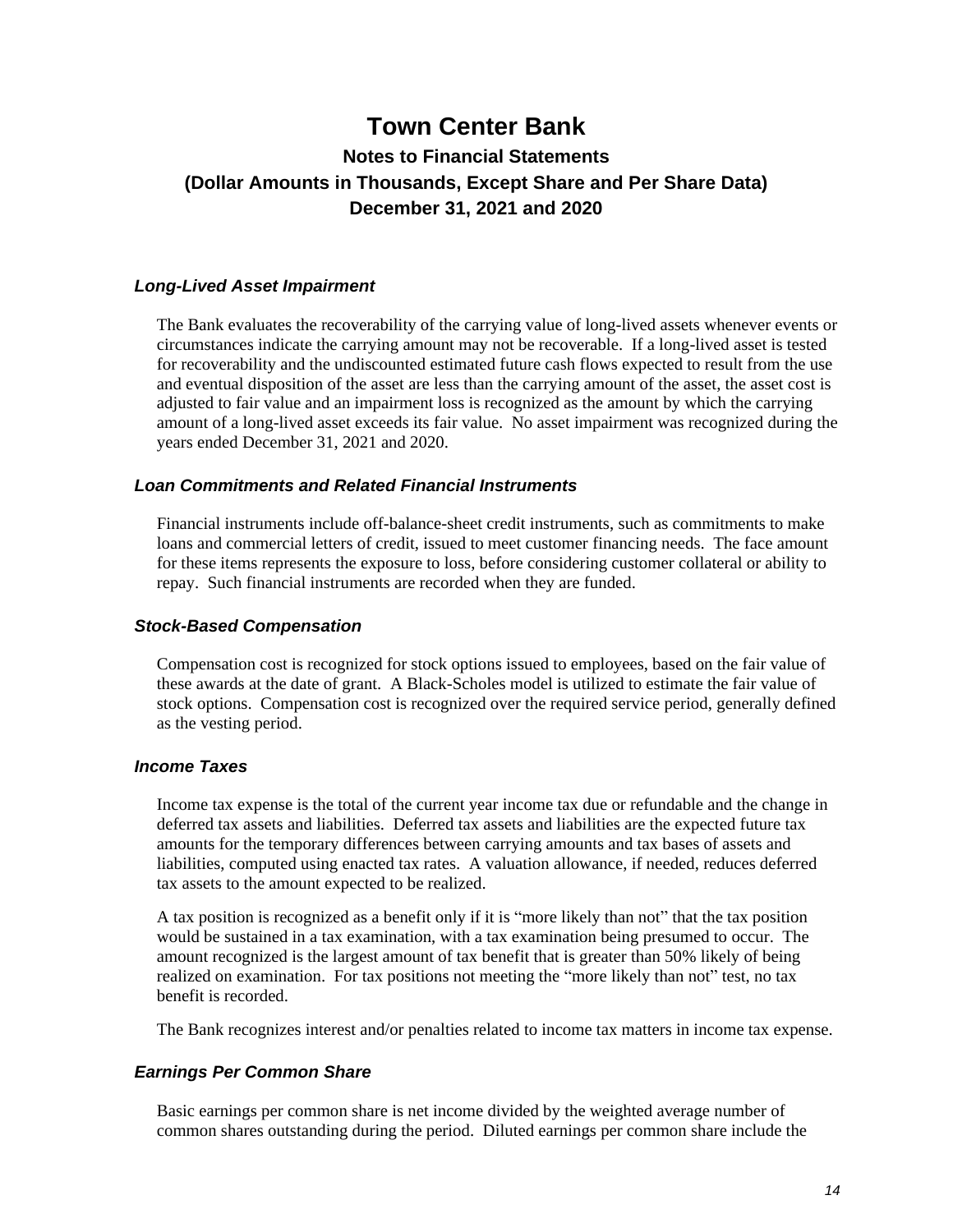### *Long-Lived Asset Impairment*

The Bank evaluates the recoverability of the carrying value of long-lived assets whenever events or circumstances indicate the carrying amount may not be recoverable. If a long-lived asset is tested for recoverability and the undiscounted estimated future cash flows expected to result from the use and eventual disposition of the asset are less than the carrying amount of the asset, the asset cost is adjusted to fair value and an impairment loss is recognized as the amount by which the carrying amount of a long-lived asset exceeds its fair value. No asset impairment was recognized during the years ended December 31, 2021 and 2020.

### *Loan Commitments and Related Financial Instruments*

Financial instruments include off-balance-sheet credit instruments, such as commitments to make loans and commercial letters of credit, issued to meet customer financing needs. The face amount for these items represents the exposure to loss, before considering customer collateral or ability to repay. Such financial instruments are recorded when they are funded.

### *Stock-Based Compensation*

Compensation cost is recognized for stock options issued to employees, based on the fair value of these awards at the date of grant. A Black-Scholes model is utilized to estimate the fair value of stock options. Compensation cost is recognized over the required service period, generally defined as the vesting period.

### *Income Taxes*

Income tax expense is the total of the current year income tax due or refundable and the change in deferred tax assets and liabilities. Deferred tax assets and liabilities are the expected future tax amounts for the temporary differences between carrying amounts and tax bases of assets and liabilities, computed using enacted tax rates. A valuation allowance, if needed, reduces deferred tax assets to the amount expected to be realized.

A tax position is recognized as a benefit only if it is "more likely than not" that the tax position would be sustained in a tax examination, with a tax examination being presumed to occur. The amount recognized is the largest amount of tax benefit that is greater than 50% likely of being realized on examination. For tax positions not meeting the "more likely than not" test, no tax benefit is recorded.

The Bank recognizes interest and/or penalties related to income tax matters in income tax expense.

### *Earnings Per Common Share*

Basic earnings per common share is net income divided by the weighted average number of common shares outstanding during the period. Diluted earnings per common share include the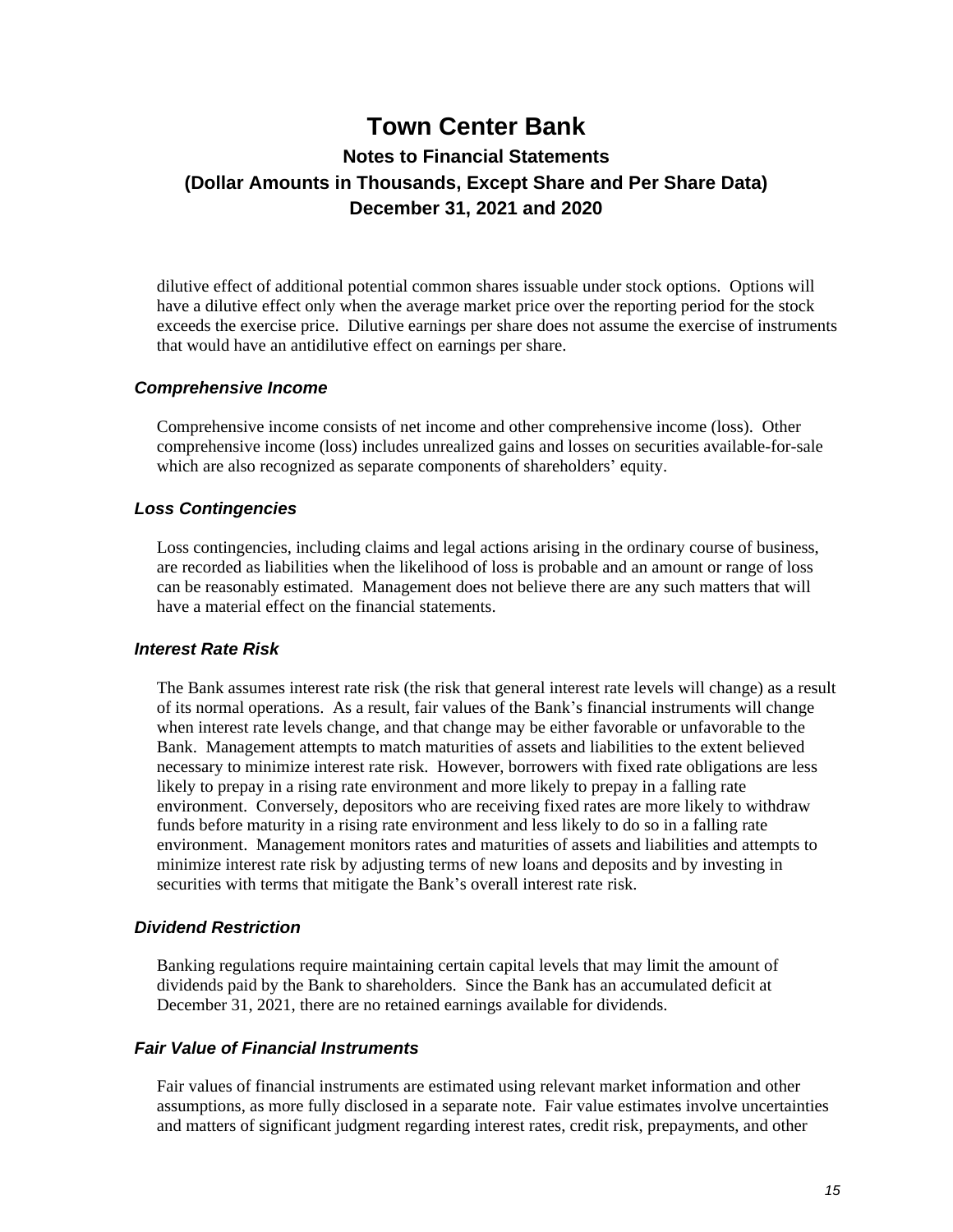dilutive effect of additional potential common shares issuable under stock options. Options will have a dilutive effect only when the average market price over the reporting period for the stock exceeds the exercise price. Dilutive earnings per share does not assume the exercise of instruments that would have an antidilutive effect on earnings per share.

### *Comprehensive Income*

Comprehensive income consists of net income and other comprehensive income (loss). Other comprehensive income (loss) includes unrealized gains and losses on securities available-for-sale which are also recognized as separate components of shareholders' equity.

### *Loss Contingencies*

Loss contingencies, including claims and legal actions arising in the ordinary course of business, are recorded as liabilities when the likelihood of loss is probable and an amount or range of loss can be reasonably estimated. Management does not believe there are any such matters that will have a material effect on the financial statements.

#### *Interest Rate Risk*

The Bank assumes interest rate risk (the risk that general interest rate levels will change) as a result of its normal operations. As a result, fair values of the Bank's financial instruments will change when interest rate levels change, and that change may be either favorable or unfavorable to the Bank. Management attempts to match maturities of assets and liabilities to the extent believed necessary to minimize interest rate risk. However, borrowers with fixed rate obligations are less likely to prepay in a rising rate environment and more likely to prepay in a falling rate environment. Conversely, depositors who are receiving fixed rates are more likely to withdraw funds before maturity in a rising rate environment and less likely to do so in a falling rate environment. Management monitors rates and maturities of assets and liabilities and attempts to minimize interest rate risk by adjusting terms of new loans and deposits and by investing in securities with terms that mitigate the Bank's overall interest rate risk.

### *Dividend Restriction*

Banking regulations require maintaining certain capital levels that may limit the amount of dividends paid by the Bank to shareholders. Since the Bank has an accumulated deficit at December 31, 2021, there are no retained earnings available for dividends.

### *Fair Value of Financial Instruments*

Fair values of financial instruments are estimated using relevant market information and other assumptions, as more fully disclosed in a separate note. Fair value estimates involve uncertainties and matters of significant judgment regarding interest rates, credit risk, prepayments, and other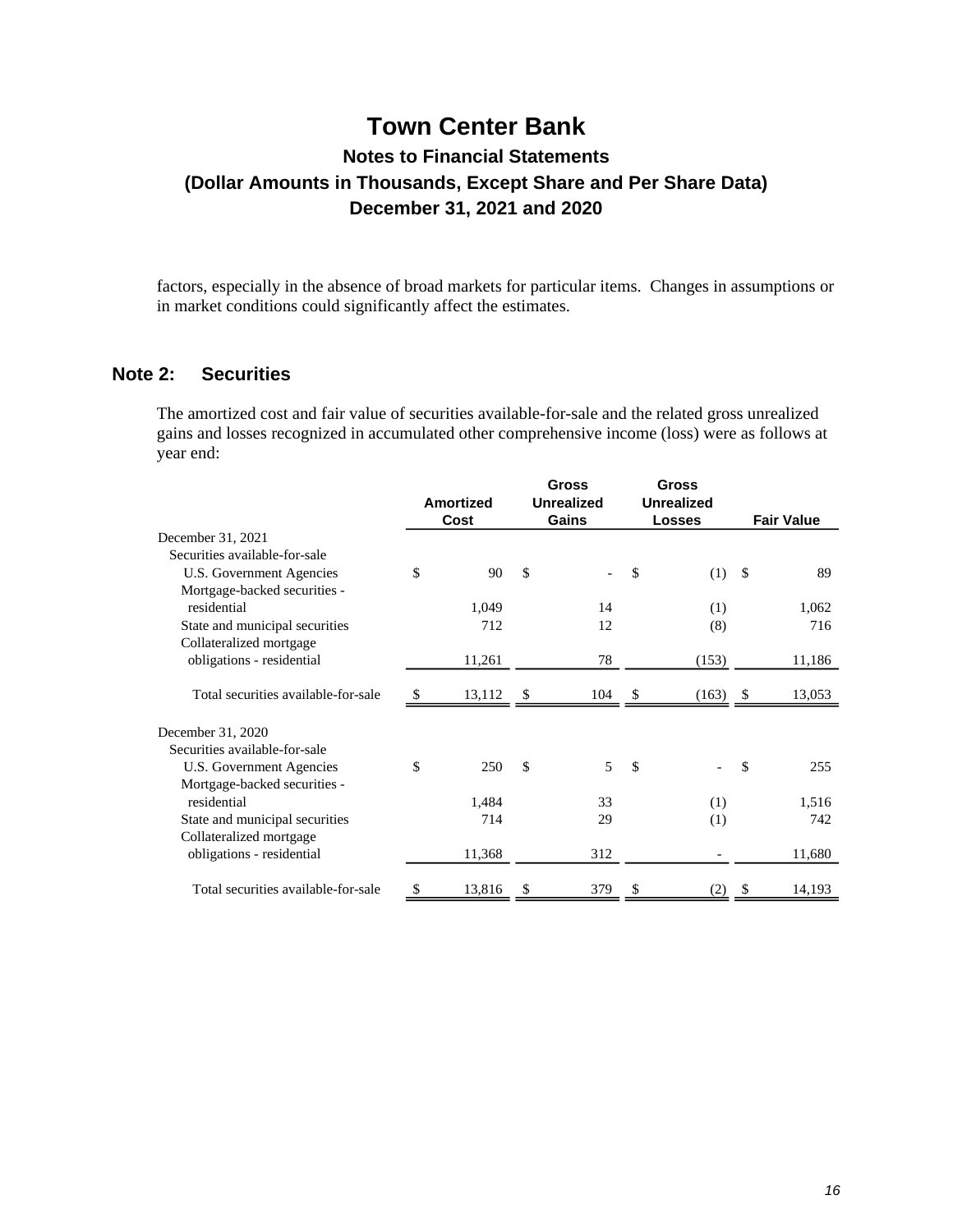factors, especially in the absence of broad markets for particular items. Changes in assumptions or in market conditions could significantly affect the estimates.

### **Note 2: Securities**

The amortized cost and fair value of securities available-for-sale and the related gross unrealized gains and losses recognized in accumulated other comprehensive income (loss) were as follows at year end:

|                                     |    |                          | Gross                      |     | Gross                              |                   |        |  |
|-------------------------------------|----|--------------------------|----------------------------|-----|------------------------------------|-------------------|--------|--|
|                                     |    | <b>Amortized</b><br>Cost | <b>Unrealized</b><br>Gains |     | <b>Unrealized</b><br><b>Losses</b> | <b>Fair Value</b> |        |  |
| December 31, 2021                   |    |                          |                            |     |                                    |                   |        |  |
| Securities available-for-sale       |    |                          |                            |     |                                    |                   |        |  |
| U.S. Government Agencies            | \$ | 90                       | \$                         | \$. | (1)                                | $\mathcal{S}$     | 89     |  |
| Mortgage-backed securities -        |    |                          |                            |     |                                    |                   |        |  |
| residential                         |    | 1,049                    | 14                         |     | (1)                                |                   | 1,062  |  |
| State and municipal securities      |    | 712                      | 12                         |     | (8)                                |                   | 716    |  |
| Collateralized mortgage             |    |                          |                            |     |                                    |                   |        |  |
| obligations - residential           |    | 11,261                   | 78                         |     | (153)                              |                   | 11,186 |  |
|                                     |    |                          |                            |     |                                    |                   |        |  |
| Total securities available-for-sale | \$ | 13,112                   | \$<br>104                  | \$  | (163)                              | -S                | 13,053 |  |
| December 31, 2020                   |    |                          |                            |     |                                    |                   |        |  |
| Securities available-for-sale       |    |                          |                            |     |                                    |                   |        |  |
| U.S. Government Agencies            | \$ | 250                      | \$<br>5                    | -S  |                                    | \$                | 255    |  |
| Mortgage-backed securities -        |    |                          |                            |     |                                    |                   |        |  |
| residential                         |    | 1,484                    | 33                         |     | (1)                                |                   | 1,516  |  |
| State and municipal securities      |    | 714                      | 29                         |     | (1)                                |                   | 742    |  |
| Collateralized mortgage             |    |                          |                            |     |                                    |                   |        |  |
| obligations - residential           |    | 11,368                   | 312                        |     |                                    |                   | 11,680 |  |
|                                     |    |                          |                            |     |                                    |                   |        |  |
| Total securities available-for-sale | \$ | 13,816                   | 379                        |     | 2)                                 |                   | 14,193 |  |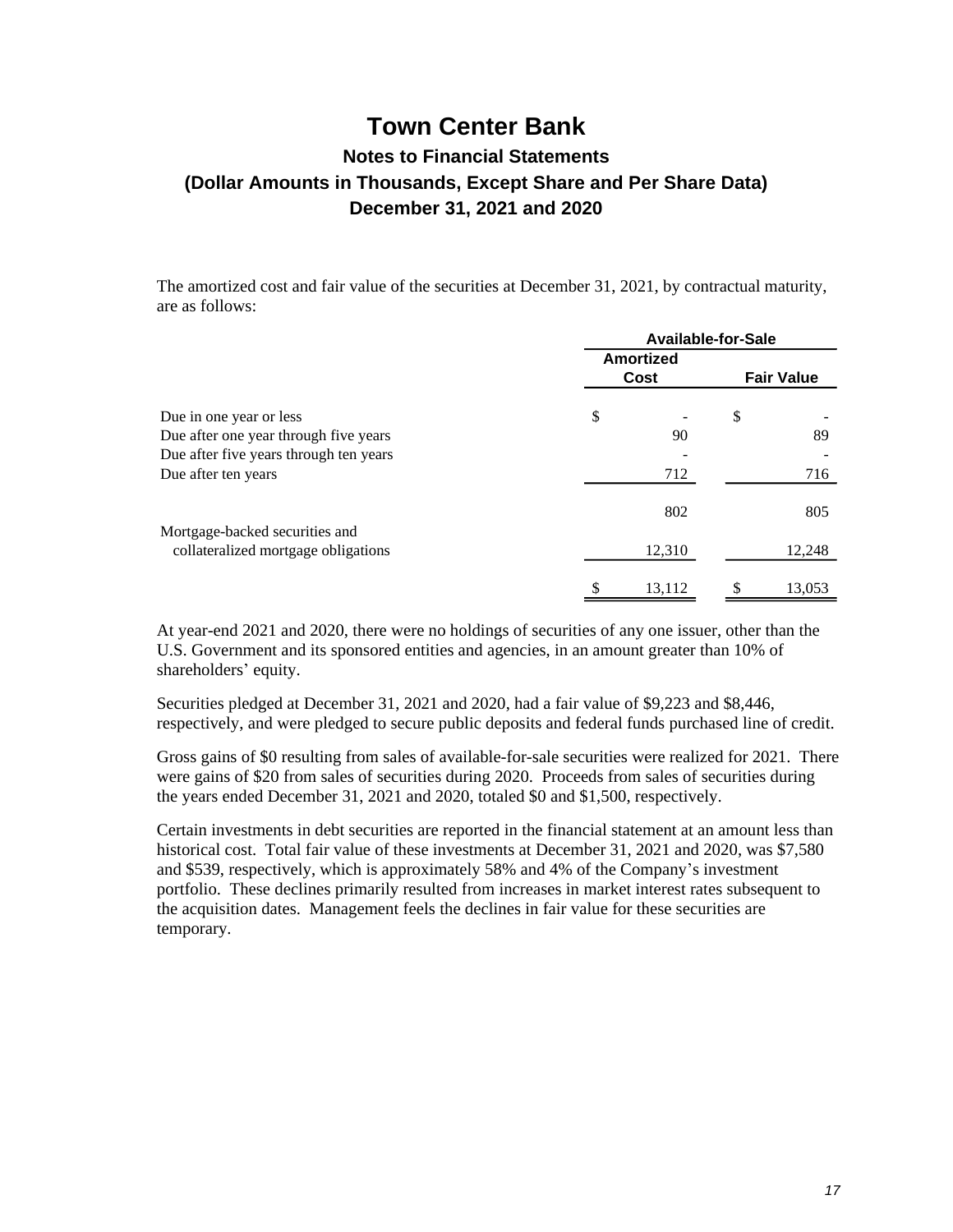### **Notes to Financial Statements (Dollar Amounts in Thousands, Except Share and Per Share Data) December 31, 2021 and 2020**

The amortized cost and fair value of the securities at December 31, 2021, by contractual maturity, are as follows:

|                                        |      | <b>Available-for-Sale</b> |                   |        |  |  |  |
|----------------------------------------|------|---------------------------|-------------------|--------|--|--|--|
|                                        |      | Amortized                 |                   |        |  |  |  |
|                                        | Cost |                           | <b>Fair Value</b> |        |  |  |  |
| Due in one year or less                | \$   |                           | \$                |        |  |  |  |
| Due after one year through five years  |      | 90                        |                   | 89     |  |  |  |
| Due after five years through ten years |      |                           |                   |        |  |  |  |
| Due after ten years                    |      | 712                       |                   | 716    |  |  |  |
|                                        |      | 802                       |                   | 805    |  |  |  |
| Mortgage-backed securities and         |      |                           |                   |        |  |  |  |
| collateralized mortgage obligations    |      | 12,310                    |                   | 12,248 |  |  |  |
|                                        |      | 13,112                    |                   | 13,053 |  |  |  |

At year-end 2021 and 2020, there were no holdings of securities of any one issuer, other than the U.S. Government and its sponsored entities and agencies, in an amount greater than 10% of shareholders' equity.

Securities pledged at December 31, 2021 and 2020, had a fair value of \$9,223 and \$8,446, respectively, and were pledged to secure public deposits and federal funds purchased line of credit.

Gross gains of \$0 resulting from sales of available-for-sale securities were realized for 2021. There were gains of \$20 from sales of securities during 2020. Proceeds from sales of securities during the years ended December 31, 2021 and 2020, totaled \$0 and \$1,500, respectively.

Certain investments in debt securities are reported in the financial statement at an amount less than historical cost. Total fair value of these investments at December 31, 2021 and 2020, was \$7,580 and \$539, respectively, which is approximately 58% and 4% of the Company's investment portfolio. These declines primarily resulted from increases in market interest rates subsequent to the acquisition dates. Management feels the declines in fair value for these securities are temporary.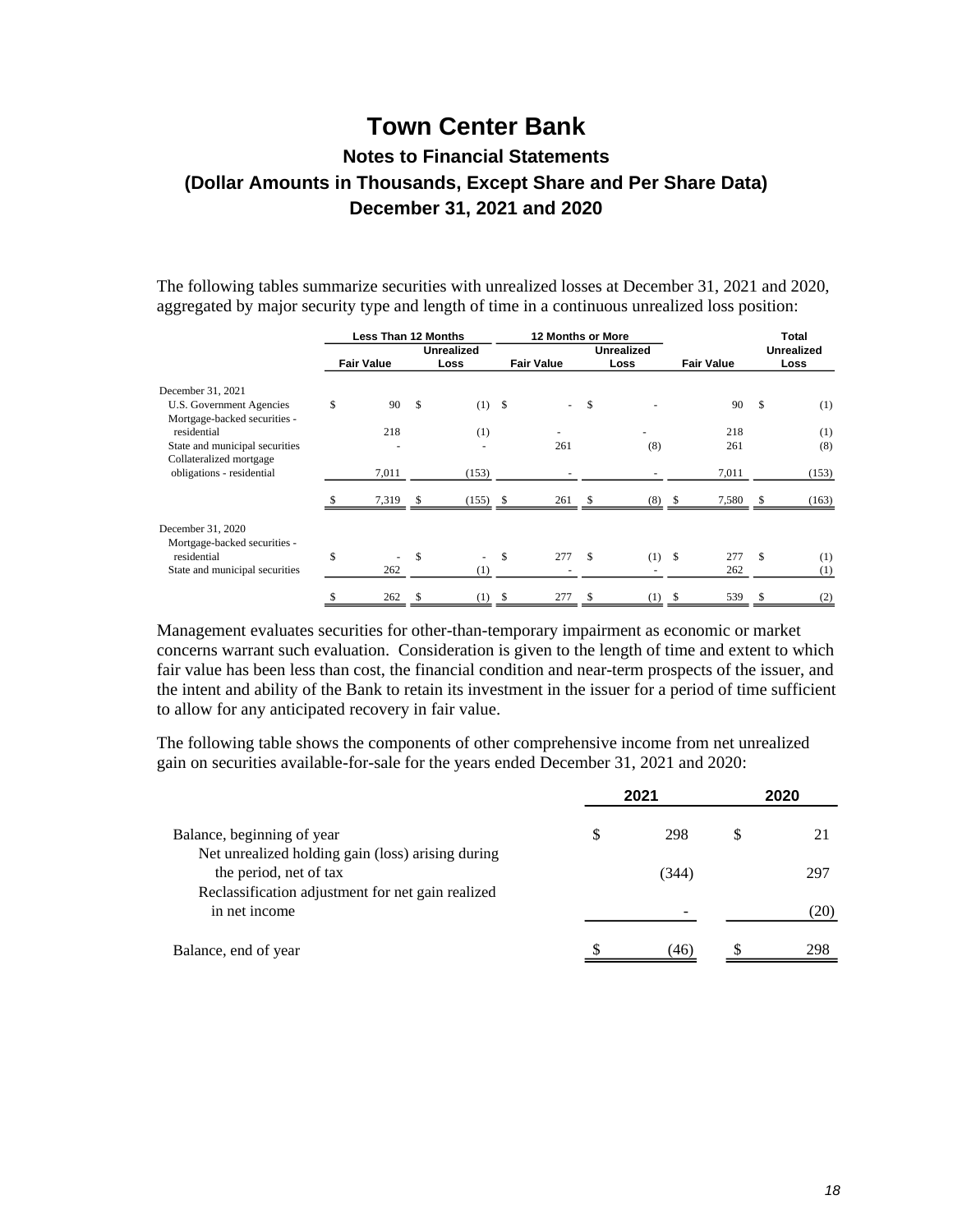The following tables summarize securities with unrealized losses at December 31, 2021 and 2020, aggregated by major security type and length of time in a continuous unrealized loss position:

|                                             | <b>Less Than 12 Months</b> |                   |               |                   | 12 Months or More |                   |     |                   |      |                   | Total |                   |
|---------------------------------------------|----------------------------|-------------------|---------------|-------------------|-------------------|-------------------|-----|-------------------|------|-------------------|-------|-------------------|
|                                             |                            |                   |               | <b>Unrealized</b> |                   |                   |     | <b>Unrealized</b> |      |                   |       | <b>Unrealized</b> |
|                                             |                            | <b>Fair Value</b> |               | Loss              |                   | <b>Fair Value</b> |     | Loss              |      | <b>Fair Value</b> |       | Loss              |
| December 31, 2021                           |                            |                   |               |                   |                   |                   |     |                   |      |                   |       |                   |
| U.S. Government Agencies                    | \$                         | 90                | $\mathcal{S}$ | (1)               | - \$              | $\sim$            | \$  |                   |      | 90                | \$    | (1)               |
| Mortgage-backed securities -                |                            |                   |               |                   |                   |                   |     |                   |      |                   |       |                   |
| residential                                 |                            | 218               |               | (1)               |                   |                   |     |                   |      | 218               |       | (1)               |
| State and municipal securities              |                            |                   |               |                   |                   | 261               |     | (8)               |      | 261               |       | (8)               |
| Collateralized mortgage                     |                            |                   |               |                   |                   |                   |     |                   |      |                   |       |                   |
| obligations - residential                   |                            | 7,011             |               | (153)             |                   |                   |     |                   |      | 7,011             |       | (153)             |
|                                             |                            | 7,319             |               | (155)             |                   | 261               | \$. | (8)               |      | 7,580             |       | (163)             |
| December 31, 2020                           |                            |                   |               |                   |                   |                   |     |                   |      |                   |       |                   |
| Mortgage-backed securities -<br>residential | \$                         |                   | \$            |                   | \$                | 277               | \$. | (1)               | - \$ | 277               | \$    | (1)               |
| State and municipal securities              |                            | 262               |               | (1)               |                   |                   |     |                   |      | 262               |       | (1)               |
|                                             | \$                         | 262               | \$            | (1)               | \$                | 277               | \$  | (1)               | S.   | 539               | S     | (2)               |

Management evaluates securities for other-than-temporary impairment as economic or market concerns warrant such evaluation. Consideration is given to the length of time and extent to which fair value has been less than cost, the financial condition and near-term prospects of the issuer, and the intent and ability of the Bank to retain its investment in the issuer for a period of time sufficient to allow for any anticipated recovery in fair value.

The following table shows the components of other comprehensive income from net unrealized gain on securities available-for-sale for the years ended December 31, 2021 and 2020:

|                                                                             | 2021 |       | 2020 |
|-----------------------------------------------------------------------------|------|-------|------|
| Balance, beginning of year                                                  | S    | 298   |      |
| Net unrealized holding gain (loss) arising during                           |      |       |      |
| the period, net of tax<br>Reclassification adjustment for net gain realized |      | (344) | 297  |
| in net income                                                               |      |       | (20) |
|                                                                             |      |       |      |
| Balance, end of year                                                        |      | (46)  | 298  |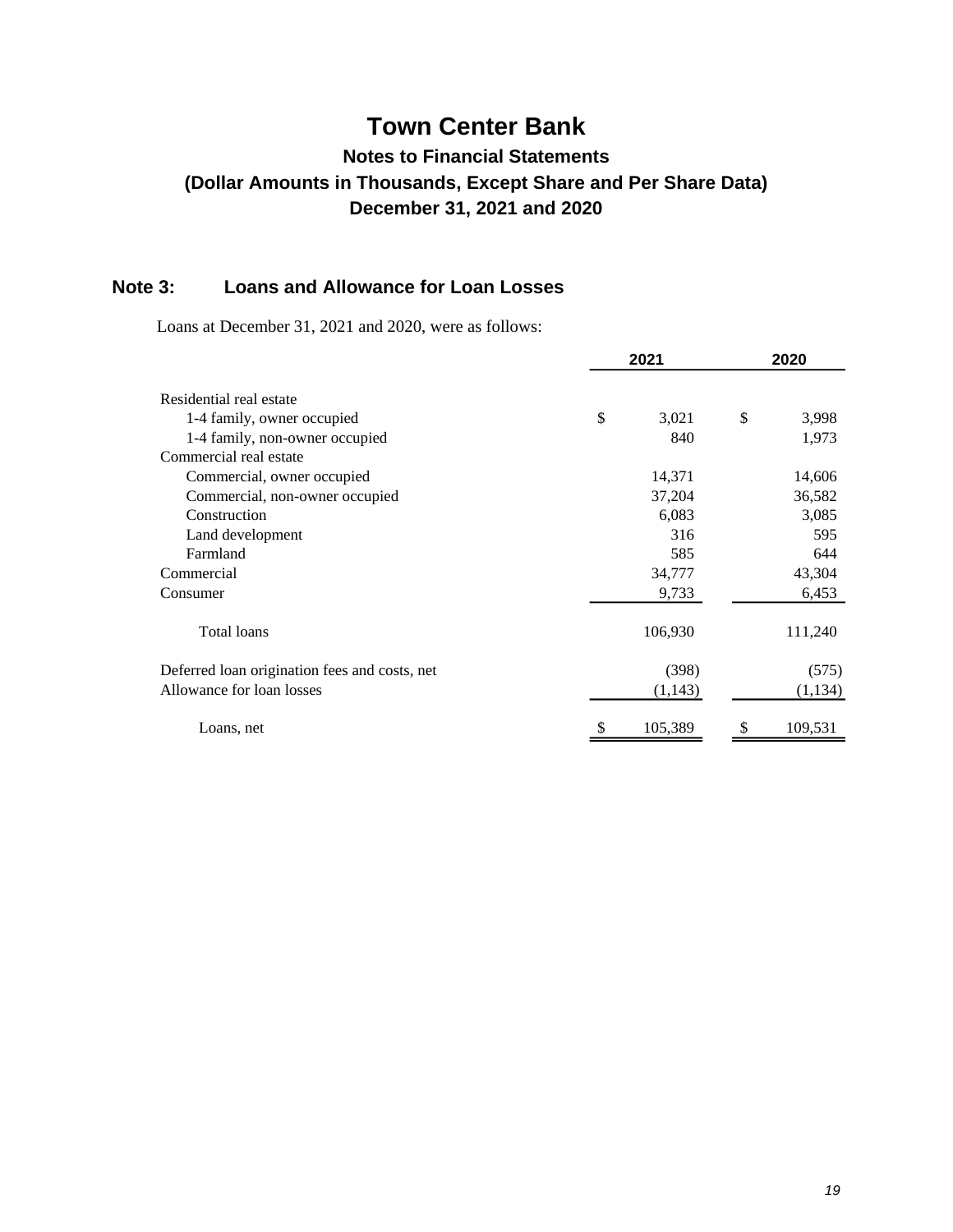### **Notes to Financial Statements (Dollar Amounts in Thousands, Except Share and Per Share Data) December 31, 2021 and 2020**

### **Note 3: Loans and Allowance for Loan Losses**

Loans at December 31, 2021 and 2020, were as follows:

|                                               | 2021          |    |         |
|-----------------------------------------------|---------------|----|---------|
| Residential real estate                       |               |    |         |
| 1-4 family, owner occupied                    | \$<br>3,021   | \$ | 3,998   |
| 1-4 family, non-owner occupied                | 840           |    | 1,973   |
| Commercial real estate                        |               |    |         |
| Commercial, owner occupied                    | 14,371        |    | 14,606  |
| Commercial, non-owner occupied                | 37,204        |    | 36,582  |
| Construction                                  | 6,083         |    | 3,085   |
| Land development                              | 316           |    | 595     |
| Farmland                                      | 585           |    | 644     |
| Commercial                                    | 34,777        |    | 43,304  |
| Consumer                                      | 9,733         |    | 6,453   |
| <b>Total loans</b>                            | 106,930       |    | 111,240 |
| Deferred loan origination fees and costs, net | (398)         |    | (575)   |
| Allowance for loan losses                     | (1,143)       |    | (1,134) |
| Loans, net                                    | \$<br>105,389 | \$ | 109,531 |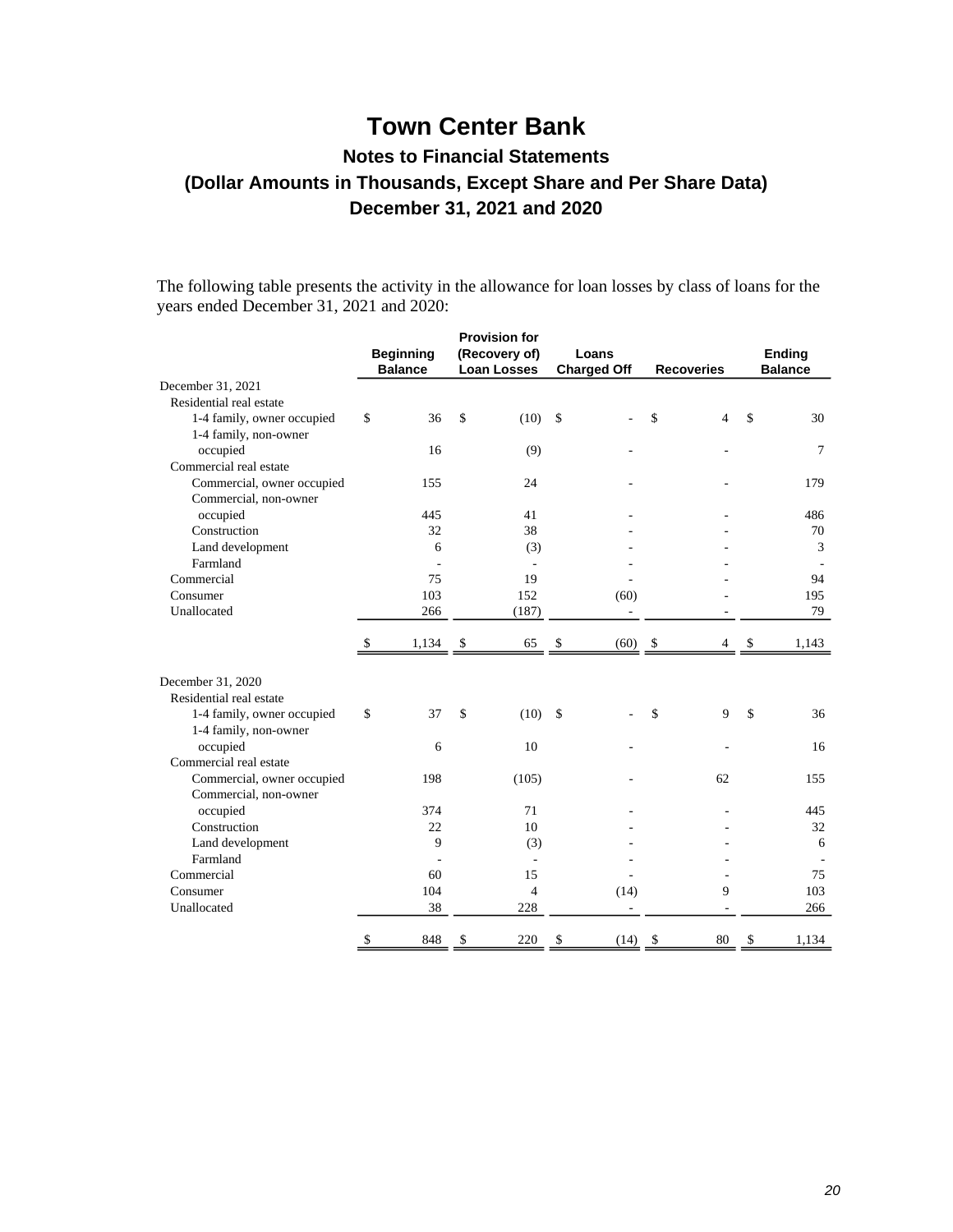### **Notes to Financial Statements (Dollar Amounts in Thousands, Except Share and Per Share Data) December 31, 2021 and 2020**

The following table presents the activity in the allowance for loan losses by class of loans for the years ended December 31, 2021 and 2020:

|          |                                                                                                             |                    |                                                                                                                                 |                          |                                                                                 |            |                                          | <b>Ending</b><br><b>Balance</b> |
|----------|-------------------------------------------------------------------------------------------------------------|--------------------|---------------------------------------------------------------------------------------------------------------------------------|--------------------------|---------------------------------------------------------------------------------|------------|------------------------------------------|---------------------------------|
|          |                                                                                                             |                    |                                                                                                                                 |                          |                                                                                 |            |                                          |                                 |
|          |                                                                                                             |                    |                                                                                                                                 |                          |                                                                                 |            |                                          |                                 |
|          |                                                                                                             |                    |                                                                                                                                 |                          |                                                                                 |            |                                          | 30                              |
|          |                                                                                                             |                    |                                                                                                                                 |                          |                                                                                 |            |                                          | $\tau$                          |
|          |                                                                                                             |                    |                                                                                                                                 |                          |                                                                                 |            |                                          |                                 |
|          |                                                                                                             |                    |                                                                                                                                 |                          |                                                                                 |            |                                          | 179                             |
|          |                                                                                                             |                    |                                                                                                                                 |                          |                                                                                 |            |                                          |                                 |
|          |                                                                                                             |                    |                                                                                                                                 |                          |                                                                                 |            |                                          | 486                             |
|          |                                                                                                             |                    |                                                                                                                                 |                          |                                                                                 |            |                                          | 70                              |
|          |                                                                                                             |                    |                                                                                                                                 |                          |                                                                                 |            |                                          | 3                               |
|          |                                                                                                             |                    |                                                                                                                                 |                          |                                                                                 |            |                                          |                                 |
|          |                                                                                                             |                    |                                                                                                                                 |                          |                                                                                 |            |                                          | 94                              |
|          |                                                                                                             |                    |                                                                                                                                 |                          |                                                                                 |            |                                          | 195                             |
|          |                                                                                                             |                    |                                                                                                                                 |                          |                                                                                 |            |                                          | 79                              |
|          |                                                                                                             |                    |                                                                                                                                 |                          |                                                                                 |            |                                          |                                 |
|          |                                                                                                             |                    |                                                                                                                                 |                          |                                                                                 |            |                                          | 1,143                           |
|          |                                                                                                             |                    |                                                                                                                                 |                          |                                                                                 |            |                                          |                                 |
|          |                                                                                                             |                    |                                                                                                                                 |                          |                                                                                 |            |                                          |                                 |
|          |                                                                                                             |                    |                                                                                                                                 |                          |                                                                                 |            |                                          |                                 |
| \$<br>37 | \$                                                                                                          | (10)               | $\mathcal{S}$                                                                                                                   |                          | \$                                                                              | 9          | \$                                       | 36                              |
|          |                                                                                                             |                    |                                                                                                                                 |                          |                                                                                 |            |                                          |                                 |
| 6        |                                                                                                             | 10                 |                                                                                                                                 |                          |                                                                                 |            |                                          | 16                              |
|          |                                                                                                             |                    |                                                                                                                                 |                          |                                                                                 |            |                                          |                                 |
| 198      |                                                                                                             | (105)              |                                                                                                                                 |                          |                                                                                 | 62         |                                          | 155                             |
|          |                                                                                                             |                    |                                                                                                                                 |                          |                                                                                 |            |                                          |                                 |
| 374      |                                                                                                             | 71                 |                                                                                                                                 |                          |                                                                                 |            |                                          | 445                             |
| 22       |                                                                                                             | 10                 |                                                                                                                                 |                          |                                                                                 |            |                                          | 32                              |
| 9        |                                                                                                             | (3)                |                                                                                                                                 |                          |                                                                                 |            |                                          | 6                               |
| ä,       |                                                                                                             |                    |                                                                                                                                 |                          |                                                                                 |            |                                          |                                 |
| 60       |                                                                                                             | 15                 |                                                                                                                                 |                          |                                                                                 |            |                                          | 75                              |
| 104      |                                                                                                             | 4                  |                                                                                                                                 | (14)                     |                                                                                 | 9          |                                          | 103                             |
| 38       |                                                                                                             | 228                |                                                                                                                                 | $\overline{\phantom{a}}$ |                                                                                 |            |                                          | 266                             |
| \$       | \$                                                                                                          | 220                | \$                                                                                                                              |                          | $\mathcal{S}$                                                                   | 80         | \$                                       | 1,134                           |
| \$<br>\$ | <b>Beginning</b><br><b>Balance</b><br>36<br>16<br>155<br>445<br>32<br>6<br>75<br>103<br>266<br>1,134<br>848 | $\mathbb{S}$<br>\$ | <b>Provision for</b><br>(Recovery of)<br><b>Loan Losses</b><br>(10)<br>(9)<br>24<br>41<br>38<br>(3)<br>19<br>152<br>(187)<br>65 | $\mathcal{S}$<br>\$      | Loans<br><b>Charged Off</b><br>(60)<br>$\overline{\phantom{a}}$<br>(60)<br>(14) | \$<br>- \$ | <b>Recoveries</b><br>$\overline{4}$<br>4 | \$<br>\$                        |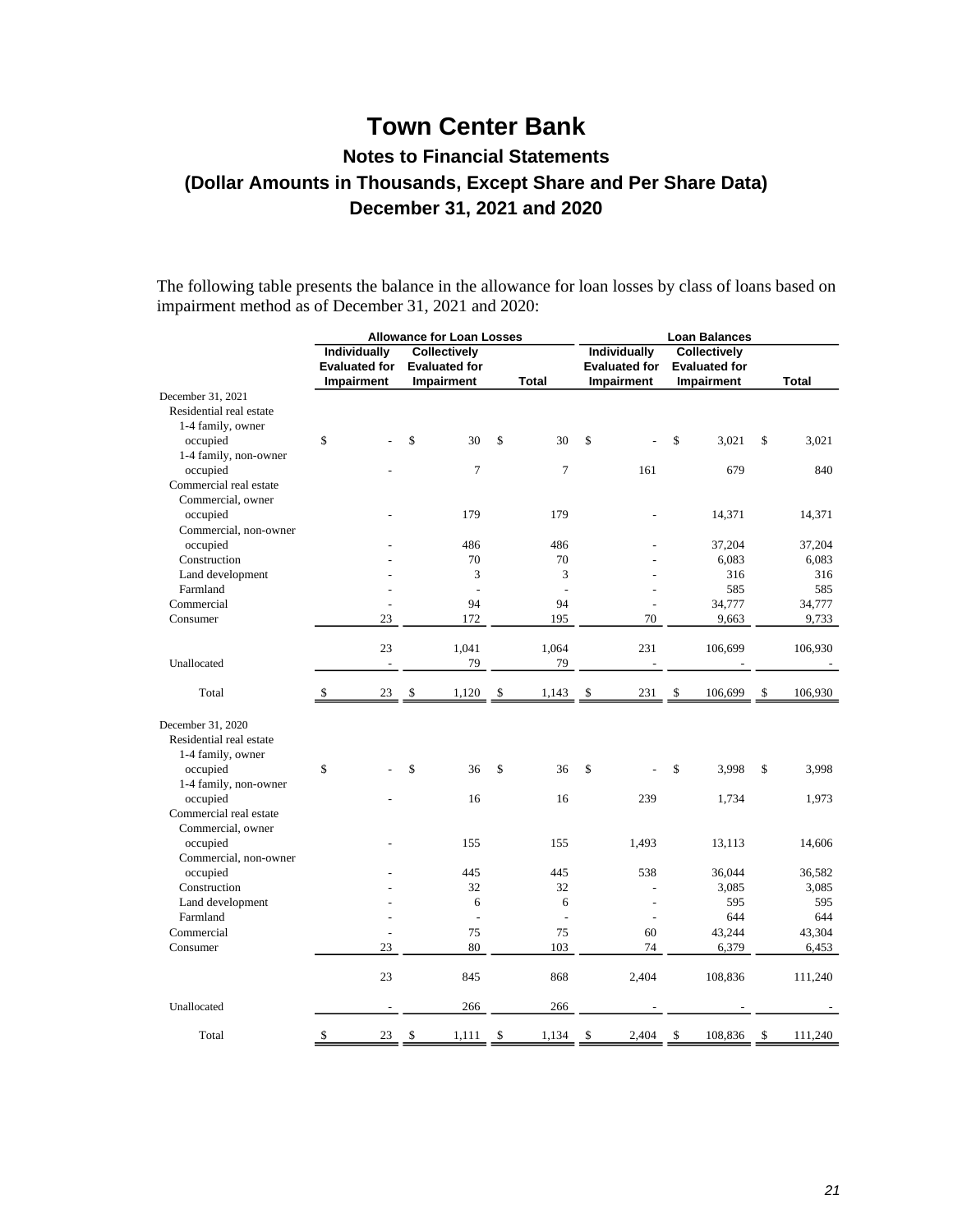The following table presents the balance in the allowance for loan losses by class of loans based on impairment method as of December 31, 2021 and 2020:

|                         |                      |              | <b>Allowance for Loan Losses</b> |                |      |                      | <b>Loan Balances</b> |               |
|-------------------------|----------------------|--------------|----------------------------------|----------------|------|----------------------|----------------------|---------------|
|                         | <b>Individually</b>  |              | <b>Collectively</b>              |                |      | <b>Individually</b>  | <b>Collectively</b>  |               |
|                         | <b>Evaluated for</b> |              | <b>Evaluated for</b>             |                |      | <b>Evaluated for</b> | <b>Evaluated for</b> |               |
|                         | Impairment           |              | Impairment                       | <b>Total</b>   |      | Impairment           | Impairment           | <b>Total</b>  |
| December 31, 2021       |                      |              |                                  |                |      |                      |                      |               |
| Residential real estate |                      |              |                                  |                |      |                      |                      |               |
| 1-4 family, owner       |                      |              |                                  |                |      |                      |                      |               |
| occupied                | \$                   | \$           | 30                               | \$<br>30       | \$   |                      | \$<br>3,021          | \$<br>3,021   |
| 1-4 family, non-owner   |                      |              |                                  |                |      |                      |                      |               |
| occupied                |                      |              | $\overline{7}$                   | $\overline{7}$ |      | 161                  | 679                  | 840           |
| Commercial real estate  |                      |              |                                  |                |      |                      |                      |               |
| Commercial, owner       |                      |              |                                  |                |      |                      |                      |               |
| occupied                |                      |              | 179                              | 179            |      |                      | 14,371               | 14,371        |
| Commercial, non-owner   |                      |              |                                  |                |      |                      |                      |               |
| occupied                |                      |              | 486                              | 486            |      |                      | 37,204               | 37,204        |
| Construction            |                      |              | 70                               | 70             |      |                      | 6,083                | 6,083         |
| Land development        |                      |              | 3                                | 3              |      |                      | 316                  | 316           |
| Farmland                |                      |              |                                  |                |      |                      | 585                  | 585           |
| Commercial              |                      |              | 94                               | 94             |      |                      | 34,777               | 34,777        |
| Consumer                | 23                   |              | 172                              | 195            |      | 70                   | 9,663                | 9,733         |
|                         |                      |              |                                  |                |      |                      |                      |               |
|                         | 23                   |              | 1,041                            | 1,064          |      | 231                  | 106,699              | 106,930       |
| Unallocated             | $\overline{a}$       |              | 79                               | 79             |      |                      |                      |               |
|                         |                      |              |                                  |                |      |                      |                      |               |
| Total                   | \$<br>23             | $\mathbb{S}$ | 1,120                            | \$<br>1,143    | \$   | 231                  | \$<br>106,699        | \$<br>106,930 |
|                         |                      |              |                                  |                |      |                      |                      |               |
| December 31, 2020       |                      |              |                                  |                |      |                      |                      |               |
| Residential real estate |                      |              |                                  |                |      |                      |                      |               |
| 1-4 family, owner       |                      |              |                                  |                |      |                      |                      |               |
| occupied                | \$                   | \$           | 36                               | \$<br>36       | $\$$ |                      | \$<br>3,998          | \$<br>3,998   |
| 1-4 family, non-owner   |                      |              |                                  |                |      |                      |                      |               |
| occupied                |                      |              | 16                               | 16             |      | 239                  | 1,734                | 1,973         |
| Commercial real estate  |                      |              |                                  |                |      |                      |                      |               |
| Commercial, owner       |                      |              |                                  |                |      |                      |                      |               |
| occupied                |                      |              | 155                              | 155            |      | 1,493                | 13,113               | 14,606        |
| Commercial, non-owner   |                      |              |                                  |                |      |                      |                      |               |
| occupied                |                      |              | 445                              | 445            |      | 538                  | 36,044               | 36,582        |
| Construction            |                      |              | 32                               | 32             |      | $\overline{a}$       | 3,085                | 3,085         |
| Land development        |                      |              | 6                                | 6              |      |                      | 595                  | 595           |
| Farmland                |                      |              | $\frac{1}{2}$                    | $\overline{a}$ |      | $\overline{a}$       | 644                  | 644           |
| Commercial              |                      |              | 75                               | 75             |      | 60                   | 43,244               | 43,304        |
| Consumer                | 23                   |              | 80                               | 103            |      | 74                   | 6,379                | 6,453         |
|                         |                      |              |                                  |                |      |                      |                      |               |
|                         | 23                   |              | 845                              | 868            |      | 2,404                | 108,836              | 111,240       |
| Unallocated             |                      |              | 266                              | 266            |      |                      |                      |               |
|                         |                      |              |                                  |                |      |                      |                      |               |
| Total                   | \$<br>23             | \$           | 1,111                            | \$<br>1,134    | \$   | 2.404                | \$<br>108,836        | \$<br>111,240 |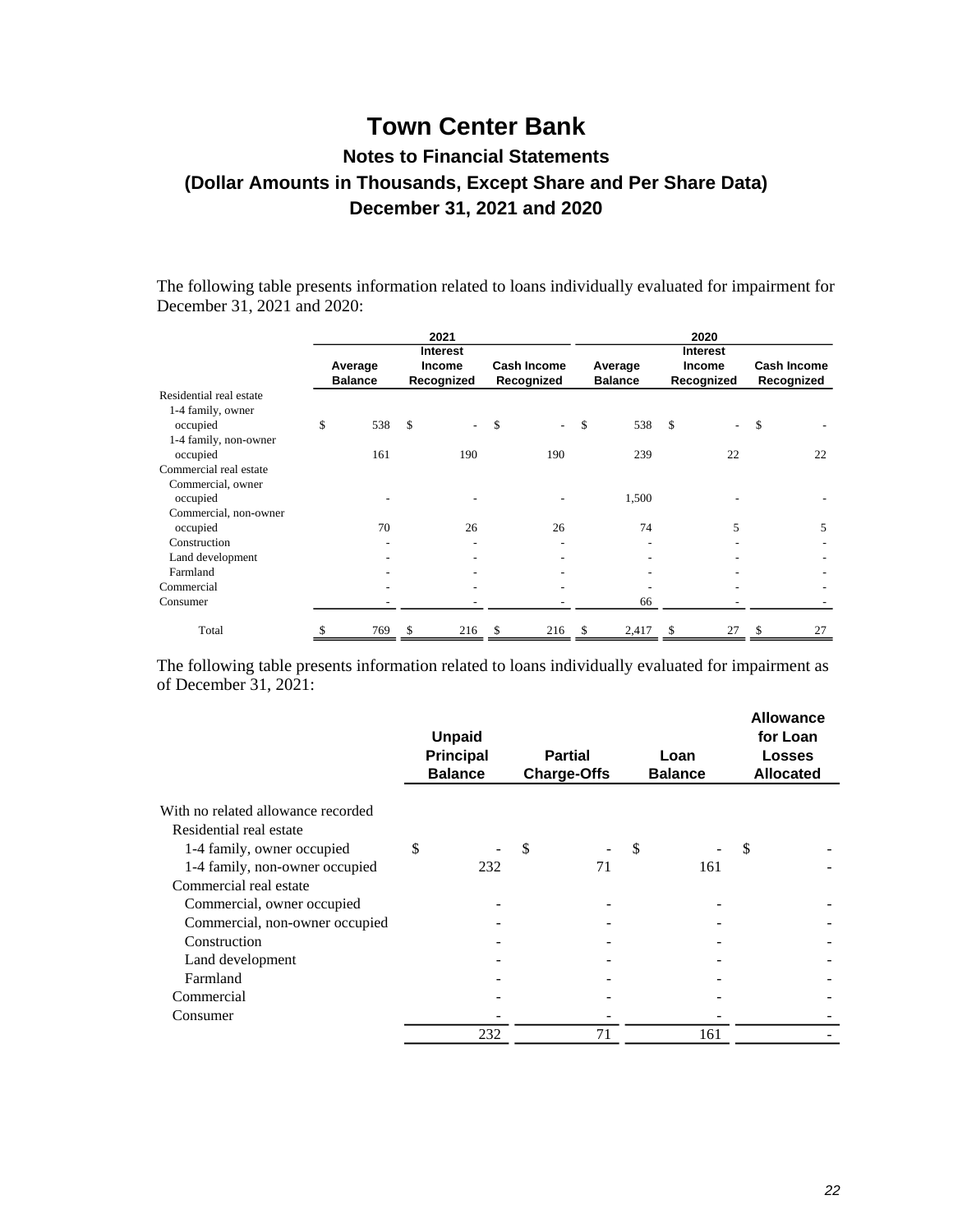### **Notes to Financial Statements (Dollar Amounts in Thousands, Except Share and Per Share Data) December 31, 2021 and 2020**

The following table presents information related to loans individually evaluated for impairment for December 31, 2021 and 2020:

|                         |                |                    | 2021          |                    |                | 2020          |                    |
|-------------------------|----------------|--------------------|---------------|--------------------|----------------|---------------|--------------------|
|                         |                |                    | Interest      |                    |                | Interest      |                    |
|                         | Average        |                    | <b>Income</b> | <b>Cash Income</b> | Average        | <b>Income</b> | <b>Cash Income</b> |
|                         | <b>Balance</b> |                    | Recognized    | Recognized         | <b>Balance</b> | Recognized    | Recognized         |
| Residential real estate |                |                    |               |                    |                |               |                    |
| 1-4 family, owner       |                |                    |               |                    |                |               |                    |
| occupied                | \$<br>538      | $\mathbf{\hat{S}}$ |               | \$                 | \$<br>538      | \$            |                    |
| 1-4 family, non-owner   |                |                    |               |                    |                |               |                    |
| occupied                | 161            |                    | 190           | 190                | 239            | 22            | 22                 |
| Commercial real estate  |                |                    |               |                    |                |               |                    |
| Commercial, owner       |                |                    |               |                    |                |               |                    |
| occupied                |                |                    |               |                    | 1,500          |               |                    |
| Commercial, non-owner   |                |                    |               |                    |                |               |                    |
| occupied                | 70             |                    | 26            | 26                 | 74             | 5             | 5                  |
| Construction            |                |                    |               |                    |                |               |                    |
| Land development        |                |                    |               |                    |                |               |                    |
| Farmland                |                |                    |               |                    |                |               |                    |
| Commercial              |                |                    |               |                    |                |               |                    |
| Consumer                |                |                    |               |                    | 66             |               |                    |
| Total                   | 769            |                    | 216           | 216                | 2,417          | 27            | 27                 |

The following table presents information related to loans individually evaluated for impairment as of December 31, 2021:

|                                    | <b>Unpaid</b><br><b>Principal</b><br><b>Balance</b> | <b>Partial</b><br><b>Charge-Offs</b> | Loan<br><b>Balance</b> | <b>Allowance</b><br>for Loan<br><b>Losses</b><br><b>Allocated</b> |  |
|------------------------------------|-----------------------------------------------------|--------------------------------------|------------------------|-------------------------------------------------------------------|--|
| With no related allowance recorded |                                                     |                                      |                        |                                                                   |  |
| Residential real estate            |                                                     |                                      |                        |                                                                   |  |
| 1-4 family, owner occupied         | \$                                                  | \$                                   | \$                     | \$                                                                |  |
| 1-4 family, non-owner occupied     | 232                                                 | 71                                   | 161                    |                                                                   |  |
| Commercial real estate             |                                                     |                                      |                        |                                                                   |  |
| Commercial, owner occupied         |                                                     |                                      |                        |                                                                   |  |
| Commercial, non-owner occupied     |                                                     |                                      |                        |                                                                   |  |
| Construction                       |                                                     |                                      |                        |                                                                   |  |
| Land development                   |                                                     |                                      |                        |                                                                   |  |
| Farmland                           |                                                     |                                      |                        |                                                                   |  |
| Commercial                         |                                                     |                                      |                        |                                                                   |  |
| Consumer                           |                                                     |                                      |                        |                                                                   |  |
|                                    | 232                                                 | 71                                   | 161                    |                                                                   |  |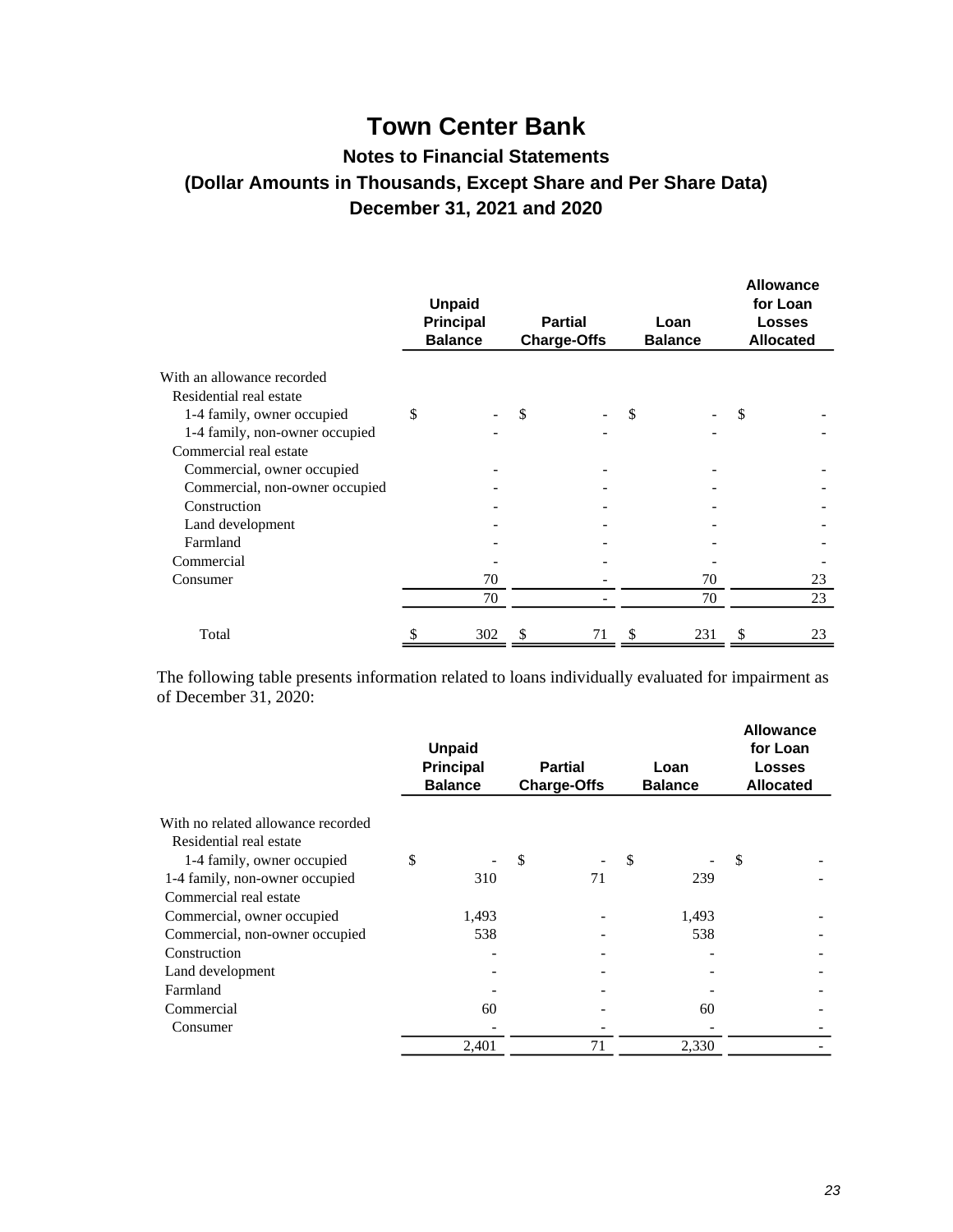### **Notes to Financial Statements (Dollar Amounts in Thousands, Except Share and Per Share Data) December 31, 2021 and 2020**

|                                | <b>Unpaid</b><br><b>Principal</b><br><b>Balance</b> | <b>Partial</b><br><b>Charge-Offs</b> | Loan<br><b>Balance</b> | <b>Allowance</b><br>for Loan<br><b>Losses</b><br><b>Allocated</b> |
|--------------------------------|-----------------------------------------------------|--------------------------------------|------------------------|-------------------------------------------------------------------|
| With an allowance recorded     |                                                     |                                      |                        |                                                                   |
| Residential real estate        |                                                     |                                      |                        |                                                                   |
| 1-4 family, owner occupied     | \$                                                  | \$                                   | \$                     | \$                                                                |
| 1-4 family, non-owner occupied |                                                     |                                      |                        |                                                                   |
| Commercial real estate         |                                                     |                                      |                        |                                                                   |
| Commercial, owner occupied     |                                                     |                                      |                        |                                                                   |
| Commercial, non-owner occupied |                                                     |                                      |                        |                                                                   |
| Construction                   |                                                     |                                      |                        |                                                                   |
| Land development               |                                                     |                                      |                        |                                                                   |
| Farmland                       |                                                     |                                      |                        |                                                                   |
| Commercial                     |                                                     |                                      |                        |                                                                   |
| Consumer                       | 70                                                  |                                      | 70                     | 23                                                                |
|                                | 70                                                  |                                      | 70                     | 23                                                                |
| Total                          | 302                                                 | \$<br>71                             | \$<br>231              | \$<br>23                                                          |

The following table presents information related to loans individually evaluated for impairment as of December 31, 2020:

|                                    | <b>Unpaid</b><br><b>Principal</b><br><b>Balance</b> | <b>Partial</b><br><b>Charge-Offs</b> |               | Loan<br><b>Balance</b> | <b>Allowance</b><br>for Loan<br><b>Losses</b><br><b>Allocated</b> |  |
|------------------------------------|-----------------------------------------------------|--------------------------------------|---------------|------------------------|-------------------------------------------------------------------|--|
| With no related allowance recorded |                                                     |                                      |               |                        |                                                                   |  |
| Residential real estate            |                                                     |                                      |               |                        |                                                                   |  |
| 1-4 family, owner occupied         | \$                                                  | \$                                   | $\mathcal{S}$ |                        | <sup>\$</sup>                                                     |  |
| 1-4 family, non-owner occupied     | 310                                                 | 71                                   |               | 239                    |                                                                   |  |
| Commercial real estate             |                                                     |                                      |               |                        |                                                                   |  |
| Commercial, owner occupied         | 1,493                                               |                                      |               | 1,493                  |                                                                   |  |
| Commercial, non-owner occupied     | 538                                                 |                                      |               | 538                    |                                                                   |  |
| Construction                       |                                                     |                                      |               |                        |                                                                   |  |
| Land development                   |                                                     |                                      |               |                        |                                                                   |  |
| Farmland                           |                                                     |                                      |               |                        |                                                                   |  |
| Commercial                         | 60                                                  |                                      |               | 60                     |                                                                   |  |
| Consumer                           |                                                     |                                      |               |                        |                                                                   |  |
|                                    | 2,401                                               | 71                                   |               | 2,330                  |                                                                   |  |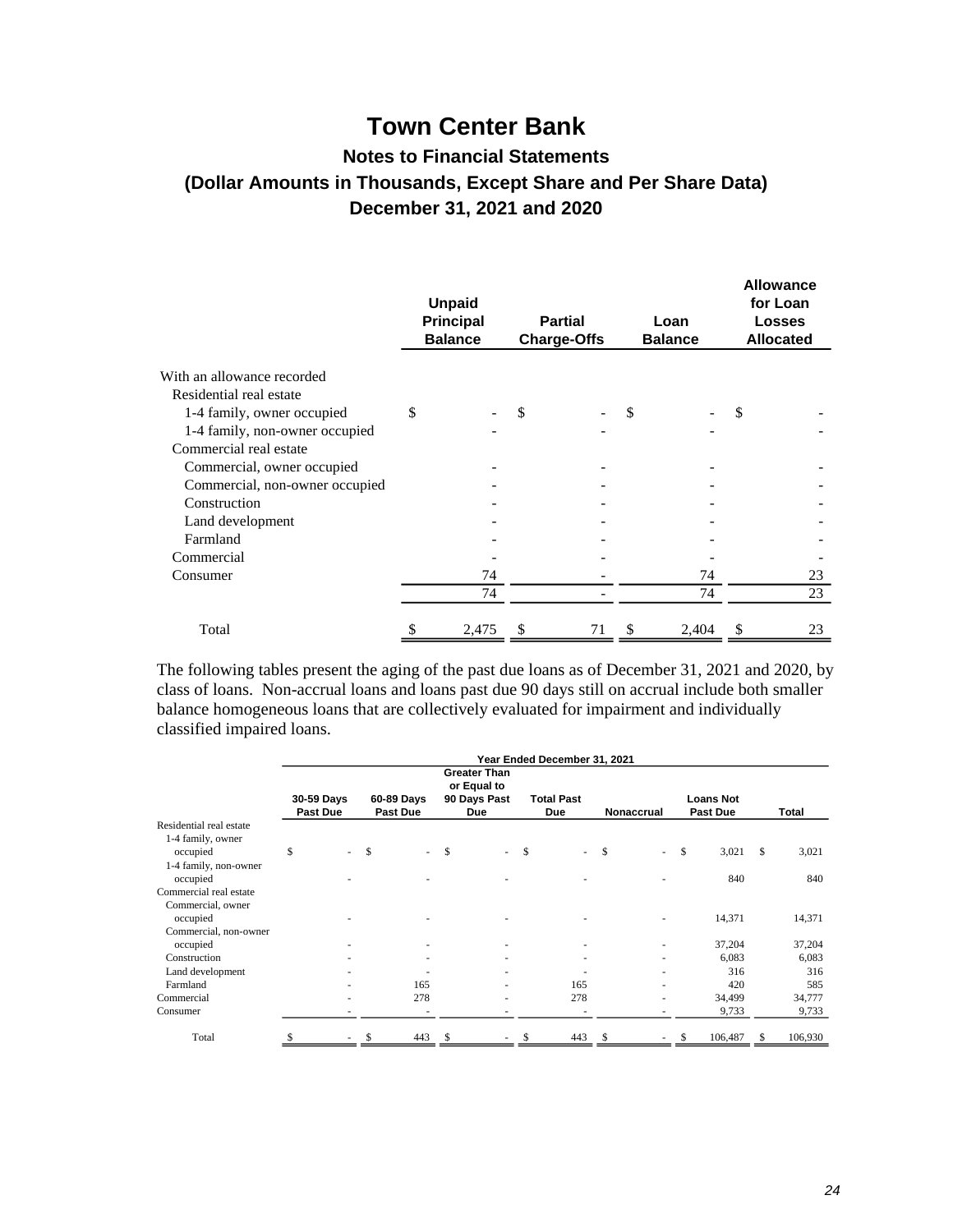### **Notes to Financial Statements (Dollar Amounts in Thousands, Except Share and Per Share Data) December 31, 2021 and 2020**

|                                | <b>Unpaid</b><br><b>Principal</b><br><b>Balance</b> |    | <b>Partial</b><br><b>Charge-Offs</b> | Loan<br><b>Balance</b> | <b>Allowance</b><br>for Loan<br><b>Losses</b><br><b>Allocated</b> |
|--------------------------------|-----------------------------------------------------|----|--------------------------------------|------------------------|-------------------------------------------------------------------|
| With an allowance recorded     |                                                     |    |                                      |                        |                                                                   |
| Residential real estate        |                                                     |    |                                      |                        |                                                                   |
| 1-4 family, owner occupied     | \$                                                  | \$ |                                      | \$                     | \$                                                                |
| 1-4 family, non-owner occupied |                                                     |    |                                      |                        |                                                                   |
| Commercial real estate         |                                                     |    |                                      |                        |                                                                   |
| Commercial, owner occupied     |                                                     |    |                                      |                        |                                                                   |
| Commercial, non-owner occupied |                                                     |    |                                      |                        |                                                                   |
| Construction                   |                                                     |    |                                      |                        |                                                                   |
| Land development               |                                                     |    |                                      |                        |                                                                   |
| Farmland                       |                                                     |    |                                      |                        |                                                                   |
| Commercial                     |                                                     |    |                                      |                        |                                                                   |
| Consumer                       | 74                                                  |    |                                      | 74                     | 23                                                                |
|                                | 74                                                  |    |                                      | 74                     | 23                                                                |
| Total                          | 2,475                                               | S  | 71                                   | \$<br>2,404            | \$<br>23                                                          |

The following tables present the aging of the past due loans as of December 31, 2021 and 2020, by class of loans. Non-accrual loans and loans past due 90 days still on accrual include both smaller balance homogeneous loans that are collectively evaluated for impairment and individually classified impaired loans.

|                         |                               |        |                        |              |                                    |               | Year Ended December 31, 2021    |    |            |   |                              |              |         |
|-------------------------|-------------------------------|--------|------------------------|--------------|------------------------------------|---------------|---------------------------------|----|------------|---|------------------------------|--------------|---------|
|                         |                               |        |                        |              | <b>Greater Than</b>                |               |                                 |    |            |   |                              |              |         |
|                         | 30-59 Days<br><b>Past Due</b> |        | 60-89 Days<br>Past Due |              | or Equal to<br>90 Days Past<br>Due |               | <b>Total Past</b><br><b>Due</b> |    | Nonaccrual |   | <b>Loans Not</b><br>Past Due |              | Total   |
| Residential real estate |                               |        |                        |              |                                    |               |                                 |    |            |   |                              |              |         |
| 1-4 family, owner       |                               |        |                        |              |                                    |               |                                 |    |            |   |                              |              |         |
| occupied                | \$                            | $\sim$ | \$                     | $\mathbf{s}$ | $\mathcal{L}^{\text{max}}$         | $\mathcal{S}$ |                                 | -S | $\sim$     | S | 3,021                        | $\mathbb{S}$ | 3,021   |
| 1-4 family, non-owner   |                               |        |                        |              |                                    |               |                                 |    |            |   |                              |              |         |
| occupied                |                               |        |                        |              |                                    |               |                                 |    |            |   | 840                          |              | 840     |
| Commercial real estate  |                               |        |                        |              |                                    |               |                                 |    |            |   |                              |              |         |
| Commercial, owner       |                               |        |                        |              |                                    |               |                                 |    |            |   |                              |              |         |
| occupied                |                               |        |                        |              |                                    |               |                                 |    |            |   | 14,371                       |              | 14,371  |
| Commercial, non-owner   |                               |        |                        |              |                                    |               |                                 |    |            |   |                              |              |         |
| occupied                |                               | ۰      |                        |              | ٠                                  |               |                                 |    | ٠          |   | 37,204                       |              | 37,204  |
| Construction            |                               |        |                        |              |                                    |               |                                 |    | ٠          |   | 6.083                        |              | 6,083   |
| Land development        |                               |        |                        |              |                                    |               |                                 |    |            |   | 316                          |              | 316     |
| Farmland                |                               |        | 165                    |              |                                    |               | 165                             |    | ٠          |   | 420                          |              | 585     |
| Commercial              |                               |        | 278                    |              | ۰                                  |               | 278                             |    |            |   | 34,499                       |              | 34,777  |
| Consumer                |                               |        |                        |              |                                    |               |                                 |    |            |   | 9,733                        |              | 9,733   |
| Total                   |                               |        | 443                    |              |                                    |               | 443                             |    |            |   | 106,487                      | -S           | 106,930 |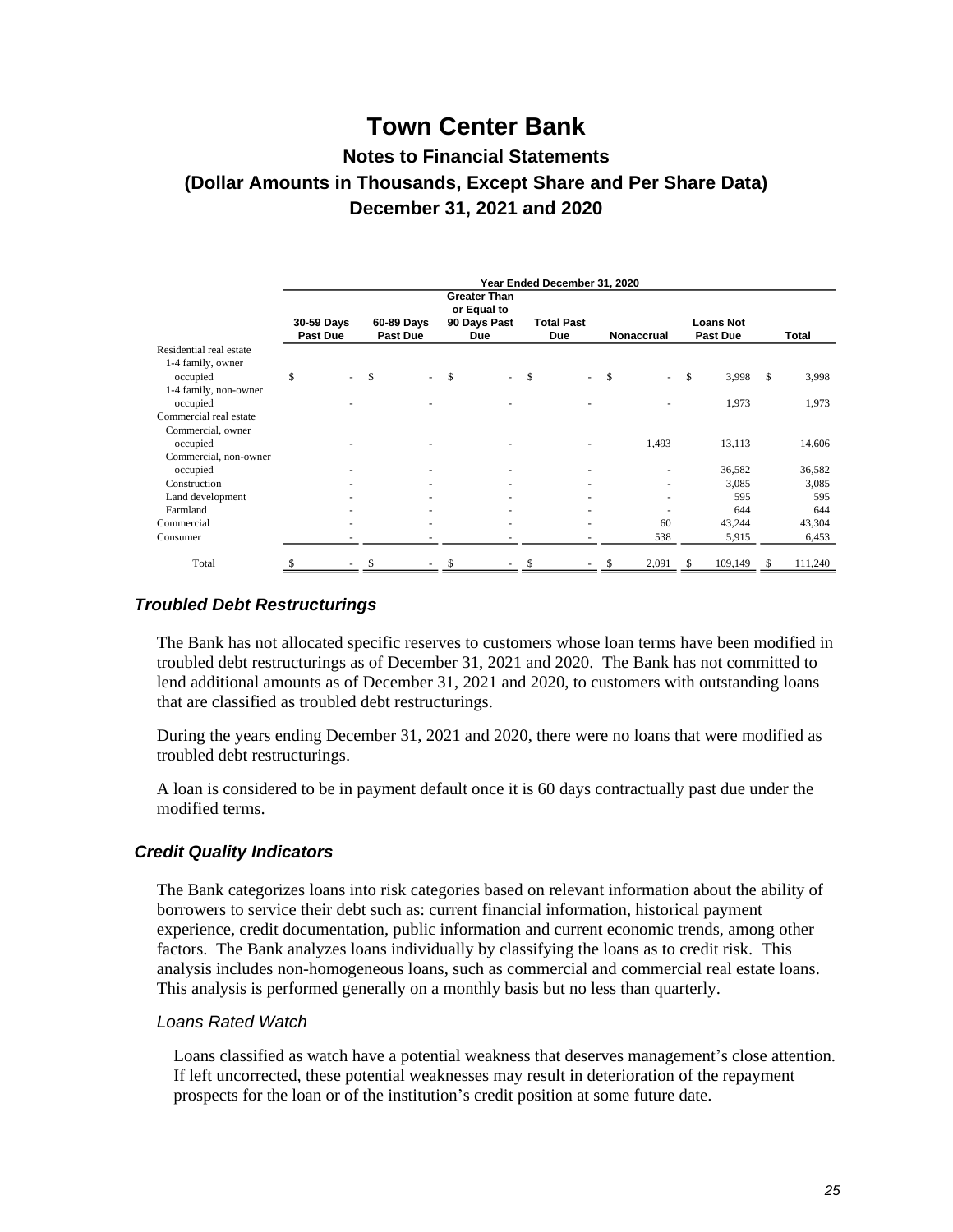### **Notes to Financial Statements (Dollar Amounts in Thousands, Except Share and Per Share Data) December 31, 2021 and 2020**

|                         |          |                          |                                |              |                                                                  | Year Ended December 31, 2020    |               |            |                    |                              |              |              |
|-------------------------|----------|--------------------------|--------------------------------|--------------|------------------------------------------------------------------|---------------------------------|---------------|------------|--------------------|------------------------------|--------------|--------------|
|                         | Past Due | 30-59 Days               | 60-89 Days<br>Past Due         |              | <b>Greater Than</b><br>or Equal to<br>90 Days Past<br><b>Due</b> | <b>Total Past</b><br><b>Due</b> |               | Nonaccrual |                    | <b>Loans Not</b><br>Past Due |              | <b>Total</b> |
| Residential real estate |          |                          |                                |              |                                                                  |                                 |               |            |                    |                              |              |              |
| 1-4 family, owner       |          |                          |                                |              |                                                                  |                                 |               |            |                    |                              |              |              |
| occupied                | \$       | $\overline{\phantom{a}}$ | \$<br>$\overline{\phantom{0}}$ | $\mathbf{s}$ | $\Delta \sim 10^{-1}$                                            | \$<br>٠                         | $\mathcal{S}$ | $\sim$     | $\mathbf{\hat{S}}$ | 3,998                        | $\mathbf{s}$ | 3,998        |
| 1-4 family, non-owner   |          |                          |                                |              |                                                                  |                                 |               |            |                    |                              |              |              |
| occupied                |          |                          |                                |              |                                                                  |                                 |               |            |                    | 1,973                        |              | 1,973        |
| Commercial real estate  |          |                          |                                |              |                                                                  |                                 |               |            |                    |                              |              |              |
| Commercial, owner       |          |                          |                                |              |                                                                  |                                 |               |            |                    |                              |              |              |
| occupied                |          |                          |                                |              |                                                                  |                                 |               | 1,493      |                    | 13,113                       |              | 14,606       |
| Commercial, non-owner   |          |                          |                                |              |                                                                  |                                 |               |            |                    |                              |              |              |
| occupied                |          |                          |                                |              |                                                                  |                                 |               | ٠          |                    | 36,582                       |              | 36,582       |
| Construction            |          |                          |                                |              |                                                                  |                                 |               | ٠          |                    | 3,085                        |              | 3,085        |
| Land development        |          |                          | ٠                              |              | ۰                                                                | ۰                               |               | ٠          |                    | 595                          |              | 595          |
| Farmland                |          |                          | ٠                              |              | ٠                                                                |                                 |               | ٠          |                    | 644                          |              | 644          |
| Commercial              |          |                          |                                |              |                                                                  |                                 |               | 60         |                    | 43,244                       |              | 43,304       |
| Consumer                |          |                          |                                |              |                                                                  |                                 |               | 538        |                    | 5,915                        |              | 6,453        |
| Total                   | \$       | ٠                        | \$<br>٠                        | \$           | $\sim$                                                           | \$                              | \$            | 2,091      | \$                 | 109,149                      | S            | 111,240      |

### *Troubled Debt Restructurings*

The Bank has not allocated specific reserves to customers whose loan terms have been modified in troubled debt restructurings as of December 31, 2021 and 2020. The Bank has not committed to lend additional amounts as of December 31, 2021 and 2020, to customers with outstanding loans that are classified as troubled debt restructurings.

During the years ending December 31, 2021 and 2020, there were no loans that were modified as troubled debt restructurings.

A loan is considered to be in payment default once it is 60 days contractually past due under the modified terms.

### *Credit Quality Indicators*

The Bank categorizes loans into risk categories based on relevant information about the ability of borrowers to service their debt such as: current financial information, historical payment experience, credit documentation, public information and current economic trends, among other factors. The Bank analyzes loans individually by classifying the loans as to credit risk. This analysis includes non-homogeneous loans, such as commercial and commercial real estate loans. This analysis is performed generally on a monthly basis but no less than quarterly.

### *Loans Rated Watch*

Loans classified as watch have a potential weakness that deserves management's close attention. If left uncorrected, these potential weaknesses may result in deterioration of the repayment prospects for the loan or of the institution's credit position at some future date.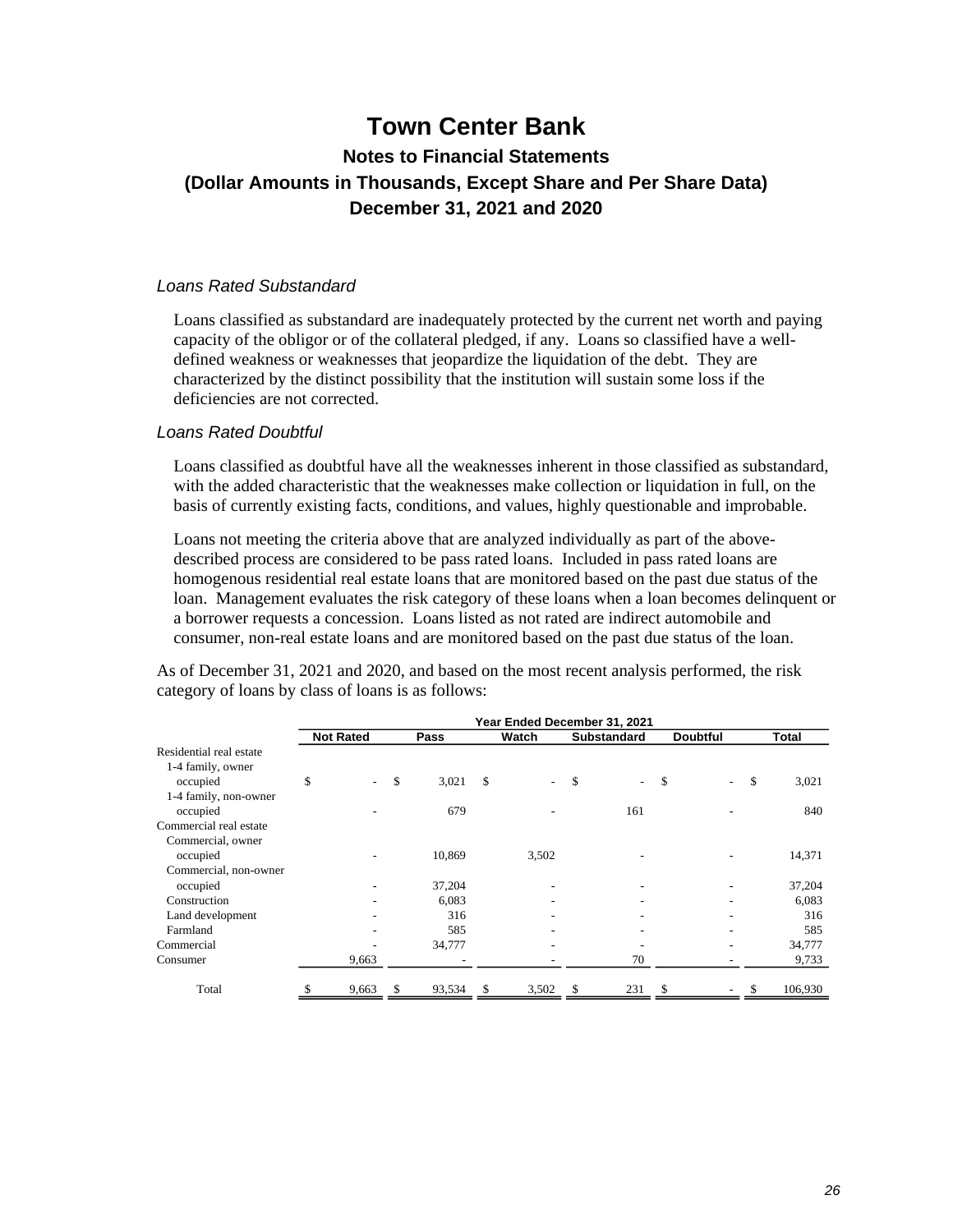#### *Loans Rated Substandard*

Loans classified as substandard are inadequately protected by the current net worth and paying capacity of the obligor or of the collateral pledged, if any. Loans so classified have a welldefined weakness or weaknesses that jeopardize the liquidation of the debt. They are characterized by the distinct possibility that the institution will sustain some loss if the deficiencies are not corrected.

#### *Loans Rated Doubtful*

Loans classified as doubtful have all the weaknesses inherent in those classified as substandard, with the added characteristic that the weaknesses make collection or liquidation in full, on the basis of currently existing facts, conditions, and values, highly questionable and improbable.

Loans not meeting the criteria above that are analyzed individually as part of the abovedescribed process are considered to be pass rated loans. Included in pass rated loans are homogenous residential real estate loans that are monitored based on the past due status of the loan. Management evaluates the risk category of these loans when a loan becomes delinquent or a borrower requests a concession. Loans listed as not rated are indirect automobile and consumer, non-real estate loans and are monitored based on the past due status of the loan.

As of December 31, 2021 and 2020, and based on the most recent analysis performed, the risk category of loans by class of loans is as follows:

|                         |                  |    |        | Year Ended December 31, 2021 |             |                 |              |
|-------------------------|------------------|----|--------|------------------------------|-------------|-----------------|--------------|
|                         | <b>Not Rated</b> |    | Pass   | Watch                        | Substandard | <b>Doubtful</b> | <b>Total</b> |
| Residential real estate |                  |    |        |                              |             |                 |              |
| 1-4 family, owner       |                  |    |        |                              |             |                 |              |
| occupied                | \$<br>$\sim$     | -S | 3,021  | \$                           | \$          | \$              | \$<br>3,021  |
| 1-4 family, non-owner   |                  |    |        |                              |             |                 |              |
| occupied                |                  |    | 679    |                              | 161         |                 | 840          |
| Commercial real estate  |                  |    |        |                              |             |                 |              |
| Commercial, owner       |                  |    |        |                              |             |                 |              |
| occupied                |                  |    | 10,869 | 3,502                        |             |                 | 14,371       |
| Commercial, non-owner   |                  |    |        |                              |             |                 |              |
| occupied                | -                |    | 37,204 |                              |             |                 | 37,204       |
| Construction            |                  |    | 6,083  |                              |             |                 | 6,083        |
| Land development        | ۰                |    | 316    |                              |             |                 | 316          |
| Farmland                |                  |    | 585    |                              |             |                 | 585          |
| Commercial              |                  |    | 34,777 |                              |             |                 | 34,777       |
| Consumer                | 9,663            |    |        |                              | 70          |                 | 9,733        |
| Total                   | 9,663            |    | 93,534 | 3,502                        | 231         |                 | 106,930      |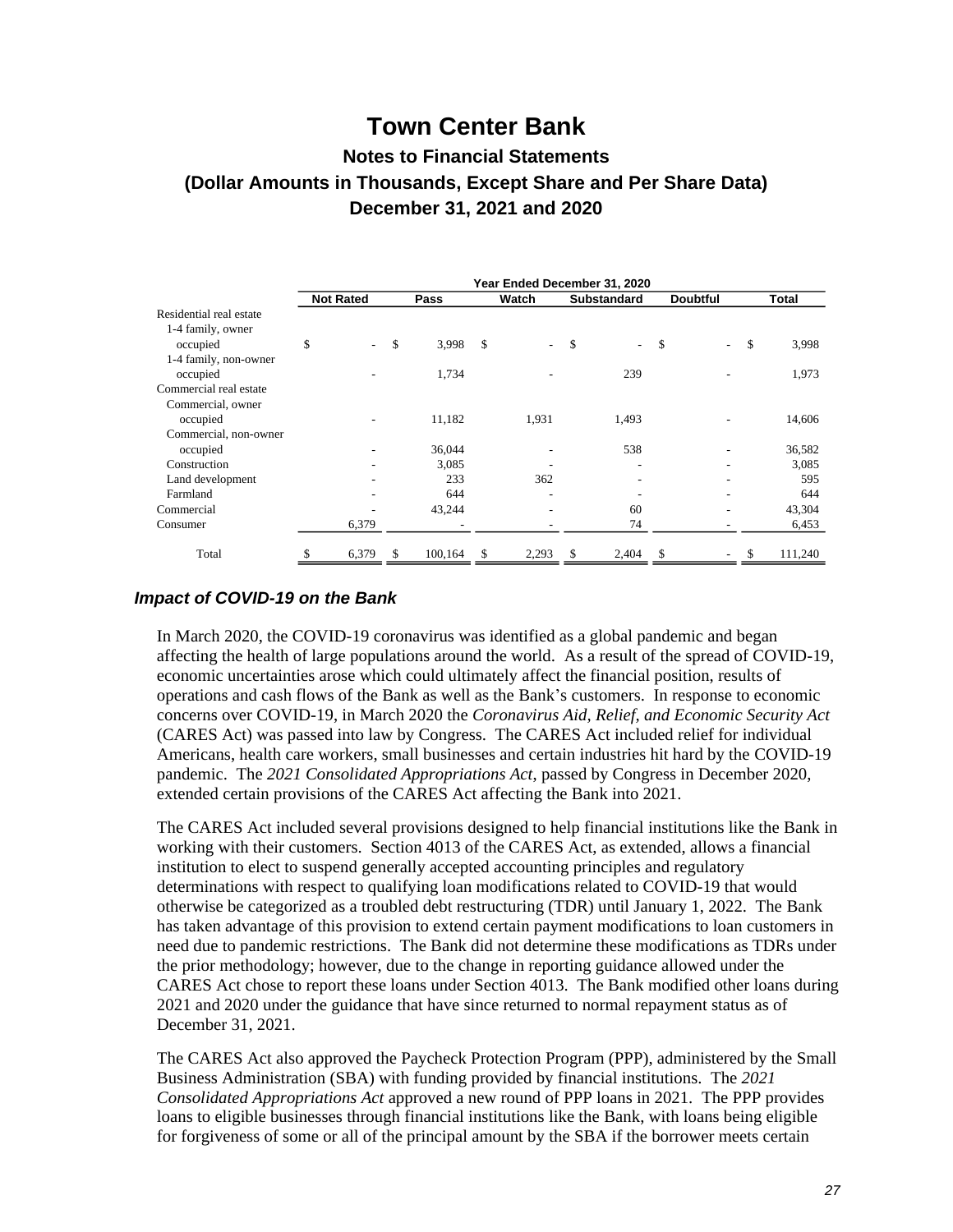### **Notes to Financial Statements (Dollar Amounts in Thousands, Except Share and Per Share Data) December 31, 2021 and 2020**

|                         |                          |    |         |               | Year Ended December 31, 2020 |                    |                      |    |         |
|-------------------------|--------------------------|----|---------|---------------|------------------------------|--------------------|----------------------|----|---------|
|                         | <b>Not Rated</b>         |    | Pass    |               | Watch                        | <b>Substandard</b> | <b>Doubtful</b>      |    | Total   |
| Residential real estate |                          |    |         |               |                              |                    |                      |    |         |
| 1-4 family, owner       |                          |    |         |               |                              |                    |                      |    |         |
| occupied                | \$<br>÷.                 | S  | 3,998   | <sup>\$</sup> |                              | \$                 | \$<br>$\overline{a}$ | S  | 3,998   |
| 1-4 family, non-owner   |                          |    |         |               |                              |                    |                      |    |         |
| occupied                |                          |    | 1,734   |               |                              | 239                |                      |    | 1,973   |
| Commercial real estate  |                          |    |         |               |                              |                    |                      |    |         |
| Commercial, owner       |                          |    |         |               |                              |                    |                      |    |         |
| occupied                |                          |    | 11,182  |               | 1,931                        | 1,493              |                      |    | 14,606  |
| Commercial, non-owner   |                          |    |         |               |                              |                    |                      |    |         |
| occupied                |                          |    | 36,044  |               |                              | 538                |                      |    | 36,582  |
| Construction            | $\overline{\phantom{0}}$ |    | 3,085   |               |                              |                    |                      |    | 3,085   |
| Land development        |                          |    | 233     |               | 362                          |                    |                      |    | 595     |
| Farmland                |                          |    | 644     |               |                              |                    |                      |    | 644     |
| Commercial              |                          |    | 43,244  |               |                              | 60                 |                      |    | 43,304  |
| Consumer                | 6,379                    |    |         |               |                              | 74                 |                      |    | 6,453   |
| Total                   | \$<br>6,379              | \$ | 100,164 | \$            | 2,293                        | \$<br>2,404        | \$                   | \$ | 111,240 |

### *Impact of COVID-19 on the Bank*

In March 2020, the COVID-19 coronavirus was identified as a global pandemic and began affecting the health of large populations around the world. As a result of the spread of COVID-19, economic uncertainties arose which could ultimately affect the financial position, results of operations and cash flows of the Bank as well as the Bank's customers. In response to economic concerns over COVID-19, in March 2020 the *Coronavirus Aid, Relief, and Economic Security Act* (CARES Act) was passed into law by Congress. The CARES Act included relief for individual Americans, health care workers, small businesses and certain industries hit hard by the COVID-19 pandemic. The *2021 Consolidated Appropriations Act*, passed by Congress in December 2020, extended certain provisions of the CARES Act affecting the Bank into 2021.

The CARES Act included several provisions designed to help financial institutions like the Bank in working with their customers. Section 4013 of the CARES Act, as extended, allows a financial institution to elect to suspend generally accepted accounting principles and regulatory determinations with respect to qualifying loan modifications related to COVID-19 that would otherwise be categorized as a troubled debt restructuring (TDR) until January 1, 2022. The Bank has taken advantage of this provision to extend certain payment modifications to loan customers in need due to pandemic restrictions. The Bank did not determine these modifications as TDRs under the prior methodology; however, due to the change in reporting guidance allowed under the CARES Act chose to report these loans under Section 4013. The Bank modified other loans during 2021 and 2020 under the guidance that have since returned to normal repayment status as of December 31, 2021.

The CARES Act also approved the Paycheck Protection Program (PPP), administered by the Small Business Administration (SBA) with funding provided by financial institutions. The *2021 Consolidated Appropriations Act* approved a new round of PPP loans in 2021. The PPP provides loans to eligible businesses through financial institutions like the Bank, with loans being eligible for forgiveness of some or all of the principal amount by the SBA if the borrower meets certain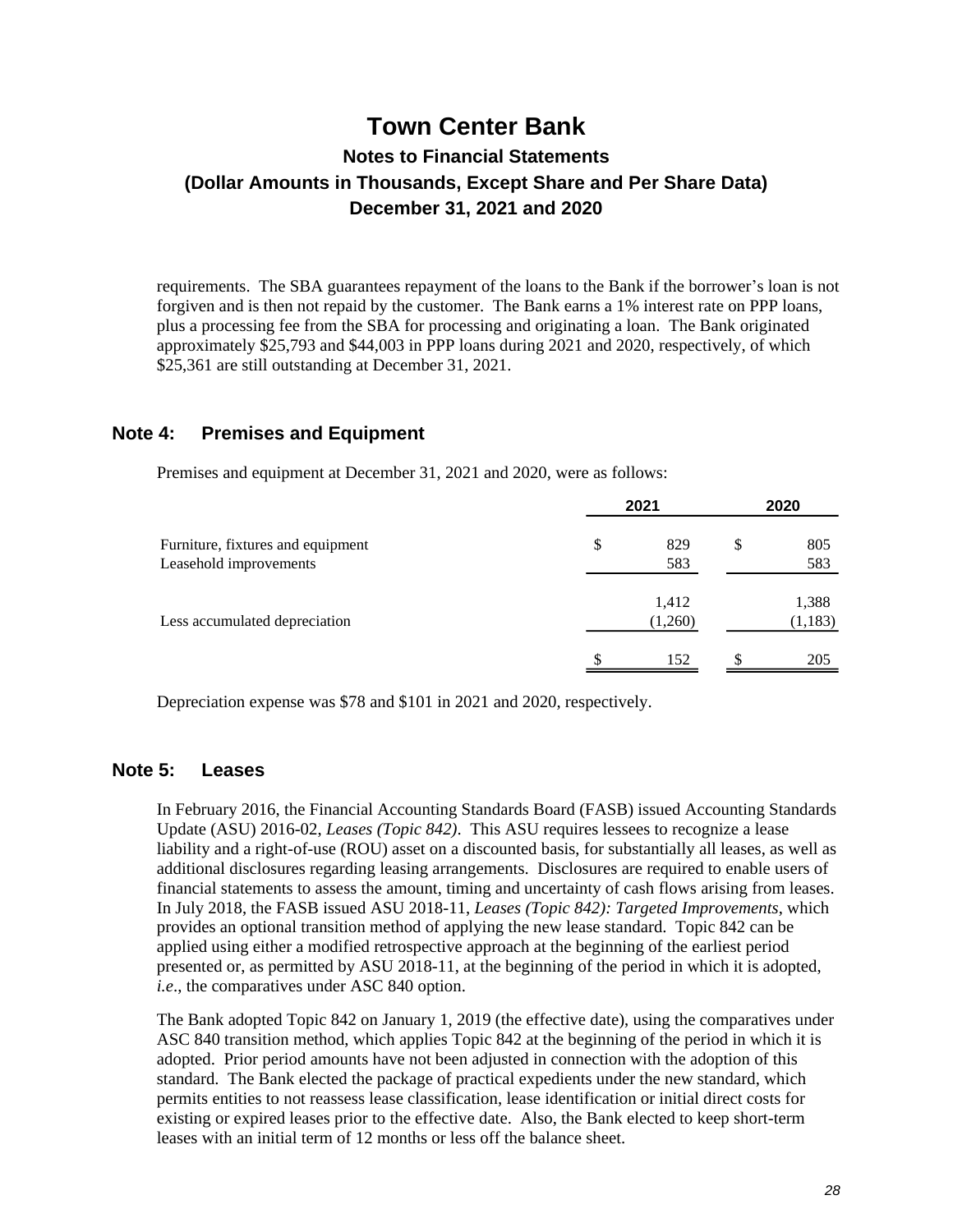requirements. The SBA guarantees repayment of the loans to the Bank if the borrower's loan is not forgiven and is then not repaid by the customer. The Bank earns a 1% interest rate on PPP loans, plus a processing fee from the SBA for processing and originating a loan. The Bank originated approximately \$25,793 and \$44,003 in PPP loans during 2021 and 2020, respectively, of which \$25,361 are still outstanding at December 31, 2021.

### **Note 4: Premises and Equipment**

Premises and equipment at December 31, 2021 and 2020, were as follows:

|                                   |    | 2021    |   | 2020     |
|-----------------------------------|----|---------|---|----------|
| Furniture, fixtures and equipment | \$ | 829     | S | 805      |
| Leasehold improvements            |    | 583     |   | 583      |
|                                   |    | 1,412   |   | 1,388    |
| Less accumulated depreciation     |    | (1,260) |   | (1, 183) |
|                                   | S  | 152     | S | 205      |

Depreciation expense was \$78 and \$101 in 2021 and 2020, respectively.

### **Note 5: Leases**

In February 2016, the Financial Accounting Standards Board (FASB) issued Accounting Standards Update (ASU) 2016-02, *Leases (Topic 842)*. This ASU requires lessees to recognize a lease liability and a right-of-use (ROU) asset on a discounted basis, for substantially all leases, as well as additional disclosures regarding leasing arrangements. Disclosures are required to enable users of financial statements to assess the amount, timing and uncertainty of cash flows arising from leases. In July 2018, the FASB issued ASU 2018-11, *Leases (Topic 842): Targeted Improvements*, which provides an optional transition method of applying the new lease standard. Topic 842 can be applied using either a modified retrospective approach at the beginning of the earliest period presented or, as permitted by ASU 2018-11, at the beginning of the period in which it is adopted, *i.e*., the comparatives under ASC 840 option.

The Bank adopted Topic 842 on January 1, 2019 (the effective date), using the comparatives under ASC 840 transition method, which applies Topic 842 at the beginning of the period in which it is adopted. Prior period amounts have not been adjusted in connection with the adoption of this standard. The Bank elected the package of practical expedients under the new standard, which permits entities to not reassess lease classification, lease identification or initial direct costs for existing or expired leases prior to the effective date. Also, the Bank elected to keep short-term leases with an initial term of 12 months or less off the balance sheet.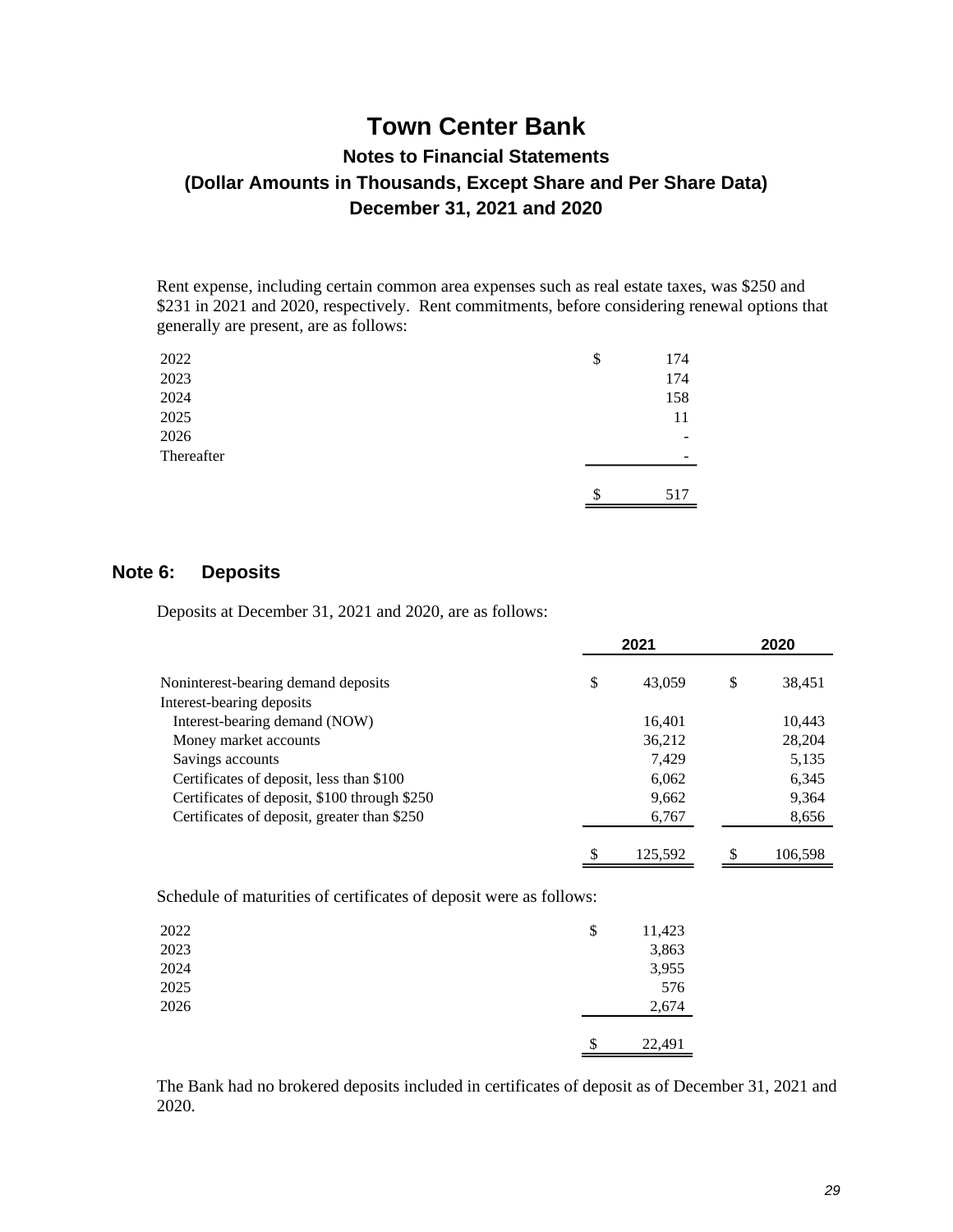Rent expense, including certain common area expenses such as real estate taxes, was \$250 and \$231 in 2021 and 2020, respectively. Rent commitments, before considering renewal options that generally are present, are as follows:

| 2022       | \$ | 174 |
|------------|----|-----|
| 2023       |    | 174 |
| 2024       |    | 158 |
| 2025       |    | 11  |
| 2026       |    | -   |
| Thereafter |    | -   |
|            |    |     |
|            | S  | 517 |

### **Note 6: Deposits**

Deposits at December 31, 2021 and 2020, are as follows:

| Noninterest-bearing demand deposits          | 2021          |    |         |
|----------------------------------------------|---------------|----|---------|
|                                              | \$<br>43,059  | \$ | 38,451  |
| Interest-bearing deposits                    |               |    |         |
| Interest-bearing demand (NOW)                | 16,401        |    | 10,443  |
| Money market accounts                        | 36,212        |    | 28,204  |
| Savings accounts                             | 7,429         |    | 5,135   |
| Certificates of deposit, less than \$100     | 6,062         |    | 6,345   |
| Certificates of deposit, \$100 through \$250 | 9,662         |    | 9,364   |
| Certificates of deposit, greater than \$250  | 6,767         |    | 8,656   |
|                                              | \$<br>125.592 | \$ | 106,598 |

Schedule of maturities of certificates of deposit were as follows:

| 2022 | \$ | 11,423 |
|------|----|--------|
| 2023 |    | 3,863  |
| 2024 |    | 3,955  |
| 2025 |    | 576    |
| 2026 |    | 2,674  |
|      |    |        |
|      | S  | 22,491 |

The Bank had no brokered deposits included in certificates of deposit as of December 31, 2021 and 2020.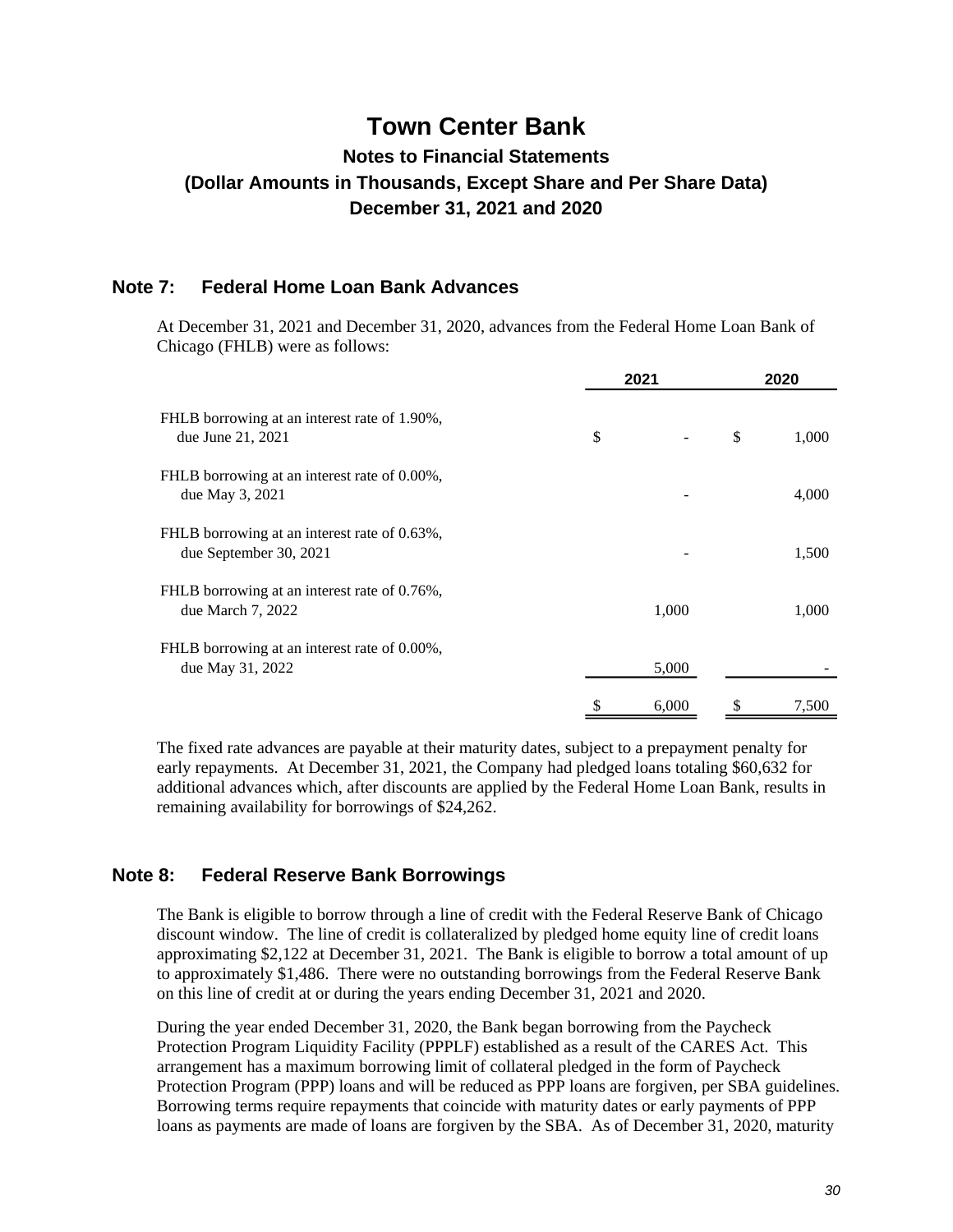### **Notes to Financial Statements (Dollar Amounts in Thousands, Except Share and Per Share Data) December 31, 2021 and 2020**

### **Note 7: Federal Home Loan Bank Advances**

At December 31, 2021 and December 31, 2020, advances from the Federal Home Loan Bank of Chicago (FHLB) were as follows:

|                                                                        | 2021 |       |    | 2020  |  |
|------------------------------------------------------------------------|------|-------|----|-------|--|
| FHLB borrowing at an interest rate of 1.90%,<br>due June 21, 2021      | \$   |       | \$ | 1,000 |  |
| FHLB borrowing at an interest rate of 0.00%,<br>due May 3, 2021        |      |       |    | 4,000 |  |
| FHLB borrowing at an interest rate of 0.63%,<br>due September 30, 2021 |      |       |    | 1,500 |  |
| FHLB borrowing at an interest rate of 0.76%,<br>due March 7, 2022      |      | 1,000 |    | 1,000 |  |
| FHLB borrowing at an interest rate of 0.00%,<br>due May 31, 2022       |      | 5,000 |    |       |  |
|                                                                        |      | 6,000 |    | 7,500 |  |

The fixed rate advances are payable at their maturity dates, subject to a prepayment penalty for early repayments. At December 31, 2021, the Company had pledged loans totaling \$60,632 for additional advances which, after discounts are applied by the Federal Home Loan Bank, results in remaining availability for borrowings of \$24,262.

### **Note 8: Federal Reserve Bank Borrowings**

The Bank is eligible to borrow through a line of credit with the Federal Reserve Bank of Chicago discount window. The line of credit is collateralized by pledged home equity line of credit loans approximating \$2,122 at December 31, 2021. The Bank is eligible to borrow a total amount of up to approximately \$1,486. There were no outstanding borrowings from the Federal Reserve Bank on this line of credit at or during the years ending December 31, 2021 and 2020.

During the year ended December 31, 2020, the Bank began borrowing from the Paycheck Protection Program Liquidity Facility (PPPLF) established as a result of the CARES Act. This arrangement has a maximum borrowing limit of collateral pledged in the form of Paycheck Protection Program (PPP) loans and will be reduced as PPP loans are forgiven, per SBA guidelines. Borrowing terms require repayments that coincide with maturity dates or early payments of PPP loans as payments are made of loans are forgiven by the SBA. As of December 31, 2020, maturity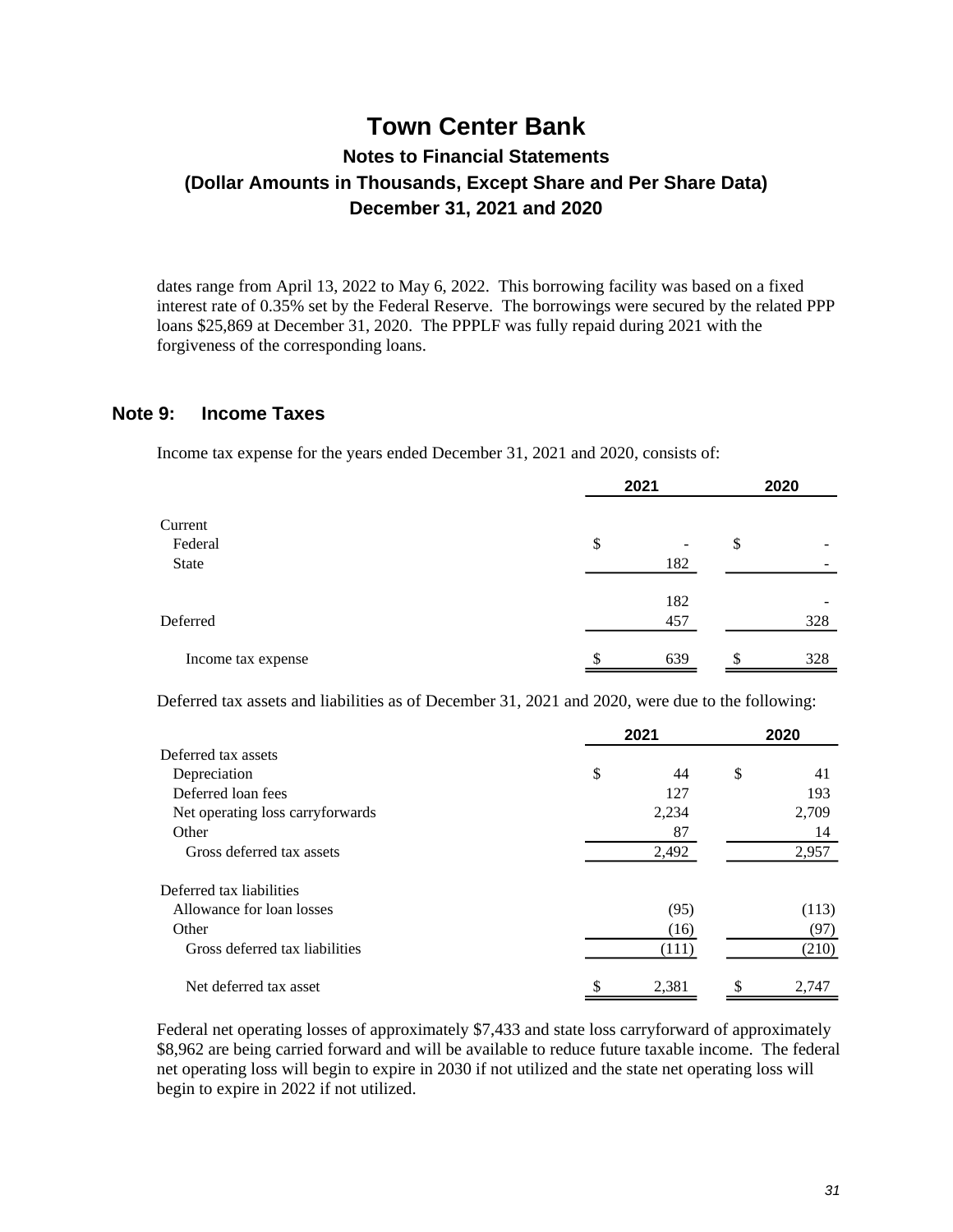dates range from April 13, 2022 to May 6, 2022. This borrowing facility was based on a fixed interest rate of 0.35% set by the Federal Reserve. The borrowings were secured by the related PPP loans \$25,869 at December 31, 2020. The PPPLF was fully repaid during 2021 with the forgiveness of the corresponding loans.

### **Note 9: Income Taxes**

Income tax expense for the years ended December 31, 2021 and 2020, consists of:

|                    | 2021      |    |                          |
|--------------------|-----------|----|--------------------------|
| Current            |           |    |                          |
| Federal            | \$        | \$ | $\overline{\phantom{0}}$ |
| State              | 182       |    |                          |
|                    | 182       |    | -                        |
| Deferred           | 457       |    | 328                      |
| Income tax expense | \$<br>639 | S  | 328                      |

Deferred tax assets and liabilities as of December 31, 2021 and 2020, were due to the following:

|                                  | 2021 | 2020  |    |       |
|----------------------------------|------|-------|----|-------|
| Deferred tax assets              |      |       |    |       |
| Depreciation                     | \$   | 44    | \$ | 41    |
| Deferred loan fees               |      | 127   |    | 193   |
| Net operating loss carryforwards |      | 2,234 |    | 2,709 |
| Other                            |      | 87    |    | 14    |
| Gross deferred tax assets        |      | 2,492 |    | 2,957 |
| Deferred tax liabilities         |      |       |    |       |
| Allowance for loan losses        |      | (95)  |    | (113) |
| Other                            |      | (16)  |    | (97)  |
| Gross deferred tax liabilities   |      | (111) |    | (210) |
| Net deferred tax asset           |      | 2,381 |    | 2,747 |

Federal net operating losses of approximately \$7,433 and state loss carryforward of approximately \$8,962 are being carried forward and will be available to reduce future taxable income. The federal net operating loss will begin to expire in 2030 if not utilized and the state net operating loss will begin to expire in 2022 if not utilized.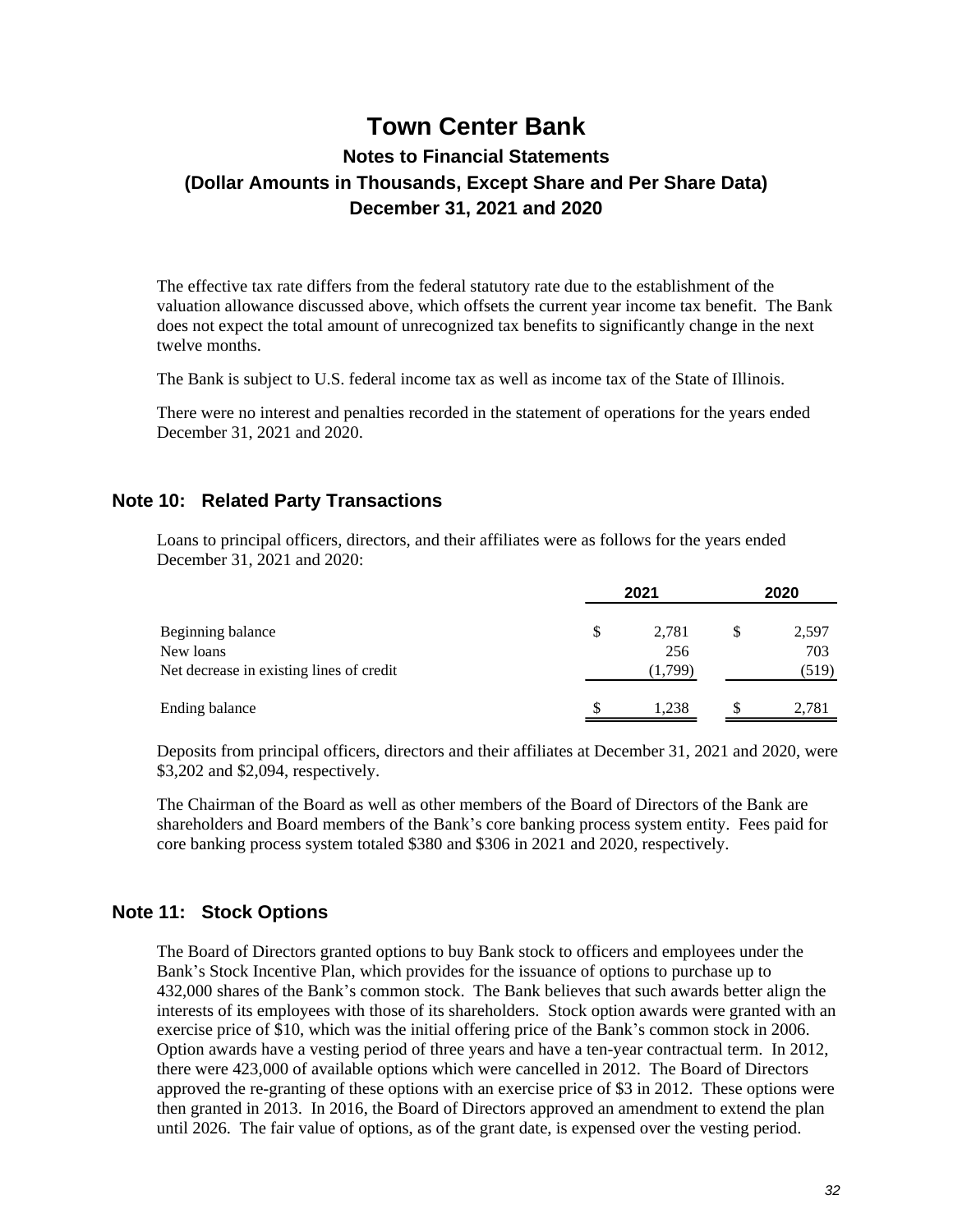The effective tax rate differs from the federal statutory rate due to the establishment of the valuation allowance discussed above, which offsets the current year income tax benefit. The Bank does not expect the total amount of unrecognized tax benefits to significantly change in the next twelve months.

The Bank is subject to U.S. federal income tax as well as income tax of the State of Illinois.

There were no interest and penalties recorded in the statement of operations for the years ended December 31, 2021 and 2020.

### **Note 10: Related Party Transactions**

Loans to principal officers, directors, and their affiliates were as follows for the years ended December 31, 2021 and 2020:

|                                          | 2021 |         |    | 2020  |  |  |
|------------------------------------------|------|---------|----|-------|--|--|
| Beginning balance                        | \$   | 2,781   | S  | 2,597 |  |  |
| New loans                                |      | 256     |    | 703   |  |  |
| Net decrease in existing lines of credit |      | (1.799) |    | (519) |  |  |
| <b>Ending balance</b>                    | S    | 1,238   | ۰D | 2,781 |  |  |

Deposits from principal officers, directors and their affiliates at December 31, 2021 and 2020, were \$3,202 and \$2,094, respectively.

The Chairman of the Board as well as other members of the Board of Directors of the Bank are shareholders and Board members of the Bank's core banking process system entity. Fees paid for core banking process system totaled \$380 and \$306 in 2021 and 2020, respectively.

### **Note 11: Stock Options**

The Board of Directors granted options to buy Bank stock to officers and employees under the Bank's Stock Incentive Plan, which provides for the issuance of options to purchase up to 432,000 shares of the Bank's common stock. The Bank believes that such awards better align the interests of its employees with those of its shareholders. Stock option awards were granted with an exercise price of \$10, which was the initial offering price of the Bank's common stock in 2006. Option awards have a vesting period of three years and have a ten-year contractual term. In 2012, there were 423,000 of available options which were cancelled in 2012. The Board of Directors approved the re-granting of these options with an exercise price of \$3 in 2012. These options were then granted in 2013. In 2016, the Board of Directors approved an amendment to extend the plan until 2026. The fair value of options, as of the grant date, is expensed over the vesting period.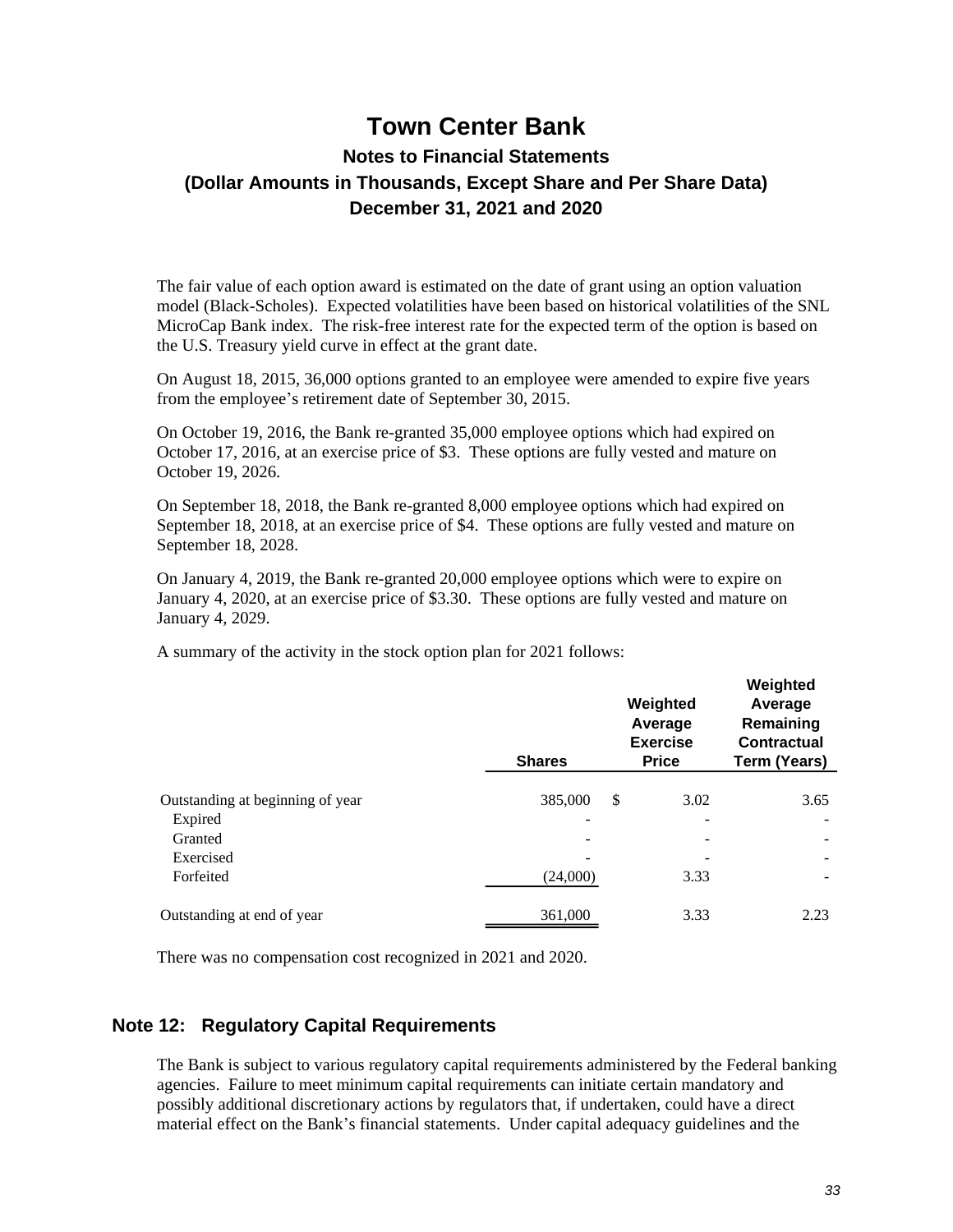The fair value of each option award is estimated on the date of grant using an option valuation model (Black-Scholes). Expected volatilities have been based on historical volatilities of the SNL MicroCap Bank index. The risk-free interest rate for the expected term of the option is based on the U.S. Treasury yield curve in effect at the grant date.

On August 18, 2015, 36,000 options granted to an employee were amended to expire five years from the employee's retirement date of September 30, 2015.

On October 19, 2016, the Bank re-granted 35,000 employee options which had expired on October 17, 2016, at an exercise price of \$3. These options are fully vested and mature on October 19, 2026.

On September 18, 2018, the Bank re-granted 8,000 employee options which had expired on September 18, 2018, at an exercise price of \$4. These options are fully vested and mature on September 18, 2028.

On January 4, 2019, the Bank re-granted 20,000 employee options which were to expire on January 4, 2020, at an exercise price of \$3.30. These options are fully vested and mature on January 4, 2029.

A summary of the activity in the stock option plan for 2021 follows:

|                                  | <b>Shares</b> | Weighted<br>Average<br><b>Exercise</b><br><b>Price</b> | Weighted<br>Average<br>Remaining<br><b>Contractual</b><br>Term (Years) |  |
|----------------------------------|---------------|--------------------------------------------------------|------------------------------------------------------------------------|--|
|                                  |               |                                                        |                                                                        |  |
| Outstanding at beginning of year | 385,000       | \$<br>3.02                                             | 3.65                                                                   |  |
| Expired                          | ۰             | $\qquad \qquad$                                        |                                                                        |  |
| Granted                          |               | -                                                      | -                                                                      |  |
| Exercised                        |               |                                                        |                                                                        |  |
| Forfeited                        | (24,000)      | 3.33                                                   |                                                                        |  |
| Outstanding at end of year       | 361,000       | 3.33                                                   | 2.23                                                                   |  |

There was no compensation cost recognized in 2021 and 2020.

### **Note 12: Regulatory Capital Requirements**

The Bank is subject to various regulatory capital requirements administered by the Federal banking agencies. Failure to meet minimum capital requirements can initiate certain mandatory and possibly additional discretionary actions by regulators that, if undertaken, could have a direct material effect on the Bank's financial statements. Under capital adequacy guidelines and the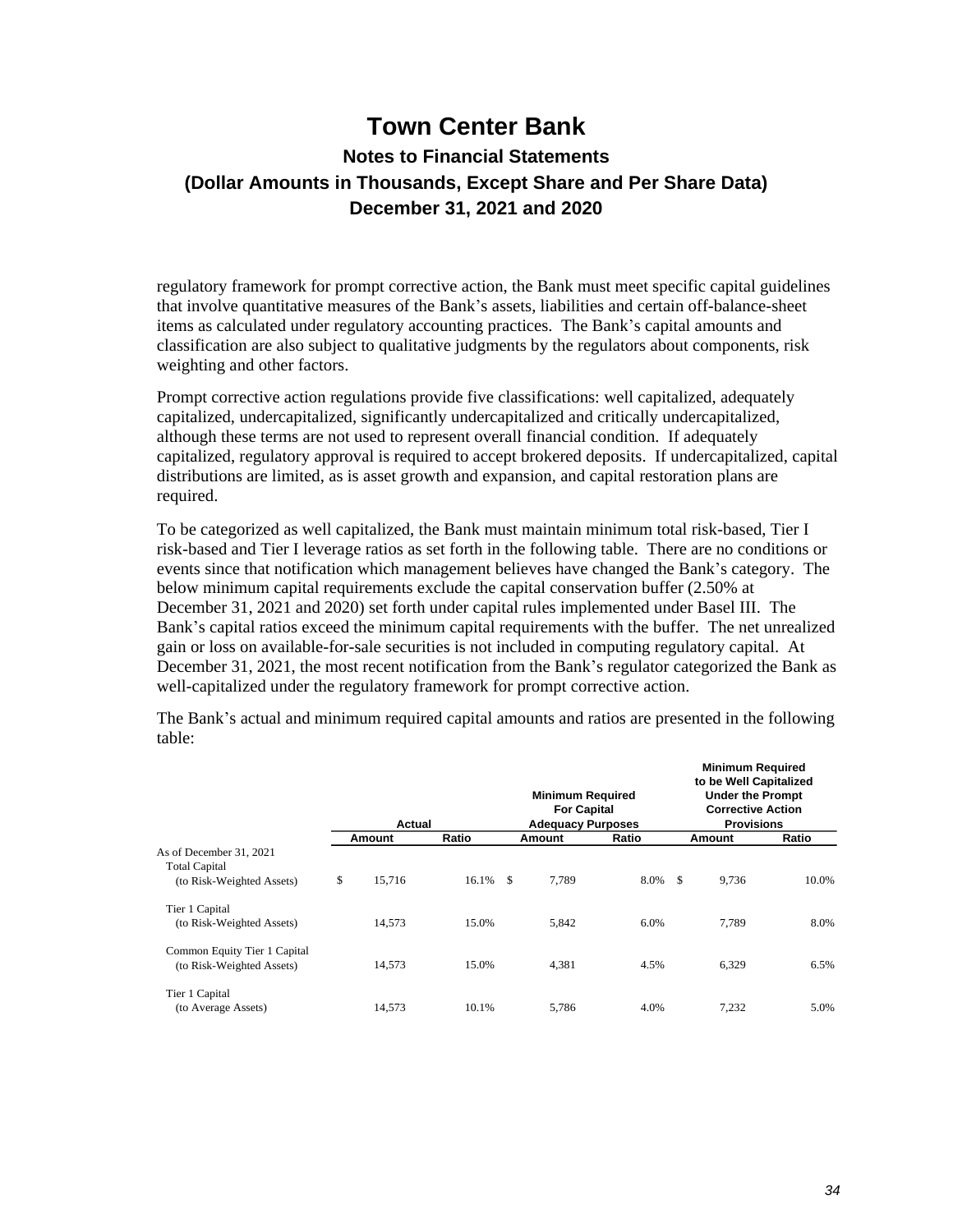regulatory framework for prompt corrective action, the Bank must meet specific capital guidelines that involve quantitative measures of the Bank's assets, liabilities and certain off-balance-sheet items as calculated under regulatory accounting practices. The Bank's capital amounts and classification are also subject to qualitative judgments by the regulators about components, risk weighting and other factors.

Prompt corrective action regulations provide five classifications: well capitalized, adequately capitalized, undercapitalized, significantly undercapitalized and critically undercapitalized, although these terms are not used to represent overall financial condition. If adequately capitalized, regulatory approval is required to accept brokered deposits. If undercapitalized, capital distributions are limited, as is asset growth and expansion, and capital restoration plans are required.

To be categorized as well capitalized, the Bank must maintain minimum total risk-based, Tier I risk-based and Tier I leverage ratios as set forth in the following table. There are no conditions or events since that notification which management believes have changed the Bank's category. The below minimum capital requirements exclude the capital conservation buffer (2.50% at December 31, 2021 and 2020) set forth under capital rules implemented under Basel III. The Bank's capital ratios exceed the minimum capital requirements with the buffer. The net unrealized gain or loss on available-for-sale securities is not included in computing regulatory capital. At December 31, 2021, the most recent notification from the Bank's regulator categorized the Bank as well-capitalized under the regulatory framework for prompt corrective action.

The Bank's actual and minimum required capital amounts and ratios are presented in the following table: **Minimum Required to be Well Capitalized Under the Prompt For Capital Corrective Action Minimum Required**

|                                                                              | Actual       |       |      | <b>Minimum Required</b><br><b>For Capital</b><br><b>Adequacy Purposes</b> |       |               | to be Well Capitalized<br><b>Under the Prompt</b><br><b>Corrective Action</b><br><b>Provisions</b> |       |
|------------------------------------------------------------------------------|--------------|-------|------|---------------------------------------------------------------------------|-------|---------------|----------------------------------------------------------------------------------------------------|-------|
|                                                                              | Amount       | Ratio |      | Amount                                                                    | Ratio |               | Amount                                                                                             | Ratio |
| As of December 31, 2021<br><b>Total Capital</b><br>(to Risk-Weighted Assets) | \$<br>15,716 | 16.1% | - \$ | 7.789                                                                     | 8.0%  | <sup>\$</sup> | 9,736                                                                                              | 10.0% |
| Tier 1 Capital<br>(to Risk-Weighted Assets)                                  | 14,573       | 15.0% |      | 5,842                                                                     | 6.0%  |               | 7,789                                                                                              | 8.0%  |
| Common Equity Tier 1 Capital<br>(to Risk-Weighted Assets)                    | 14,573       | 15.0% |      | 4,381                                                                     | 4.5%  |               | 6,329                                                                                              | 6.5%  |
| Tier 1 Capital<br>(to Average Assets)                                        | 14,573       | 10.1% |      | 5,786                                                                     | 4.0%  |               | 7,232                                                                                              | 5.0%  |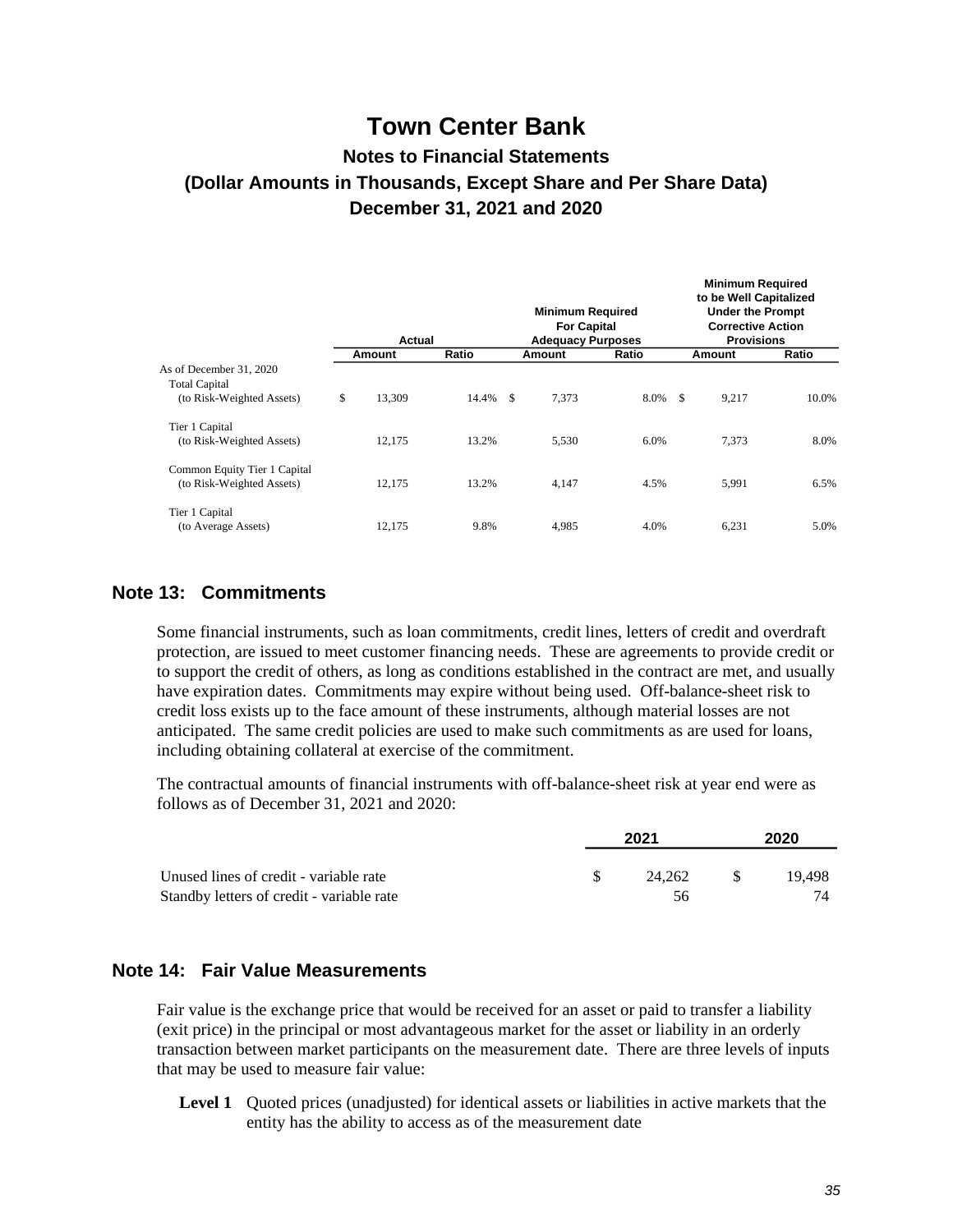### **Notes to Financial Statements (Dollar Amounts in Thousands, Except Share and Per Share Data) December 31, 2021 and 2020**

|                              | Actual       |       |     | <b>Minimum Required</b><br><b>For Capital</b><br><b>Adequacy Purposes</b> |       |    | <b>Minimum Required</b><br>to be Well Capitalized<br><b>Under the Prompt</b><br><b>Corrective Action</b><br><b>Provisions</b> |       |
|------------------------------|--------------|-------|-----|---------------------------------------------------------------------------|-------|----|-------------------------------------------------------------------------------------------------------------------------------|-------|
|                              | Amount       | Ratio |     | Amount                                                                    | Ratio |    | Amount                                                                                                                        | Ratio |
| As of December 31, 2020      |              |       |     |                                                                           |       |    |                                                                                                                               |       |
| <b>Total Capital</b>         |              |       |     |                                                                           |       |    |                                                                                                                               |       |
| (to Risk-Weighted Assets)    | \$<br>13,309 | 14.4% | -\$ | 7,373                                                                     | 8.0%  | -S | 9,217                                                                                                                         | 10.0% |
| Tier 1 Capital               |              |       |     |                                                                           |       |    |                                                                                                                               |       |
| (to Risk-Weighted Assets)    | 12,175       | 13.2% |     | 5,530                                                                     | 6.0%  |    | 7,373                                                                                                                         | 8.0%  |
| Common Equity Tier 1 Capital |              |       |     |                                                                           |       |    |                                                                                                                               |       |
| (to Risk-Weighted Assets)    | 12,175       | 13.2% |     | 4,147                                                                     | 4.5%  |    | 5,991                                                                                                                         | 6.5%  |
| Tier 1 Capital               |              |       |     |                                                                           |       |    |                                                                                                                               |       |
| (to Average Assets)          | 12,175       | 9.8%  |     | 4,985                                                                     | 4.0%  |    | 6,231                                                                                                                         | 5.0%  |
|                              |              |       |     |                                                                           |       |    |                                                                                                                               |       |

### **Note 13: Commitments**

Some financial instruments, such as loan commitments, credit lines, letters of credit and overdraft protection, are issued to meet customer financing needs. These are agreements to provide credit or to support the credit of others, as long as conditions established in the contract are met, and usually have expiration dates. Commitments may expire without being used. Off-balance-sheet risk to credit loss exists up to the face amount of these instruments, although material losses are not anticipated. The same credit policies are used to make such commitments as are used for loans, including obtaining collateral at exercise of the commitment.

The contractual amounts of financial instruments with off-balance-sheet risk at year end were as follows as of December 31, 2021 and 2020:

|                                           | 2021   | 2020 |        |  |
|-------------------------------------------|--------|------|--------|--|
| Unused lines of credit - variable rate    | 24.262 | - \$ | 19.498 |  |
| Standby letters of credit - variable rate | 56.    |      |        |  |

### **Note 14: Fair Value Measurements**

Fair value is the exchange price that would be received for an asset or paid to transfer a liability (exit price) in the principal or most advantageous market for the asset or liability in an orderly transaction between market participants on the measurement date. There are three levels of inputs that may be used to measure fair value:

**Level 1** Quoted prices (unadjusted) for identical assets or liabilities in active markets that the entity has the ability to access as of the measurement date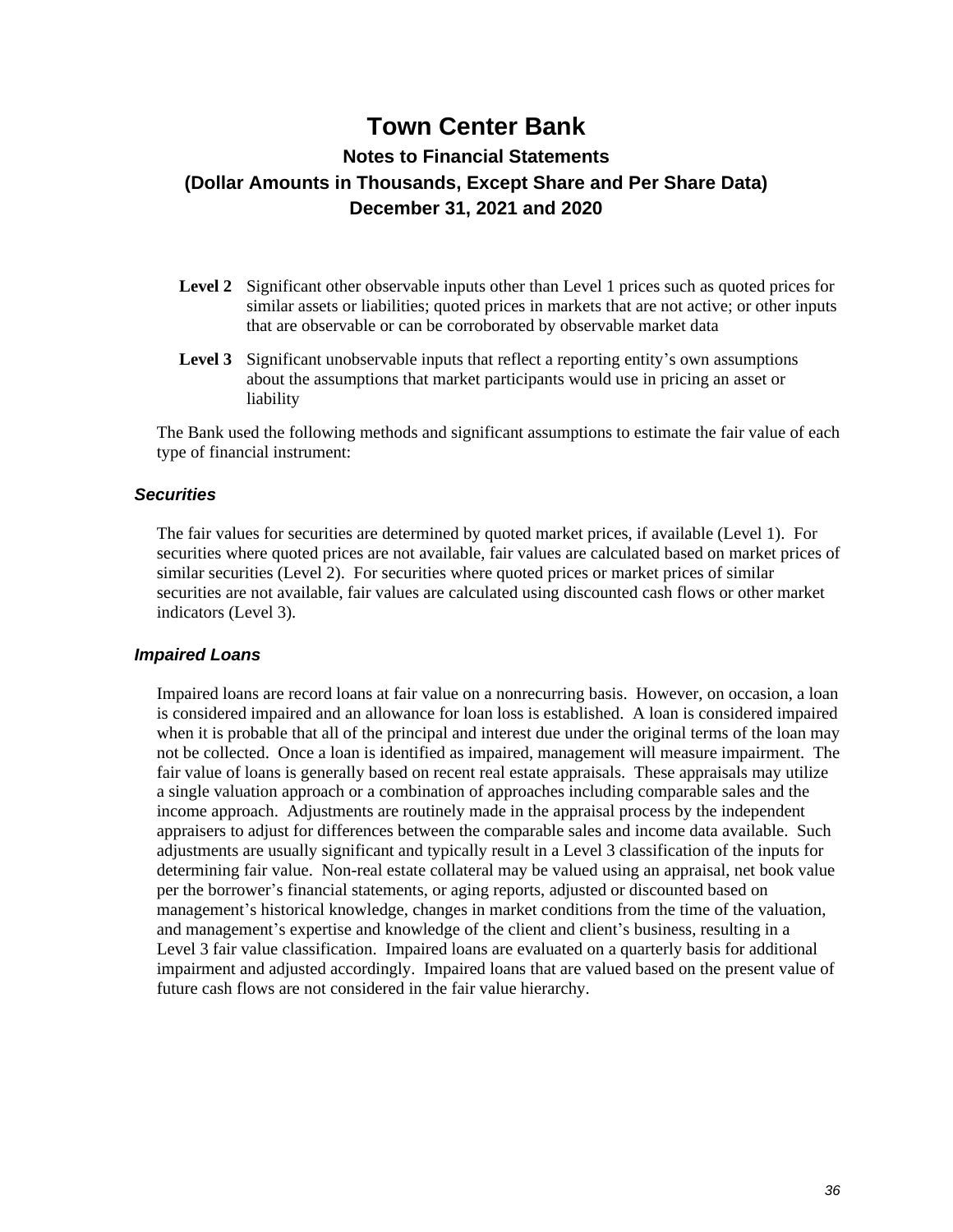- **Level 2** Significant other observable inputs other than Level 1 prices such as quoted prices for similar assets or liabilities; quoted prices in markets that are not active; or other inputs that are observable or can be corroborated by observable market data
- **Level 3** Significant unobservable inputs that reflect a reporting entity's own assumptions about the assumptions that market participants would use in pricing an asset or liability

The Bank used the following methods and significant assumptions to estimate the fair value of each type of financial instrument:

#### *Securities*

The fair values for securities are determined by quoted market prices, if available (Level 1). For securities where quoted prices are not available, fair values are calculated based on market prices of similar securities (Level 2). For securities where quoted prices or market prices of similar securities are not available, fair values are calculated using discounted cash flows or other market indicators (Level 3).

#### *Impaired Loans*

Impaired loans are record loans at fair value on a nonrecurring basis. However, on occasion, a loan is considered impaired and an allowance for loan loss is established. A loan is considered impaired when it is probable that all of the principal and interest due under the original terms of the loan may not be collected. Once a loan is identified as impaired, management will measure impairment. The fair value of loans is generally based on recent real estate appraisals. These appraisals may utilize a single valuation approach or a combination of approaches including comparable sales and the income approach. Adjustments are routinely made in the appraisal process by the independent appraisers to adjust for differences between the comparable sales and income data available. Such adjustments are usually significant and typically result in a Level 3 classification of the inputs for determining fair value. Non-real estate collateral may be valued using an appraisal, net book value per the borrower's financial statements, or aging reports, adjusted or discounted based on management's historical knowledge, changes in market conditions from the time of the valuation, and management's expertise and knowledge of the client and client's business, resulting in a Level 3 fair value classification. Impaired loans are evaluated on a quarterly basis for additional impairment and adjusted accordingly. Impaired loans that are valued based on the present value of future cash flows are not considered in the fair value hierarchy.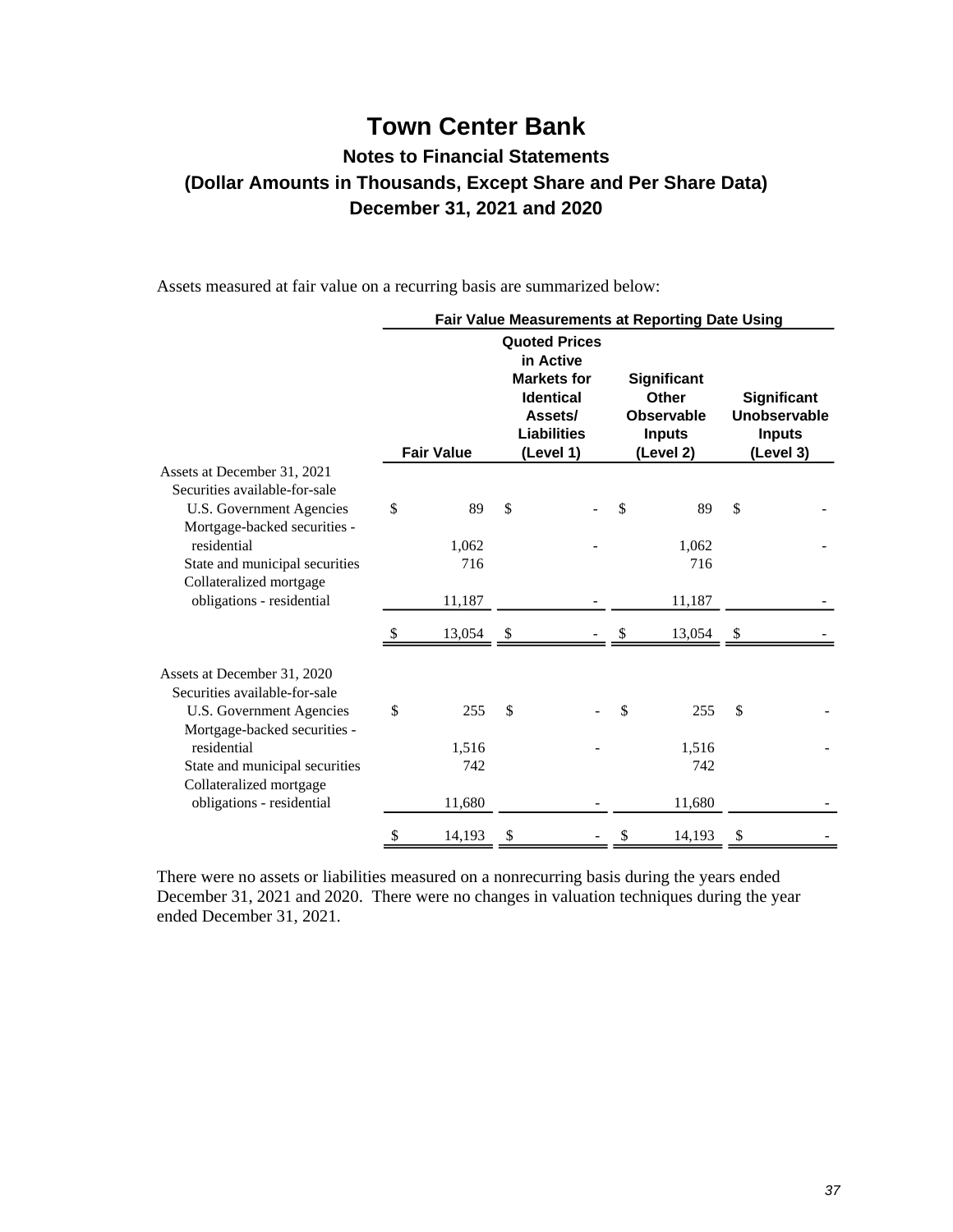Assets measured at fair value on a recurring basis are summarized below:

|                                                                                           | Fair Value Measurements at Reporting Date Using |                   |    |                                                                                                                           |    |                                                                                |                                                                  |  |  |
|-------------------------------------------------------------------------------------------|-------------------------------------------------|-------------------|----|---------------------------------------------------------------------------------------------------------------------------|----|--------------------------------------------------------------------------------|------------------------------------------------------------------|--|--|
|                                                                                           |                                                 | <b>Fair Value</b> |    | <b>Quoted Prices</b><br>in Active<br><b>Markets for</b><br><b>Identical</b><br>Assets/<br><b>Liabilities</b><br>(Level 1) |    | <b>Significant</b><br>Other<br><b>Observable</b><br><b>Inputs</b><br>(Level 2) | <b>Significant</b><br>Unobservable<br><b>Inputs</b><br>(Level 3) |  |  |
| Assets at December 31, 2021                                                               |                                                 |                   |    |                                                                                                                           |    |                                                                                |                                                                  |  |  |
| Securities available-for-sale<br>U.S. Government Agencies<br>Mortgage-backed securities - | \$                                              | 89                | \$ |                                                                                                                           | \$ | 89                                                                             | \$                                                               |  |  |
| residential                                                                               |                                                 | 1,062             |    |                                                                                                                           |    | 1,062                                                                          |                                                                  |  |  |
| State and municipal securities                                                            |                                                 | 716               |    |                                                                                                                           |    | 716                                                                            |                                                                  |  |  |
| Collateralized mortgage<br>obligations - residential                                      |                                                 | 11,187            |    |                                                                                                                           |    | 11,187                                                                         |                                                                  |  |  |
|                                                                                           |                                                 | 13,054            | \$ |                                                                                                                           |    | 13,054                                                                         | S                                                                |  |  |
| Assets at December 31, 2020<br>Securities available-for-sale                              |                                                 |                   |    |                                                                                                                           |    |                                                                                |                                                                  |  |  |
| U.S. Government Agencies<br>Mortgage-backed securities -                                  | \$                                              | 255               | \$ |                                                                                                                           | \$ | 255                                                                            | <sup>\$</sup>                                                    |  |  |
| residential                                                                               |                                                 | 1,516             |    |                                                                                                                           |    | 1,516                                                                          |                                                                  |  |  |
| State and municipal securities<br>Collateralized mortgage                                 |                                                 | 742               |    |                                                                                                                           |    | 742                                                                            |                                                                  |  |  |
| obligations - residential                                                                 |                                                 | 11,680            |    |                                                                                                                           |    | 11,680                                                                         |                                                                  |  |  |
|                                                                                           | \$                                              | 14,193            |    |                                                                                                                           |    | 14,193                                                                         |                                                                  |  |  |

There were no assets or liabilities measured on a nonrecurring basis during the years ended December 31, 2021 and 2020. There were no changes in valuation techniques during the year ended December 31, 2021.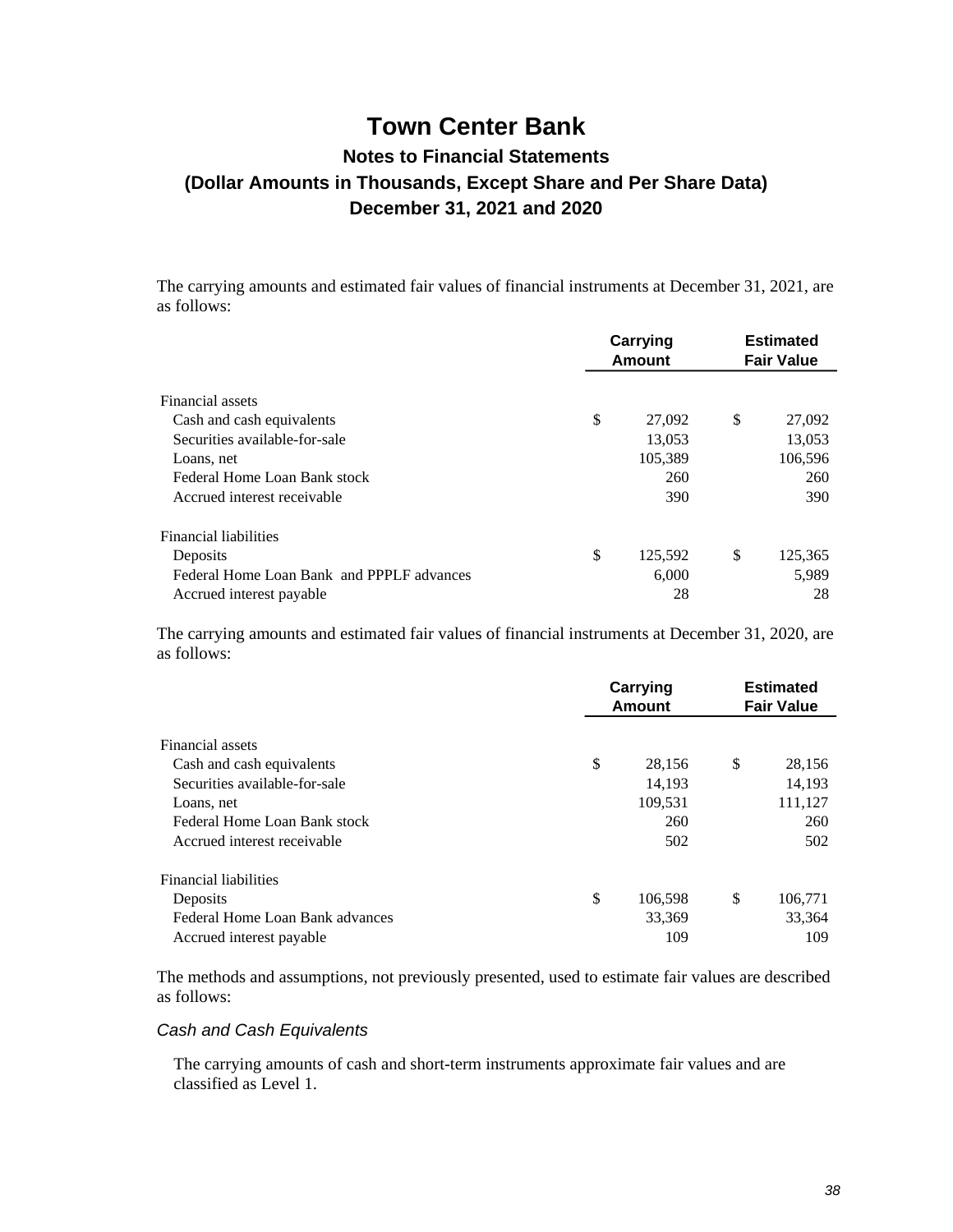### **Notes to Financial Statements (Dollar Amounts in Thousands, Except Share and Per Share Data) December 31, 2021 and 2020**

The carrying amounts and estimated fair values of financial instruments at December 31, 2021, are as follows:

|                                           | Carrying<br>Amount |         | <b>Estimated</b><br><b>Fair Value</b> |         |
|-------------------------------------------|--------------------|---------|---------------------------------------|---------|
|                                           |                    |         |                                       |         |
| Financial assets                          |                    |         |                                       |         |
| Cash and cash equivalents                 | \$                 | 27,092  | \$                                    | 27,092  |
| Securities available-for-sale             |                    | 13,053  |                                       | 13,053  |
| Loans, net                                |                    | 105,389 |                                       | 106,596 |
| Federal Home Loan Bank stock              |                    | 260     |                                       | 260     |
| Accrued interest receivable               |                    | 390     |                                       | 390     |
| <b>Financial liabilities</b>              |                    |         |                                       |         |
| Deposits                                  | \$                 | 125,592 | \$                                    | 125,365 |
| Federal Home Loan Bank and PPPLF advances |                    | 6,000   |                                       | 5,989   |
| Accrued interest payable                  |                    | 28      |                                       | 28      |

The carrying amounts and estimated fair values of financial instruments at December 31, 2020, are as follows:

|                                 | Carrying<br><b>Amount</b> |         | <b>Estimated</b><br><b>Fair Value</b> |         |
|---------------------------------|---------------------------|---------|---------------------------------------|---------|
| Financial assets                |                           |         |                                       |         |
| Cash and cash equivalents       | \$                        | 28,156  | \$                                    | 28,156  |
| Securities available-for-sale   |                           | 14,193  |                                       | 14,193  |
| Loans, net                      |                           | 109,531 |                                       | 111,127 |
| Federal Home Loan Bank stock    |                           | 260     |                                       | 260     |
| Accrued interest receivable     |                           | 502     |                                       | 502     |
| <b>Financial liabilities</b>    |                           |         |                                       |         |
| Deposits                        | \$                        | 106,598 | \$                                    | 106,771 |
| Federal Home Loan Bank advances |                           | 33,369  |                                       | 33,364  |
| Accrued interest payable        |                           | 109     |                                       | 109     |

The methods and assumptions, not previously presented, used to estimate fair values are described as follows:

#### *Cash and Cash Equivalents*

The carrying amounts of cash and short-term instruments approximate fair values and are classified as Level 1.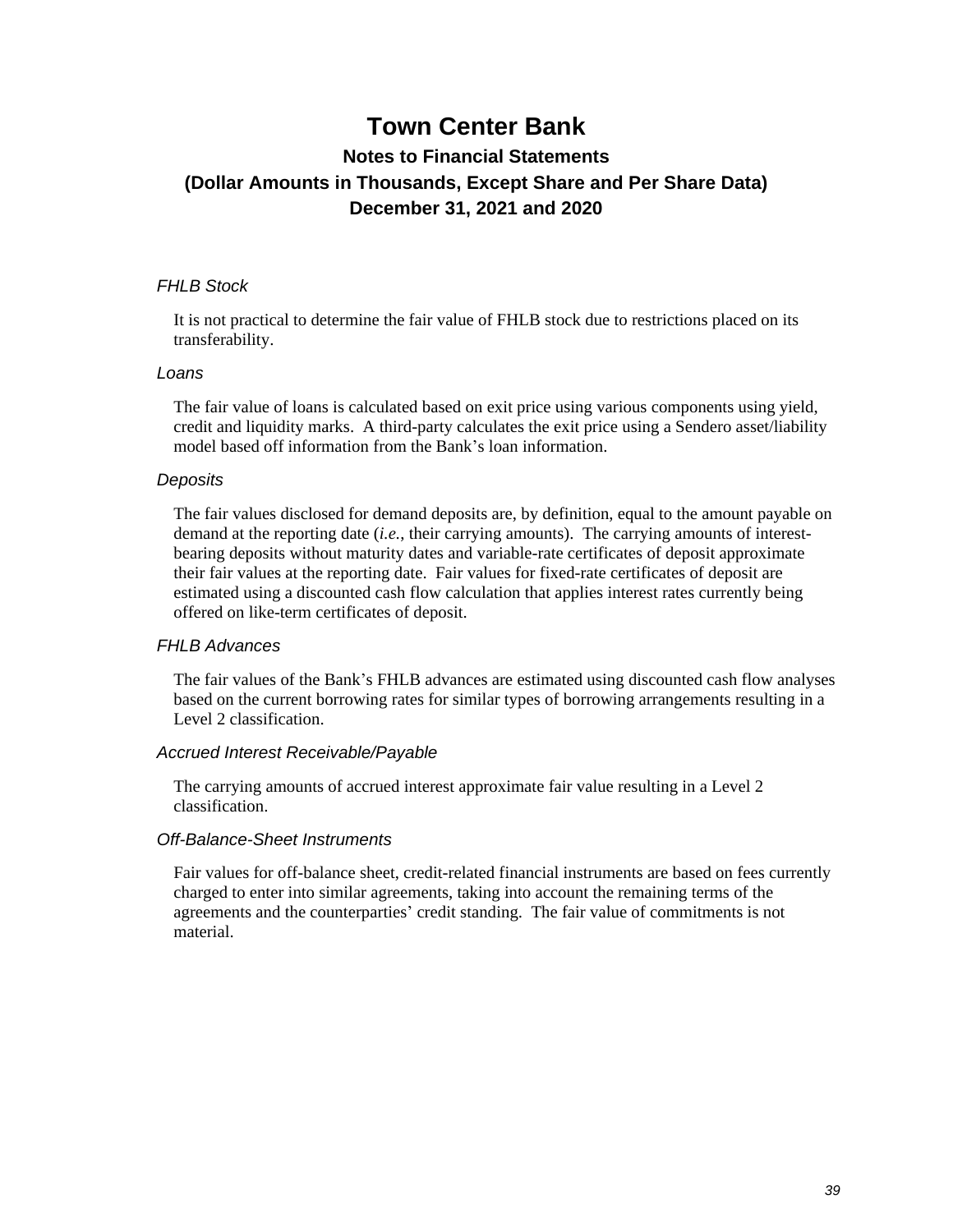### **Notes to Financial Statements (Dollar Amounts in Thousands, Except Share and Per Share Data) December 31, 2021 and 2020**

### *FHLB Stock*

It is not practical to determine the fair value of FHLB stock due to restrictions placed on its transferability.

#### *Loans*

The fair value of loans is calculated based on exit price using various components using yield, credit and liquidity marks. A third-party calculates the exit price using a Sendero asset/liability model based off information from the Bank's loan information.

### *Deposits*

The fair values disclosed for demand deposits are, by definition, equal to the amount payable on demand at the reporting date (*i.e.*, their carrying amounts). The carrying amounts of interestbearing deposits without maturity dates and variable-rate certificates of deposit approximate their fair values at the reporting date. Fair values for fixed-rate certificates of deposit are estimated using a discounted cash flow calculation that applies interest rates currently being offered on like-term certificates of deposit.

### *FHLB Advances*

The fair values of the Bank's FHLB advances are estimated using discounted cash flow analyses based on the current borrowing rates for similar types of borrowing arrangements resulting in a Level 2 classification.

#### *Accrued Interest Receivable/Payable*

The carrying amounts of accrued interest approximate fair value resulting in a Level 2 classification.

### *Off-Balance-Sheet Instruments*

Fair values for off-balance sheet, credit-related financial instruments are based on fees currently charged to enter into similar agreements, taking into account the remaining terms of the agreements and the counterparties' credit standing. The fair value of commitments is not material.